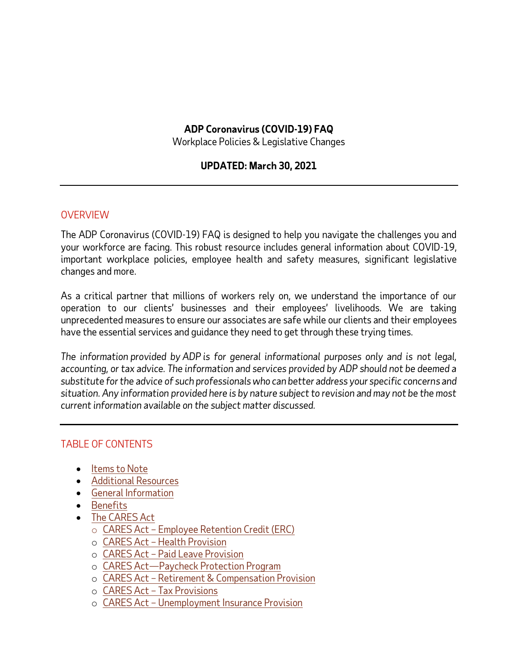## **ADP Coronavirus (COVID-19) FAQ**

Workplace Policies & Legislative Changes

## **UPDATED: March 30, 2021**

#### **OVERVIEW**

The ADP Coronavirus (COVID-19) FAQ is designed to help you navigate the challenges you and your workforce are facing. This robust resource includes general information about COVID-19, important workplace policies, employee health and safety measures, significant legislative changes and more.

As a critical partner that millions of workers rely on, we understand the importance of our operation to our clients' businesses and their employees' livelihoods. We are taking unprecedented measures to ensure our associates are safe while our clients and their employees have the essential services and guidance they need to get through these trying times.

*The information provided by ADP is for general informational purposes only and is not legal, accounting, or tax advice. The information and services provided by ADP should not be deemed a substitute for the advice of such professionals who can better address your specific concerns and situation. Any information provided here is by nature subject to revision and may not be the most current information available on the subject matter discussed.*

## TABLE OF CONTENTS

- Items to Note
- [Additional Resources](#page-2-0)
- [General Information](#page-2-1)
- [Benefits](#page-67-0)
- [The CARES Act](#page-76-0)
	- o CARES Act Employee [Retention Credit \(ERC\)](#page-77-0)
	- o CARES Act [Health Provision](#page-77-0)
	- o CARES Act [Paid Leave Provision](#page-92-0)
	- o CARES Act—Paycheck Protection Program
	- o CARES Act [Retirement & Compensation Provision](#page-93-0)
	- o CARES Act [Tax Provisions](#page-95-0)
	- o CARES Act [Unemployment Insurance Provision](#page-96-0)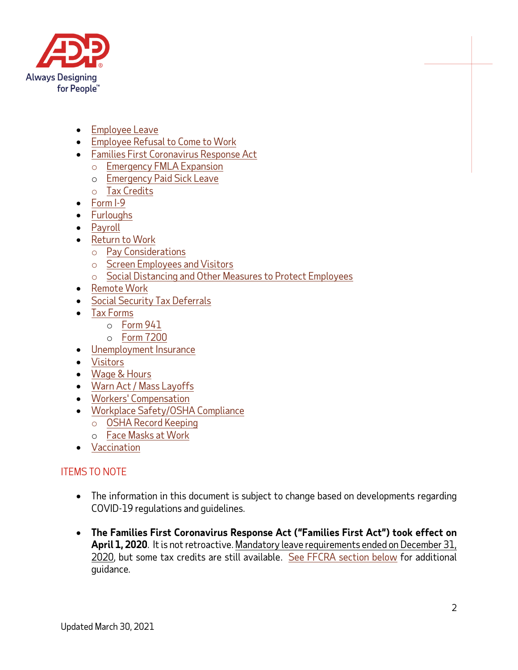

- [Employee Leave](#page-42-0)
- [Employee Refusal to](#page-11-0) Come to Work
- [Families First Coronavirus Response Act](#page-52-0) 
	- o [Emergency FMLA Expansion](#page-58-0)
	- o [Emergency Paid Sick Leave](#page-60-0)
	- o Tax Credits
- [Form I-9](#page-33-0)
- [Furloughs](#page-45-0)
- [Payroll](#page-32-0)
- [Return to](#page-14-0) Work
	- o [Pay Considerations](#page-20-0)
	- o [Screen Employees and Visitors](#page-23-0)
	- o [Social Distancing and Other Measures to Protect Employees](#page-26-0)
- [Remote Work](#page-23-1)
- [Social Security Tax Deferrals](#page-114-0)
- Tax [Forms](#page-35-0)
	- o [Form 941](#page-35-0)
	- o [Form 7200](#page-35-0)
- [Unemployment Insurance](#page-48-0)
- [Visitors](#page-13-0)
- [Wage & Hours](#page-30-0)
- [Warn Act / Mass Layoffs](#page-43-0)
- [Workers' Compensation](#page-35-0)
- [Workplace Safety/OSHA Compliance](#page-3-0)
	- o [OSHA Record Keeping](#page-9-0)
	- o Face Masks at Work
- [Vaccination](#page-117-0)

# ITEMS TO NOTE

- The information in this document is subject to change based on developments regarding COVID-19 regulations and guidelines.
- **The Families First Coronavirus Response Act ("Families First Act") took effect on**  April 1, 2020. It is not retroactive. Mandatory leave requirements ended on December 31, 2020, but some tax credits are still available. [See FFCRA section below](#page-52-0) for additional guidance.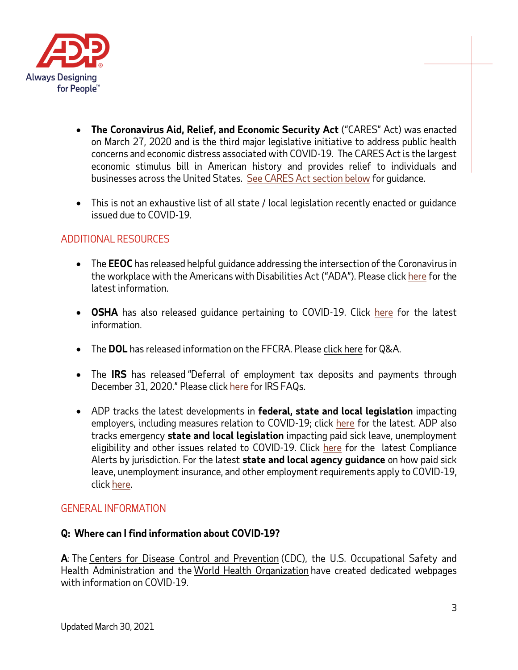

- **The Coronavirus Aid, Relief, and Economic Security Act** ("CARES" Act) was enacted on March 27, 2020 and is the third major legislative initiative to address public health concerns and economic distress associated with COVID-19. The CARES Act is the largest economic stimulus bill in American history and provides relief to individuals and businesses across the United States. [See CARES Act section below](#page-76-0) for guidance.
- This is not an exhaustive list of all state / local legislation recently enacted or guidance issued due to COVID-19.

## <span id="page-2-0"></span>ADDITIONAL RESOURCES

- The **EEOC** has released helpful guidance addressing the intersection of the Coronavirus in the workplace with the Americans with Disabilities Act ("ADA"). Please clic[k here](https://www.eeoc.gov/coronavirus) for the latest information.
- **OSHA** has also released guidance pertaining to COVID-19. Click [here](https://www.osha.gov/SLTC/covid-19/) for the latest information.
- The **DOL** has released information on the FFCRA. Pleas[e click here](https://www.dol.gov/agencies/whd/pandemic/ffcra-questions) for Q&A.
- The **IRS** has released "Deferral of employment tax deposits and payments through December 31, 2020." Please clic[k here](https://www.irs.gov/newsroom/deferral-of-employment-tax-deposits-and-payments-through-december-31-2020) for IRS FAQs.
- ADP tracks the latest developments in **federal, state and local legislation** impacting employers, including measures relation to COVID-19; click [here](https://www.adp.com/spark/legislation.aspx) for the latest. ADP also tracks emergency **state and local legislation** impacting paid sick leave, unemployment eligibility and other issues related to COVID-19. Click [here](https://sbshrs.adpinfo.com/covid19-state-emergency-leave-laws) for the latest Compliance Alerts by jurisdiction. For the latest **state and local agency guidance** on how paid sick leave, unemployment insurance, and other employment requirements apply to COVID-19, clic[k here.](https://sbshrs.adpinfo.com/covid19-state-and-local-guidance)

## <span id="page-2-1"></span>GENERAL INFORMATION

## **Q: Where can I find information about COVID-19?**

**A**: The [Centers for Disease Control and Prevention](https://www.cdc.gov/coronavirus/2019-ncov/specific-groups/guidance-business-response.html) (CDC), the U.S. Occupational Safety and Health Administration and the [World Health Organization](https://www.who.int/emergencies/diseases/novel-coronavirus-2019) have created dedicated webpages with information on COVID-19.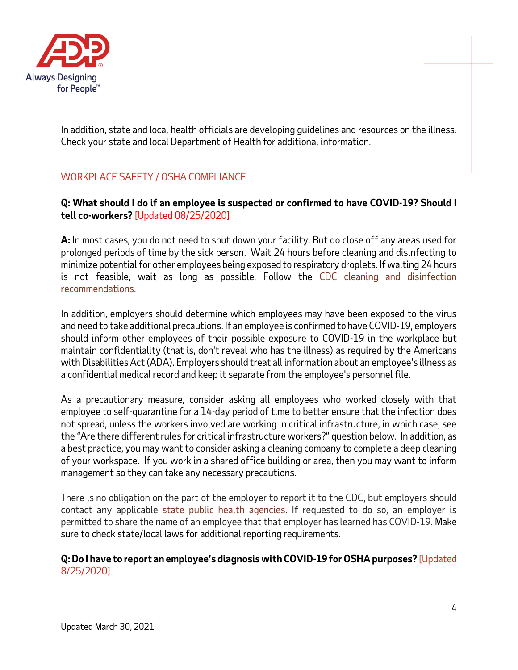

In addition, state and local health officials are developing guidelines and resources on the illness. Check your state and local Department of Health for additional information.

## <span id="page-3-0"></span>WORKPLACE SAFETY / OSHA COMPLIANCE

## **Q: What should I do if an employee is suspected or confirmed to have COVID-19? Should I tell co-workers?** [Updated 08/25/2020]

**A:** In most cases, you do not need to shut down your facility. But do close off any areas used for prolonged periods of time by the sick person. Wait 24 hours before cleaning and disinfecting to minimize potential for other employees being exposed to respiratory droplets. If waiting 24 hours is not feasible, wait as long as possible. Follow the [CDC cleaning and disinfection](https://www.cdc.gov/coronavirus/2019-ncov/community/organizations/cleaning-disinfection.html)  [recommendations.](https://www.cdc.gov/coronavirus/2019-ncov/community/organizations/cleaning-disinfection.html)

In addition, employers should determine which employees may have been exposed to the virus and need to take additional precautions. If an employee is confirmed to have COVID-19, employers should inform other employees of their possible exposure to COVID-19 in the workplace but maintain confidentiality (that is, don't reveal who has the illness) as required by the Americans with Disabilities Act (ADA). Employers should treat all information about an employee's illness as a confidential medical record and keep it separate from the employee's personnel file.

As a precautionary measure, consider asking all employees who worked closely with that employee to self-quarantine for a 14-day period of time to better ensure that the infection does not spread, unless the workers involved are working in critical infrastructure, in which case, see the "Are there different rules for critical infrastructure workers?" question below. In addition, as a best practice, you may want to consider asking a cleaning company to complete a deep cleaning of your workspace. If you work in a shared office building or area, then you may want to inform management so they can take any necessary precautions.

There is no obligation on the part of the employer to report it to the CDC, but employers should contact any applicable [state public health agencies.](https://www.cdc.gov/publichealthgateway/healthdirectories/healthdepartments.html) If requested to do so, an employer is permitted to share the name of an employee that that employer has learned has COVID-19. Make sure to check state/local laws for additional reporting requirements.

### **Q: Do I have to report an employee's diagnosis with COVID-19 for OSHA purposes?** [Updated 8/25/2020]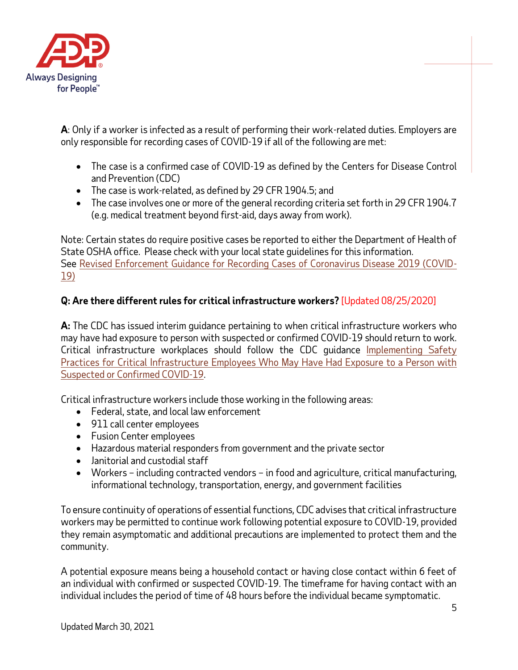

**A**: Only if a worker is infected as a result of performing their work-related duties. Employers are only responsible for recording cases of COVID-19 if all of the following are met:

- The case is a confirmed case of COVID-19 as defined by the Centers for Disease Control and Prevention (CDC)
- The case is work-related, as defined by 29 CFR 1904.5; and
- The case involves one or more of the general recording criteria set forth in 29 CFR 1904.7 (e.g. medical treatment beyond first-aid, days away from work).

Note: Certain states do require positive cases be reported to either the Department of Health of State OSHA office. Please check with your local state guidelines for this information. See [Revised Enforcement Guidance for Recording Cases of Coronavirus Disease 2019 \(COVID-](https://www.osha.gov/memos/2020-05-19/revised-enforcement-guidance-recording-cases-coronavirus-disease-2019-covid-19)[19\)](https://www.osha.gov/memos/2020-05-19/revised-enforcement-guidance-recording-cases-coronavirus-disease-2019-covid-19)

## **Q: Are there different rules for critical infrastructure workers?** [Updated 08/25/2020]

**A:** The CDC has issued interim guidance pertaining to when critical infrastructure workers who may have had exposure to person with suspected or confirmed COVID-19 should return to work. Critical infrastructure workplaces should follow the CDC guidance [Implementing Safety](https://www.cdc.gov/coronavirus/2019-ncov/community/critical-workers/implementing-safety-practices.html)  [Practices for Critical Infrastructure Employees Who May Have Had Exposure to a Person with](https://www.cdc.gov/coronavirus/2019-ncov/community/critical-workers/implementing-safety-practices.html)  [Suspected or Confirmed COVID-19.](https://www.cdc.gov/coronavirus/2019-ncov/community/critical-workers/implementing-safety-practices.html)

Critical infrastructure workers include those working in the following areas:

- Federal, state, and local law enforcement
- 911 call center employees
- Fusion Center employees
- Hazardous material responders from government and the private sector
- Janitorial and custodial staff
- Workers including contracted vendors in food and agriculture, critical manufacturing, informational technology, transportation, energy, and government facilities

To ensure continuity of operations of essential functions, CDC advises that critical infrastructure workers may be permitted to continue work following potential exposure to COVID-19, provided they remain asymptomatic and additional precautions are implemented to protect them and the community.

A potential exposure means being a household contact or having close contact within 6 feet of an individual with confirmed or suspected COVID-19. The timeframe for having contact with an individual includes the period of time of 48 hours before the individual became symptomatic.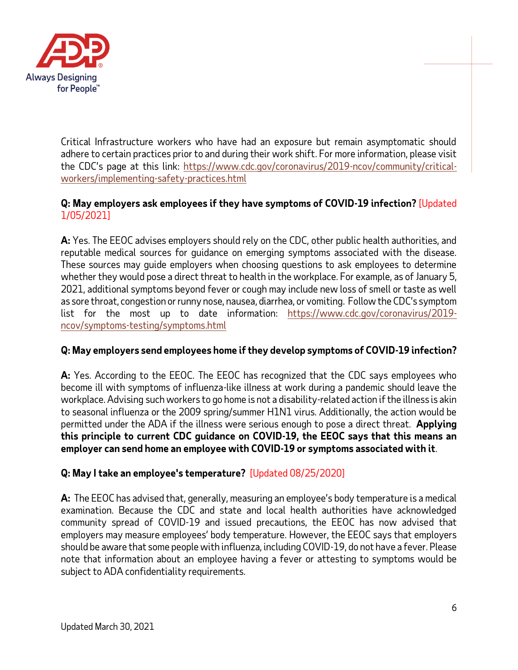

Critical Infrastructure workers who have had an exposure but remain asymptomatic should adhere to certain practices prior to and during their work shift. For more information, please visit the CDC's page at this link: [https://www.cdc.gov/coronavirus/2019-ncov/community/critical](https://www.cdc.gov/coronavirus/2019-ncov/community/critical-workers/implementing-safety-practices.html)[workers/implementing-safety-practices.html](https://www.cdc.gov/coronavirus/2019-ncov/community/critical-workers/implementing-safety-practices.html)

## **Q: May employers ask employees if they have symptoms of COVID-19 infection?** [Updated 1/05/2021]

**A:** Yes. The EEOC advises employers should rely on the CDC, other public health authorities, and reputable medical sources for guidance on emerging symptoms associated with the disease. These sources may guide employers when choosing questions to ask employees to determine whether they would pose a direct threat to health in the workplace. For example, as of January 5, 2021, additional symptoms beyond fever or cough may include new loss of smell or taste as well as sore throat, congestion or runny nose, nausea, diarrhea, or vomiting. Follow the CDC's symptom list for the most up to date information: [https://www.cdc.gov/coronavirus/2019](https://www.cdc.gov/coronavirus/2019-ncov/symptoms-testing/symptoms.html) [ncov/symptoms-testing/symptoms.html](https://www.cdc.gov/coronavirus/2019-ncov/symptoms-testing/symptoms.html)

## **Q: May employers send employees home if they develop symptoms of COVID-19 infection?**

**A:** Yes. According to the EEOC. The EEOC has recognized that the CDC says employees who become ill with symptoms of influenza-like illness at work during a pandemic should leave the workplace. Advising such workers to go home is not a disability-related action if the illness is akin to seasonal influenza or the 2009 spring/summer H1N1 virus. Additionally, the action would be permitted under the ADA if the illness were serious enough to pose a direct threat. **Applying this principle to current CDC guidance on COVID-19, the EEOC says that this means an employer can send home an employee with COVID-19 or symptoms associated with it**.

## **Q: May I take an employee's temperature?** [Updated 08/25/2020]

**A:** The EEOC has advised that, generally, measuring an employee's body temperature is a medical examination. Because the CDC and state and local health authorities have acknowledged community spread of COVID-19 and issued precautions, the EEOC has now advised that employers may measure employees' body temperature. However, the EEOC says that employers should be aware that some people with influenza, including COVID-19, do not have a fever. Please note that information about an employee having a fever or attesting to symptoms would be subject to ADA confidentiality requirements.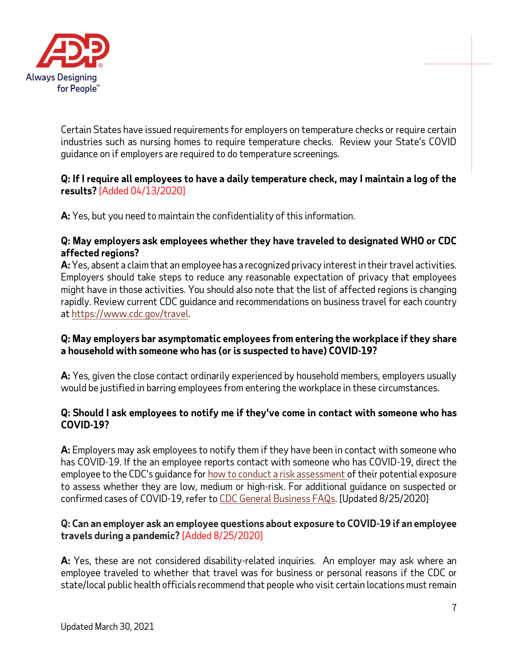

Certain States have issued requirements for employers on temperature checks or require certain industries such as nursing homes to require temperature checks. Review your State's COVID guidance on if employers are required to do temperature screenings.

## **Q: If I require all employees to have a daily temperature check, may I maintain a log of the results?** [Added 04/13/2020]

**A:** Yes, but you need to maintain the confidentiality of this information.

### **Q: May employers ask employees whether they have traveled to designated WHO or CDC affected regions?**

**A:** Yes, absent a claim that an employee has a recognized privacy interest in their travel activities. Employers should take steps to reduce any reasonable expectation of privacy that employees might have in those activities. You should also note that the list of affected regions is changing rapidly. Review current CDC guidance and recommendations on business travel for each country at [https://www.cdc.gov/travel.](https://www.cdc.gov/travel)

## **Q: May employers bar asymptomatic employees from entering the workplace if they share a household with someone who has (or is suspected to have) COVID-19?**

**A:** Yes, given the close contact ordinarily experienced by household members, employers usually would be justified in barring employees from entering the workplace in these circumstances.

### **Q: Should I ask employees to notify me if they've come in contact with someone who has COVID-19?**

**A:** Employers may ask employees to notify them if they have been in contact with someone who has COVID-19. If the an employee reports contact with someone who has COVID-19, direct the employee to the CDC's guidance for [how to conduct a risk assessment](https://www.cdc.gov/coronavirus/2019-ncov/php/public-health-recommendations.html) of their potential exposure to assess whether they are low, medium or high-risk. For additional guidance on suspected or confirmed cases of COVID-19, refer to CDC [General Business FAQs.](https://www.cdc.gov/coronavirus/2019-ncov/community/general-business-faq.html) [Updated 8/25/2020]

### **Q: Can an employer ask an employee questions about exposure to COVID-19 if an employee travels during a pandemic?** [Added 8/25/2020]

**A:** Yes, these are not considered disability-related inquiries. An employer may ask where an employee traveled to whether that travel was for business or personal reasons if the CDC or state/local public health officials recommend that people who visit certain locations must remain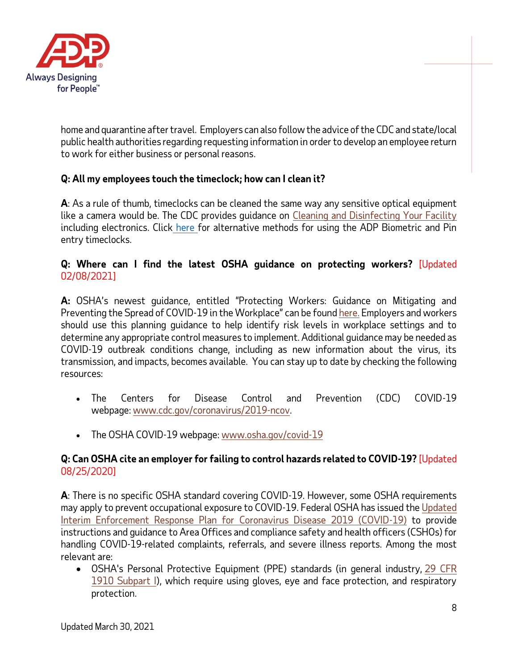

home and quarantine after travel. Employers can also follow the advice of the CDC and state/local public health authorities regarding requesting information in order to develop an employee return to work for either business or personal reasons.

## **Q: All my employees touch the timeclock; how can I clean it?**

**A**: As a rule of thumb, timeclocks can be cleaned the same way any sensitive optical equipment like a camera would be. The CDC provides guidance on [Cleaning and Disinfecting Your Facility](https://www.cdc.gov/coronavirus/2019-ncov/community/disinfecting-building-facility.html) including electronics. Click [here](http://image.user.adp.com/lib/fe3d15707564047b771776/m/1/Alternatives+to+Employees+Using+Biometric+Timeclocks.pdf) for alternative methods for using the ADP Biometric and Pin entry timeclocks.

## **Q: Where can I find the latest OSHA guidance on protecting workers?** [Updated 02/08/2021]

**A:** OSHA's newest guidance, entitled "Protecting Workers: Guidance on Mitigating and Preventing the Spread of COVID-19 in the Workplace" can be found [here.](https://www.osha.gov/coronavirus/safework) Employers and workers should use this planning guidance to help identify risk levels in workplace settings and to determine any appropriate control measures to implement. Additional guidance may be needed as COVID-19 outbreak conditions change, including as new information about the virus, its transmission, and impacts, becomes available. You can stay up to date by checking the following resources:

- The Centers for Disease Control and Prevention (CDC) COVID-19 webpage: [www.cdc.gov/coronavirus/2019-ncov.](http://www.cdc.gov/coronavirus/2019-ncov)
- The OSHA COVID-19 webpage: [www.osha.gov/covid-19](http://www.osha.gov/covid-19)

## **Q: Can OSHA cite an employer for failing to control hazards related to COVID-19?** [Updated 08/25/2020]

**A**: There is no specific OSHA standard covering COVID-19. However, some OSHA requirements may apply to prevent occupational exposure to COVID-19. Federal OSHA has issued th[e Updated](https://www.osha.gov/memos/2020-05-19/updated-interim-enforcement-response-plan-coronavirus-disease-2019-covid-19)  [Interim Enforcement Response Plan for Coronavirus Disease 2019 \(COVID-19\)](https://www.osha.gov/memos/2020-05-19/updated-interim-enforcement-response-plan-coronavirus-disease-2019-covid-19) to provide instructions and guidance to Area Offices and compliance safety and health officers (CSHOs) for handling COVID-19-related complaints, referrals, and severe illness reports. Among the most relevant are:

• OSHA's Personal Protective Equipment (PPE) standards (in general industry, [29 CFR](https://www.osha.gov/laws-regs/regulations/standardnumber/1910#1910_Subpart_I)  [1910 Subpart I\)](https://www.osha.gov/laws-regs/regulations/standardnumber/1910#1910_Subpart_I), which require using gloves, eye and face protection, and respiratory protection.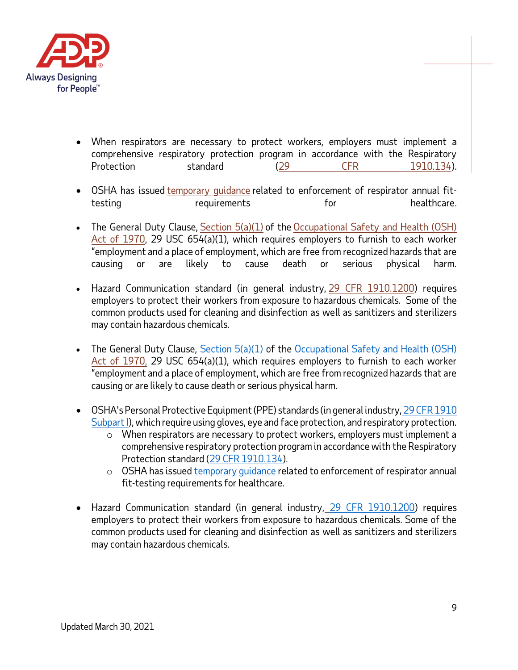

- When respirators are necessary to protect workers, employers must implement a comprehensive respiratory protection program in accordance with the Respiratory Protection standard [\(29 CFR 1910.134\)](https://www.osha.gov/laws-regs/regulations/standardnumber/1910/1910.134).
- OSHA has issued [temporary guidance](https://www.osha.gov/memos/2020-03-14/temporary-enforcement-guidance-healthcare-respiratory-protection-annual-fit) related to enforcement of respirator annual fittesting requirements for the healthcare.
- The General Duty Clause, [Section 5\(a\)\(1\)](https://www.osha.gov/laws-regs/oshact/section5-duties) of the Occupational Safety and Health (OSH) [Act of 1970,](https://www.osha.gov/laws-regs/oshact/completeoshact) 29 USC 654(a)(1), which requires employers to furnish to each worker "employment and a place of employment, which are free from recognized hazards that are causing or are likely to cause death or serious physical harm.
- Hazard Communication standard (in general industry, [29 CFR 1910.1200\)](https://www.osha.gov/laws-regs/regulations/standardnumber/1910/1910.1200) requires employers to protect their workers from exposure to hazardous chemicals. Some of the common products used for cleaning and disinfection as well as sanitizers and sterilizers may contain hazardous chemicals.
- The General Duty Clause, Section  $5(a)(1)$  of the [Occupational Safety and Health \(OSH\)](https://www.osha.gov/laws-regs/oshact/completeoshact) [Act of 1970,](https://www.osha.gov/laws-regs/oshact/completeoshact) 29 USC 654(a)(1), which requires employers to furnish to each worker "employment and a place of employment, which are free from recognized hazards that are causing or are likely to cause death or serious physical harm.
- OSHA's Personal Protective Equipment (PPE) standards (in general industry, [29 CFR 1910](https://www.osha.gov/laws-regs/regulations/standardnumber/1910#1910_Subpart_I) [Subpart I\)](https://www.osha.gov/laws-regs/regulations/standardnumber/1910#1910_Subpart_I), which require using gloves, eye and face protection, and respiratory protection.
	- $\circ$  When respirators are necessary to protect workers, employers must implement a comprehensive respiratory protection program in accordance with the Respiratory Protection standard [\(29 CFR 1910.134\)](https://www.osha.gov/laws-regs/regulations/standardnumber/1910/1910.134).
	- o OSHA has issued [temporary guidance](https://www.osha.gov/memos/2020-03-14/temporary-enforcement-guidance-healthcare-respiratory-protection-annual-fit) related to enforcement of respirator annual fit-testing requirements for healthcare.
- Hazard Communication standard (in general industry, [29 CFR 1910.1200\)](https://www.osha.gov/laws-regs/regulations/standardnumber/1910/1910.1200) requires employers to protect their workers from exposure to hazardous chemicals. Some of the common products used for cleaning and disinfection as well as sanitizers and sterilizers may contain hazardous chemicals.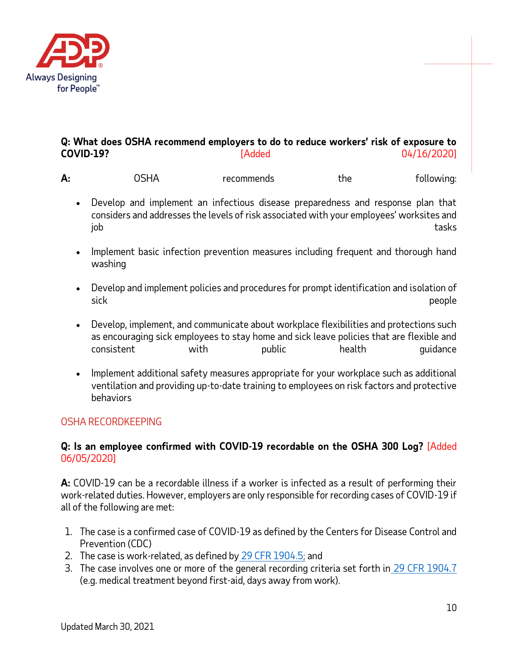

## **Q: What does OSHA recommend employers to do to reduce workers' risk of exposure to COVID-19?** [Added 04/16/2020]

| А: | ்⊂ப∧<br>11<br>וכע | recommends | the | tollowina: |
|----|-------------------|------------|-----|------------|
|----|-------------------|------------|-----|------------|

- Develop and implement an infectious disease preparedness and response plan that considers and addresses the levels of risk associated with your employees' worksites and job tasks tasks to the control of the control of the control of the control of the control of the control of t
- Implement basic infection prevention measures including frequent and thorough hand washing
- Develop and implement policies and procedures for prompt identification and isolation of sick people
- Develop, implement, and communicate about workplace flexibilities and protections such as encouraging sick employees to stay home and sick leave policies that are flexible and consistent with public health guidance
- Implement additional safety measures appropriate for your workplace such as additional ventilation and providing up-to-date training to employees on risk factors and protective behaviors

## <span id="page-9-0"></span>OSHA RECORDKEEPING

### **Q: Is an employee confirmed with COVID-19 recordable on the OSHA 300 Log?** [Added 06/05/2020]

**A:** COVID-19 can be a recordable illness if a worker is infected as a result of performing their work-related duties. However, employers are only responsible for recording cases of COVID-19 if all of the following are met:

- 1. The case is a confirmed case of COVID-19 as defined by the Centers for Disease Control and Prevention (CDC)
- 2. The case is work-related, as defined by [29 CFR 1904.5;](https://www.osha.gov/laws-regs/regulations/standardnumber/1904/1904.5) and
- 3. The case involves one or more of the general recording criteria set forth in [29 CFR 1904.7](https://www.osha.gov/laws-regs/regulations/standardnumber/1904/1904.7)  (e.g. medical treatment beyond first-aid, days away from work).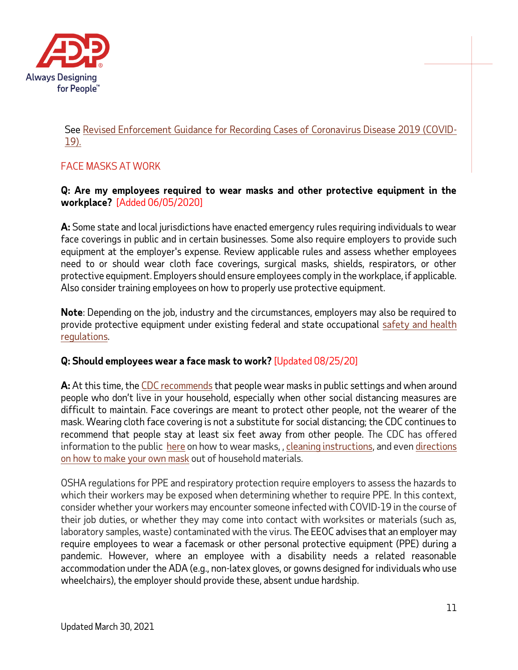

## See [Revised Enforcement Guidance for Recording Cases of Coronavirus Disease 2019 \(COVID-](https://www.osha.gov/memos/2020-05-19/revised-enforcement-guidance-recording-cases-coronavirus-disease-2019-covid-19)[19\).](https://www.osha.gov/memos/2020-05-19/revised-enforcement-guidance-recording-cases-coronavirus-disease-2019-covid-19)

# FACE MASKS AT WORK

### **Q: Are my employees required to wear masks and other protective equipment in the workplace?** [Added 06/05/2020]

**A:** Some state and local jurisdictions have enacted emergency rules requiring individuals to wear face coverings in public and in certain businesses. Some also require employers to provide such equipment at the employer's expense. Review applicable rules and assess whether employees need to or should wear cloth face coverings, surgical masks, shields, respirators, or other protective equipment. Employers should ensure employees comply in the workplace, if applicable. Also consider training employees on how to properly use protective equipment.

**Note**: Depending on the job, industry and the circumstances, employers may also be required to provide protective equipment under existing federal and state occupational [safety and health](https://www.osha.gov/SLTC/covid-19/)  [regulations.](https://www.osha.gov/SLTC/covid-19/)

## **Q: Should employees wear a face mask to work?** [Updated 08/25/20]

**A:** At this time, the [CDC recommends](https://www.cdc.gov/coronavirus/2019-ncov/prevent-getting-sick/cloth-face-cover.html) that people wear masks in public settings and when around people who don't live in your household, especially when other social distancing measures are difficult to maintain. Face coverings are meant to protect other people, not the wearer of the mask. Wearing cloth face covering is not a substitute for social distancing; the CDC continues to recommend that people stay at least six feet away from other people. The CDC has offered information to the public [here](https://www.cdc.gov/coronavirus/2019-ncov/prevent-getting-sick/how-to-wear-cloth-face-coverings.html) on how to wear masks, [, cleaning instructions,](https://www.cdc.gov/coronavirus/2019-ncov/prevent-getting-sick/how-to-wash-cloth-face-coverings.html) and eve[n directions](https://www.youtube.com/watch?v=tPx1yqvJgf4)  [on how to make your own mask](https://www.youtube.com/watch?v=tPx1yqvJgf4) out of household materials.

OSHA regulations for PPE and respiratory protection require employers to assess the hazards to which their workers may be exposed when determining whether to require PPE. In this context, consider whether your workers may encounter someone infected with COVID-19 in the course of their job duties, or whether they may come into contact with worksites or materials (such as, laboratory samples, waste) contaminated with the virus. The EEOC advises that an employer may require employees to wear a facemask or other personal protective equipment (PPE) during a pandemic. However, where an employee with a disability needs a related reasonable accommodation under the ADA (e.g., non-latex gloves, or gowns designed for individuals who use wheelchairs), the employer should provide these, absent undue hardship.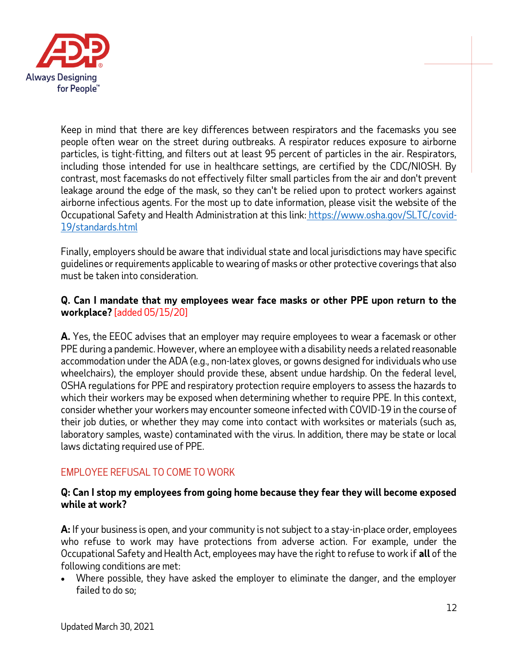

Keep in mind that there are key differences between respirators and the facemasks you see people often wear on the street during outbreaks. A respirator reduces exposure to airborne particles, is tight-fitting, and filters out at least 95 percent of particles in the air. Respirators, including those intended for use in healthcare settings, are certified by the CDC/NIOSH. By contrast, most facemasks do not effectively filter small particles from the air and don't prevent leakage around the edge of the mask, so they can't be relied upon to protect workers against airborne infectious agents. For the most up to date information, please visit the website of the Occupational Safety and Health Administration at this link: [https://www.osha.gov/SLTC/covid-](https://www.osha.gov/SLTC/covid-19/standards.html)[19/standards.html](https://www.osha.gov/SLTC/covid-19/standards.html) 

Finally, employers should be aware that individual state and local jurisdictions may have specific guidelines or requirements applicable to wearing of masks or other protective coverings that also must be taken into consideration.

## **Q. Can I mandate that my employees wear face masks or other PPE upon return to the workplace?** [added 05/15/20]

**A.** Yes, the EEOC advises that an employer may require employees to wear a facemask or other PPE during a pandemic. However, where an employee with a disability needs a related reasonable accommodation under the ADA (e.g., non-latex gloves, or gowns designed for individuals who use wheelchairs), the employer should provide these, absent undue hardship. On the federal level, OSHA regulations for PPE and respiratory protection require employers to assess the hazards to which their workers may be exposed when determining whether to require PPE. In this context, consider whether your workers may encounter someone infected with COVID-19 in the course of their job duties, or whether they may come into contact with worksites or materials (such as, laboratory samples, waste) contaminated with the virus. In addition, there may be state or local laws dictating required use of PPE.

## <span id="page-11-0"></span>EMPLOYEE REFUSAL TO COME TO WORK

### **Q: Can I stop my employees from going home because they fear they will become exposed while at work?**

**A:** If your business is open, and your community is not subject to a stay-in-place order, employees who refuse to work may have protections from adverse action. For example, under the Occupational Safety and Health Act, employees may have the right to refuse to work if **all** of the following conditions are met:

• Where possible, they have asked the employer to eliminate the danger, and the employer failed to do so;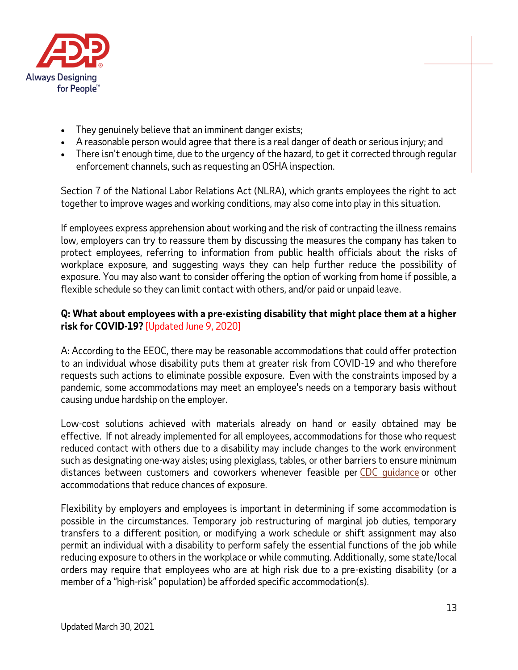

- They genuinely believe that an imminent danger exists;
- A reasonable person would agree that there is a real danger of death or serious injury; and
- There isn't enough time, due to the urgency of the hazard, to get it corrected through regular enforcement channels, such as requesting an OSHA inspection.

Section 7 of the National Labor Relations Act (NLRA), which grants employees the right to act together to improve wages and working conditions, may also come into play in this situation.

If employees express apprehension about working and the risk of contracting the illness remains low, employers can try to reassure them by discussing the measures the company has taken to protect employees, referring to information from public health officials about the risks of workplace exposure, and suggesting ways they can help further reduce the possibility of exposure. You may also want to consider offering the option of working from home if possible, a flexible schedule so they can limit contact with others, and/or paid or unpaid leave.

## **Q: What about employees with a pre-existing disability that might place them at a higher risk for COVID-19?** [Updated June 9, 2020]

A: According to the EEOC, there may be reasonable accommodations that could offer protection to an individual whose disability puts them at greater risk from COVID-19 and who therefore requests such actions to eliminate possible exposure. Even with the constraints imposed by a pandemic, some accommodations may meet an employee's needs on a temporary basis without causing undue hardship on the employer.

Low-cost solutions achieved with materials already on hand or easily obtained may be effective. If not already implemented for all employees, accommodations for those who request reduced contact with others due to a disability may include changes to the work environment such as designating one-way aisles; using plexiglass, tables, or other barriers to ensure minimum distances between customers and coworkers whenever feasible per [CDC guidance](https://www.cdc.gov/coronavirus/2019-ncov/community/index.html) or other accommodations that reduce chances of exposure.

Flexibility by employers and employees is important in determining if some accommodation is possible in the circumstances. Temporary job restructuring of marginal job duties, temporary transfers to a different position, or modifying a work schedule or shift assignment may also permit an individual with a disability to perform safely the essential functions of the job while reducing exposure to others in the workplace or while commuting. Additionally, some state/local orders may require that employees who are at high risk due to a pre-existing disability (or a member of a "high-risk" population) be afforded specific accommodation(s).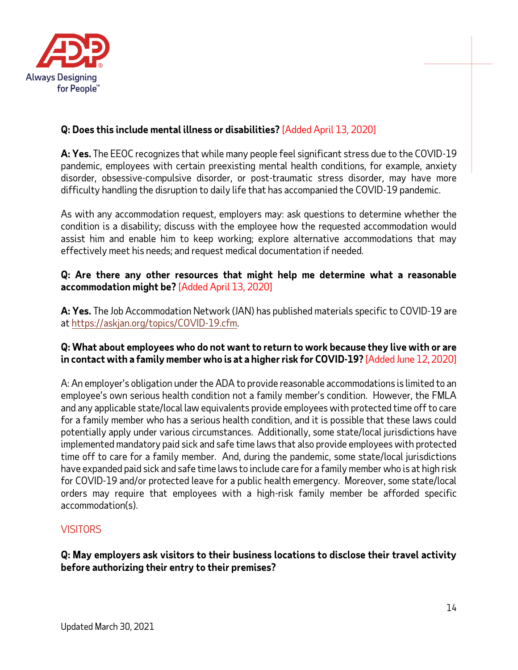

# **Q: Does this include mental illness or disabilities?** [Added April 13, 2020]

**A: Yes.** The EEOC recognizes that while many people feel significant stress due to the COVID-19 pandemic, employees with certain preexisting mental health conditions, for example, anxiety disorder, obsessive-compulsive disorder, or post-traumatic stress disorder, may have more difficulty handling the disruption to daily life that has accompanied the COVID-19 pandemic.

As with any accommodation request, employers may: ask questions to determine whether the condition is a disability; discuss with the employee how the requested accommodation would assist him and enable him to keep working; explore alternative accommodations that may effectively meet his needs; and request medical documentation if needed.

### **Q: Are there any other resources that might help me determine what a reasonable accommodation might be?** [Added April 13, 2020]

**A: Yes.** The Job Accommodation Network (JAN) has published materials specific to COVID-19 are a[t https://askjan.org/topics/COVID-19.cfm.](https://askjan.org/topics/COVID-19.cfm)

### **Q: What about employees who do not want to return to work because they live with or are in contact with a family member who is at a higher risk for COVID-19?** [Added June 12, 2020]

A: An employer's obligation under the ADA to provide reasonable accommodations is limited to an employee's own serious health condition not a family member's condition. However, the FMLA and any applicable state/local law equivalents provide employees with protected time off to care for a family member who has a serious health condition, and it is possible that these laws could potentially apply under various circumstances. Additionally, some state/local jurisdictions have implemented mandatory paid sick and safe time laws that also provide employees with protected time off to care for a family member. And, during the pandemic, some state/local jurisdictions have expanded paid sick and safe time laws to include care for a family member who is at high risk for COVID-19 and/or protected leave for a public health emergency. Moreover, some state/local orders may require that employees with a high-risk family member be afforded specific accommodation(s).

## <span id="page-13-0"></span>**VISITORS**

### **Q: May employers ask visitors to their business locations to disclose their travel activity before authorizing their entry to their premises?**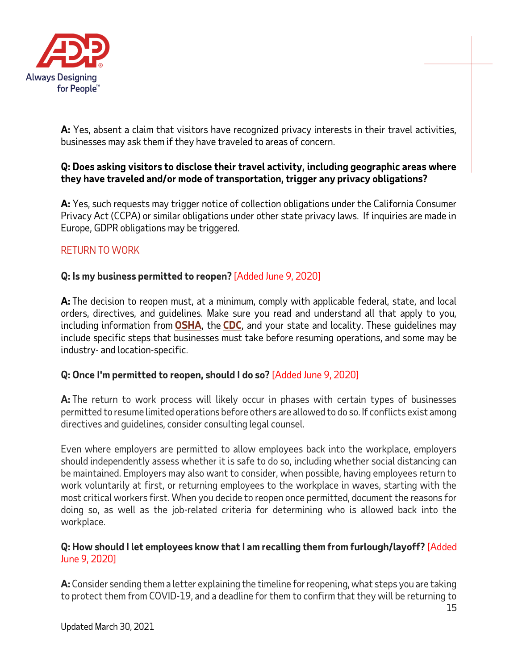

**A:** Yes, absent a claim that visitors have recognized privacy interests in their travel activities, businesses may ask them if they have traveled to areas of concern.

## **Q: Does asking visitors to disclose their travel activity, including geographic areas where they have traveled and/or mode of transportation, trigger any privacy obligations?**

**A:** Yes, such requests may trigger notice of collection obligations under the California Consumer Privacy Act (CCPA) or similar obligations under other state privacy laws. If inquiries are made in Europe, GDPR obligations may be triggered.

## <span id="page-14-0"></span>RETURN TO WORK

## **Q: Is my business permitted to reopen?** [Added June 9, 2020]

**A:** The decision to reopen must, at a minimum, comply with applicable federal, state, and local orders, directives, and guidelines. Make sure you read and understand all that apply to you, including information from **[OSHA](https://www.osha.gov/SLTC/covid-19/)**, the **[CDC](https://www.cdc.gov/coronavirus/2019-ncov/community/organizations/businesses-employers.html)**, and your state and locality. These guidelines may include specific steps that businesses must take before resuming operations, and some may be industry- and location-specific.

## **Q: Once I'm permitted to reopen, should I do so?** [Added June 9, 2020]

**A:** The return to work process will likely occur in phases with certain types of businesses permitted to resume limited operations before others are allowed to do so. If conflicts exist among directives and guidelines, consider consulting legal counsel.

Even where employers are permitted to allow employees back into the workplace, employers should independently assess whether it is safe to do so, including whether social distancing can be maintained. Employers may also want to consider, when possible, having employees return to work voluntarily at first, or returning employees to the workplace in waves, starting with the most critical workers first. When you decide to reopen once permitted, document the reasons for doing so, as well as the job-related criteria for determining who is allowed back into the workplace.

## **Q: How should I let employees know that I am recalling them from furlough/layoff?** [Added June 9, 2020]

**A:** Consider sending them a letter explaining the timeline for reopening, what steps you are taking to protect them from COVID-19, and a deadline for them to confirm that they will be returning to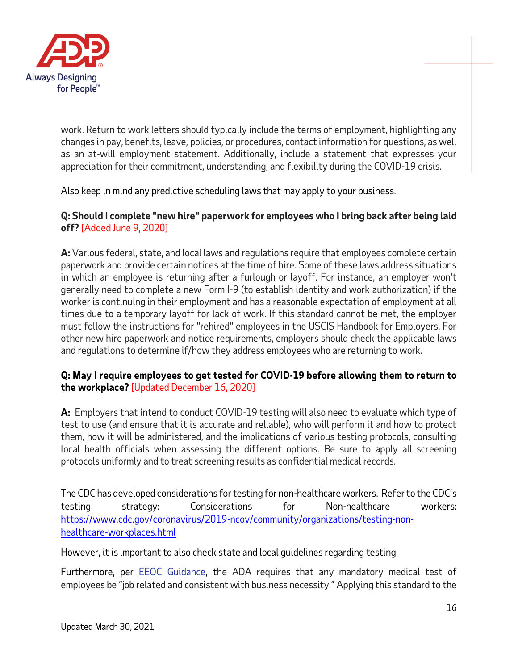

work. Return to work letters should typically include the terms of employment, highlighting any changes in pay, benefits, leave, policies, or procedures, contact information for questions, as well as an at-will employment statement. Additionally, include a statement that expresses your appreciation for their commitment, understanding, and flexibility during the COVID-19 crisis.

Also keep in mind any predictive scheduling laws that may apply to your business.

**Q: Should I complete "new hire" paperwork for employees who I bring back after being laid off?** [Added June 9, 2020]

**A:** Various federal, state, and local laws and regulations require that employees complete certain paperwork and provide certain notices at the time of hire. Some of these laws address situations in which an employee is returning after a furlough or layoff. For instance, an employer won't generally need to complete a new Form I-9 (to establish identity and work authorization) if the worker is continuing in their employment and has a reasonable expectation of employment at all times due to a temporary layoff for lack of work. If this standard cannot be met, the employer must follow the instructions for "rehired" employees in the USCIS Handbook for Employers. For other new hire paperwork and notice requirements, employers should check the applicable laws and regulations to determine if/how they address employees who are returning to work.

### **Q: May I require employees to get tested for COVID-19 before allowing them to return to the workplace?** [Updated December 16, 2020]

**A:** Employers that intend to conduct COVID-19 testing will also need to evaluate which type of test to use (and ensure that it is accurate and reliable), who will perform it and how to protect them, how it will be administered, and the implications of various testing protocols, consulting local health officials when assessing the different options. Be sure to apply all screening protocols uniformly and to treat screening results as confidential medical records.

The CDC has developed considerations for testing for non-healthcare workers. Refer to the CDC's testing strategy: Considerations for Non-healthcare workers: [https://www.cdc.gov/coronavirus/2019-ncov/community/organizations/testing-non](https://www.cdc.gov/coronavirus/2019-ncov/community/organizations/testing-non-healthcare-workplaces.html)[healthcare-workplaces.html](https://www.cdc.gov/coronavirus/2019-ncov/community/organizations/testing-non-healthcare-workplaces.html)

However, it is important to also check state and local guidelines regarding testing.

Furthermore, per EEOC Guidance, the ADA requires that any mandatory medical test of employees be "job related and consistent with business necessity." Applying this standard to the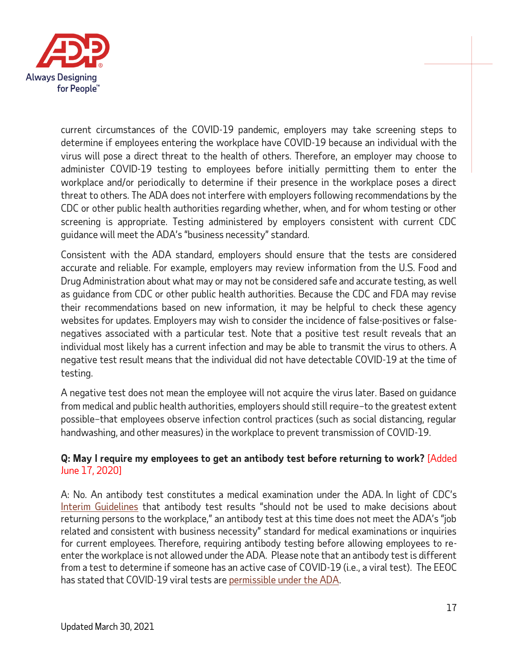

current circumstances of the COVID-19 pandemic, employers may take screening steps to determine if employees entering the workplace have COVID-19 because an individual with the virus will pose a direct threat to the health of others. Therefore, an employer may choose to administer COVID-19 testing to employees before initially permitting them to enter the workplace and/or periodically to determine if their presence in the workplace poses a direct threat to others. The ADA does not interfere with employers following recommendations by the CDC or other public health authorities regarding whether, when, and for whom testing or other screening is appropriate. Testing administered by employers consistent with current CDC guidance will meet the ADA's "business necessity" standard.

Consistent with the ADA standard, employers should ensure that the tests are considered accurate and reliable. For example, employers may review information from the U.S. Food and Drug Administration about what may or may not be considered safe and accurate testing, as well as guidance from CDC or other public health authorities. Because the CDC and FDA may revise their recommendations based on new information, it may be helpful to check these agency websites for updates. Employers may wish to consider the incidence of false-positives or falsenegatives associated with a particular test. Note that a positive test result reveals that an individual most likely has a current infection and may be able to transmit the virus to others. A negative test result means that the individual did not have detectable COVID-19 at the time of testing.

A negative test does not mean the employee will not acquire the virus later. Based on guidance from medical and public health authorities, employers should still require–to the greatest extent possible–that employees observe infection control practices (such as social distancing, regular handwashing, and other measures) in the workplace to prevent transmission of COVID-19.

## **Q: May I require my employees to get an antibody test before returning to work?** [Added June 17, 2020]

A: No. An antibody test constitutes a medical examination under the ADA. In light of CDC's [Interim Guidelines](https://urldefense.proofpoint.com/v2/url?u=https-3A__www.cdc.gov_coronavirus_2019-2Dncov_lab_resources_antibody-2Dtests-2Dguidelines.html&d=DwMGaQ&c=xu_5lAfKHjInGFR3ndoZrw&r=R-JFuP0n0ZVg37ftDZI3OUqa8YTx0gW3IHBZBC2KZXA&m=qJMFu3Qf_9KOl5SnOawSHputPbM7dZTxWSuFrjTbgj0&s=YGBeYbysXnhtKCPoiUQpF7xZ5hkG4OJxNlSczHkWOfs&e=) that antibody test results "should not be used to make decisions about returning persons to the workplace," an antibody test at this time does not meet the ADA's "job related and consistent with business necessity" standard for medical examinations or inquiries for current employees. Therefore, requiring antibody testing before allowing employees to reenter the workplace is not allowed under the ADA. Please note that an antibody test is different from a test to determine if someone has an active case of COVID-19 (i.e., a viral test). The EEOC has stated that COVID-19 viral tests ar[e permissible under the ADA.](https://urldefense.proofpoint.com/v2/url?u=https-3A__www.eeoc.gov_wysk_what-2Dyou-2Dshould-2Dknow-2Dabout-2Dcovid-2D19-2Dand-2Dada-2Drehabilitation-2Dact-2Dand-2Dother-2Deeo-2Dlaws-3Futm-5Fcontent-3D-26utm-5Fmedium-3Demail-26utm-5Fname-3D-26utm-5Fsource-3Dgovdelivery-26utm-5Fterm-3D-23A.6&d=DwMGaQ&c=xu_5lAfKHjInGFR3ndoZrw&r=R-JFuP0n0ZVg37ftDZI3OUqa8YTx0gW3IHBZBC2KZXA&m=qJMFu3Qf_9KOl5SnOawSHputPbM7dZTxWSuFrjTbgj0&s=6iOvp_EpV8IsfCkjyJjNvzwpb-qbR6-xGFhpnGQtdqQ&e=)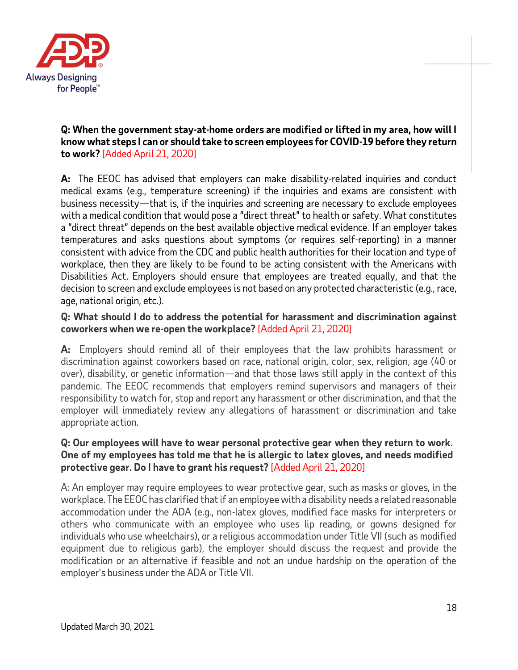

### **Q: When the government stay-at-home orders are modified or lifted in my area, how will I know what steps I can or should take to screen employees for COVID-19 before they return to work?** [Added April 21, 2020]

**A:** The EEOC has advised that employers can make disability-related inquiries and conduct medical exams (e.g., temperature screening) if the inquiries and exams are consistent with business necessity—that is, if the inquiries and screening are necessary to exclude employees with a medical condition that would pose a "direct threat" to health or safety. What constitutes a "direct threat" depends on the best available objective medical evidence. If an employer takes temperatures and asks questions about symptoms (or requires self-reporting) in a manner consistent with advice from the CDC and public health authorities for their location and type of workplace, then they are likely to be found to be acting consistent with the Americans with Disabilities Act. Employers should ensure that employees are treated equally, and that the decision to screen and exclude employees is not based on any protected characteristic (e.g., race, age, national origin, etc.).

## **Q: What should I do to address the potential for harassment and discrimination against coworkers when we re-open the workplace?** [Added April 21, 2020]

**A:** Employers should remind all of their employees that the law prohibits harassment or discrimination against coworkers based on race, national origin, color, sex, religion, age (40 or over), disability, or genetic information—and that those laws still apply in the context of this pandemic. The EEOC recommends that employers remind supervisors and managers of their responsibility to watch for, stop and report any harassment or other discrimination, and that the employer will immediately review any allegations of harassment or discrimination and take appropriate action.

### **Q: Our employees will have to wear personal protective gear when they return to work. One of my employees has told me that he is allergic to latex gloves, and needs modified protective gear. Do I have to grant his request?** [Added April 21, 2020]

A: An employer may require employees to wear protective gear, such as masks or gloves, in the workplace. The EEOC has clarified that if an employee with a disability needs a related reasonable accommodation under the ADA (e.g., non-latex gloves, modified face masks for interpreters or others who communicate with an employee who uses lip reading, or gowns designed for individuals who use wheelchairs), or a religious accommodation under Title VII (such as modified equipment due to religious garb), the employer should discuss the request and provide the modification or an alternative if feasible and not an undue hardship on the operation of the employer's business under the ADA or Title VII.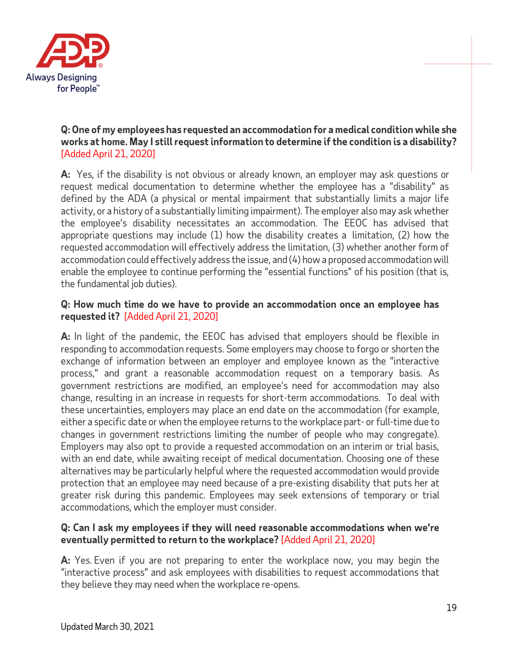

## **Q:One of my employees has requested an accommodation for a medical condition while she works at home. May I still request information to determine if the condition is a disability?** [Added April 21, 2020]

**A:** Yes, if the disability is not obvious or already known, an employer may ask questions or request medical documentation to determine whether the employee has a "disability" as defined by the ADA (a physical or mental impairment that substantially limits a major life activity, or a history of a substantially limiting impairment). The employer also may ask whether the employee's disability necessitates an accommodation. The EEOC has advised that appropriate questions may include (1) how the disability creates a limitation, (2) how the requested accommodation will effectively address the limitation, (3) whether another form of accommodation could effectively address the issue, and (4) how a proposed accommodation will enable the employee to continue performing the "essential functions" of his position (that is, the fundamental job duties).

### **Q: How much time do we have to provide an accommodation once an employee has requested it?** [Added April 21, 2020]

**A:** In light of the pandemic, the EEOC has advised that employers should be flexible in responding to accommodation requests. Some employers may choose to forgo or shorten the exchange of information between an employer and employee known as the "interactive process," and grant a reasonable accommodation request on a temporary basis. As government restrictions are modified, an employee's need for accommodation may also change, resulting in an increase in requests for short-term accommodations. To deal with these uncertainties, employers may place an end date on the accommodation (for example, either a specific date or when the employee returns to the workplace part- or full-time due to changes in government restrictions limiting the number of people who may congregate). Employers may also opt to provide a requested accommodation on an interim or trial basis, with an end date, while awaiting receipt of medical documentation. Choosing one of these alternatives may be particularly helpful where the requested accommodation would provide protection that an employee may need because of a pre-existing disability that puts her at greater risk during this pandemic. Employees may seek extensions of temporary or trial accommodations, which the employer must consider.

## **Q: Can I ask my employees if they will need reasonable accommodations when we're eventually permitted to return to the workplace?** [Added April 21, 2020]

**A:** Yes. Even if you are not preparing to enter the workplace now, you may begin the "interactive process" and ask employees with disabilities to request accommodations that they believe they may need when the workplace re-opens.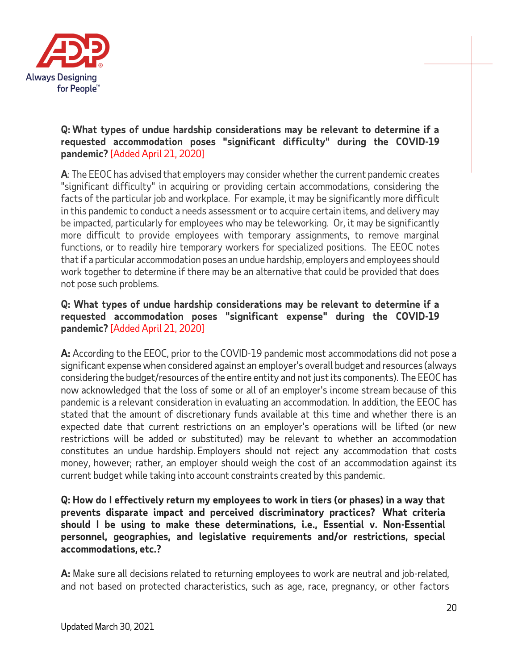

## **Q: What types of undue hardship considerations may be relevant to determine if a requested accommodation poses "significant difficulty" during the COVID-19 pandemic?** [Added April 21, 2020]

**A**: The EEOC has advised that employers may consider whether the current pandemic creates "significant difficulty" in acquiring or providing certain accommodations, considering the facts of the particular job and workplace. For example, it may be significantly more difficult in this pandemic to conduct a needs assessment or to acquire certain items, and delivery may be impacted, particularly for employees who may be teleworking. Or, it may be significantly more difficult to provide employees with temporary assignments, to remove marginal functions, or to readily hire temporary workers for specialized positions. The EEOC notes that if a particular accommodation poses an undue hardship, employers and employees should work together to determine if there may be an alternative that could be provided that does not pose such problems.

### **Q: What types of undue hardship considerations may be relevant to determine if a requested accommodation poses "significant expense" during the COVID-19 pandemic?** [Added April 21, 2020]

**A:** According to the EEOC, prior to the COVID-19 pandemic most accommodations did not pose a significant expense when considered against an employer's overall budget and resources (always considering the budget/resources of the entire entity and not just its components). The EEOC has now acknowledged that the loss of some or all of an employer's income stream because of this pandemic is a relevant consideration in evaluating an accommodation. In addition, the EEOC has stated that the amount of discretionary funds available at this time and whether there is an expected date that current restrictions on an employer's operations will be lifted (or new restrictions will be added or substituted) may be relevant to whether an accommodation constitutes an undue hardship. Employers should not reject any accommodation that costs money, however; rather, an employer should weigh the cost of an accommodation against its current budget while taking into account constraints created by this pandemic.

### **Q: How do I effectively return my employees to work in tiers (or phases) in a way that prevents disparate impact and perceived discriminatory practices? What criteria should I be using to make these determinations, i.e., Essential v. Non-Essential personnel, geographies, and legislative requirements and/or restrictions, special accommodations, etc.?**

**A:** Make sure all decisions related to returning employees to work are neutral and job-related, and not based on protected characteristics, such as age, race, pregnancy, or other factors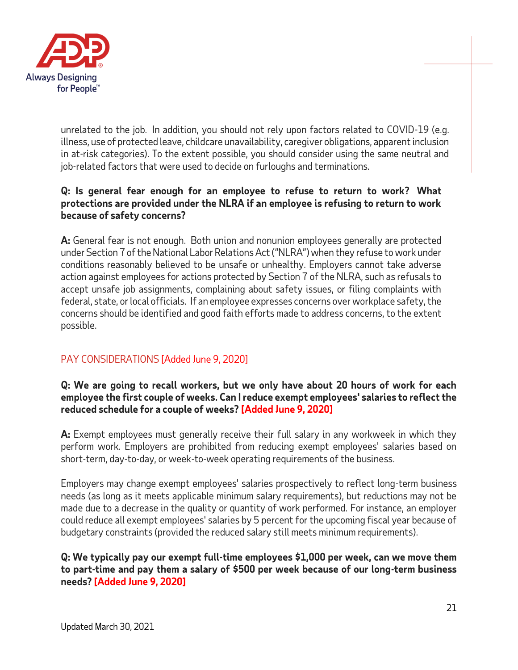

unrelated to the job. In addition, you should not rely upon factors related to COVID-19 (e.g. illness, use of protected leave, childcare unavailability, caregiver obligations, apparent inclusion in at-risk categories). To the extent possible, you should consider using the same neutral and job-related factors that were used to decide on furloughs and terminations.

### **Q: Is general fear enough for an employee to refuse to return to work? What protections are provided under the NLRA if an employee is refusing to return to work because of safety concerns?**

**A:** General fear is not enough. Both union and nonunion employees generally are protected under Section 7 of the National Labor Relations Act ("NLRA") when they refuse to work under conditions reasonably believed to be unsafe or unhealthy. Employers cannot take adverse action against employees for actions protected by Section 7 of the NLRA, such as refusals to accept unsafe job assignments, complaining about safety issues, or filing complaints with federal, state, or local officials. If an employee expresses concerns over workplace safety, the concerns should be identified and good faith efforts made to address concerns, to the extent possible.

## <span id="page-20-0"></span>PAY CONSIDERATIONS [Added June 9, 2020]

## **Q: We are going to recall workers, but we only have about 20 hours of work for each employee the first couple of weeks. Can I reduce exempt employees' salaries to reflect the reduced schedule for a couple of weeks? [Added June 9, 2020]**

**A:** Exempt employees must generally receive their full salary in any workweek in which they perform work. Employers are prohibited from reducing exempt employees' salaries based on short-term, day-to-day, or week-to-week operating requirements of the business.

Employers may change exempt employees' salaries prospectively to reflect long-term business needs (as long as it meets applicable minimum salary requirements), but reductions may not be made due to a decrease in the quality or quantity of work performed. For instance, an employer could reduce all exempt employees' salaries by 5 percent for the upcoming fiscal year because of budgetary constraints (provided the reduced salary still meets minimum requirements).

**Q: We typically pay our exempt full-time employees \$1,000 per week, can we move them to part-time and pay them a salary of \$500 per week because of our long-term business needs? [Added June 9, 2020]**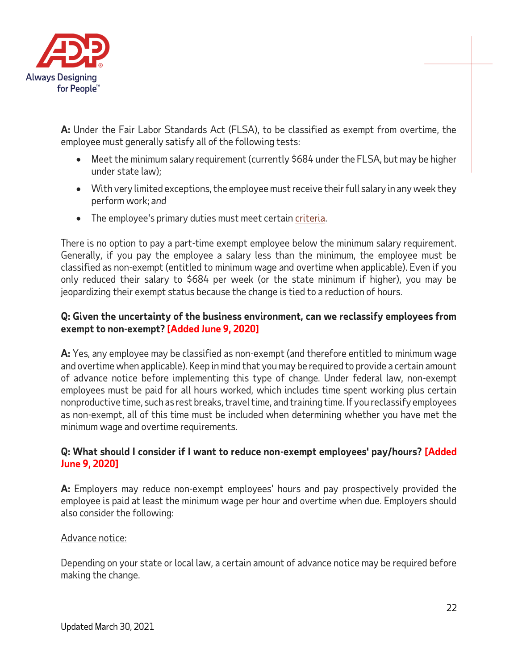

**A:** Under the Fair Labor Standards Act (FLSA), to be classified as exempt from overtime, the employee must generally satisfy all of the following tests:

- Meet the minimum salary requirement (currently \$684 under the FLSA, but may be higher under state law);
- With very limited exceptions, the employee must receive their full salary in any week they perform work; *and*
- The employee's primary duties must meet certain [criteria.](http://www.dol.gov/whd/overtime/fs17a_overview.htm)

There is no option to pay a part-time exempt employee below the minimum salary requirement. Generally, if you pay the employee a salary less than the minimum, the employee must be classified as non-exempt (entitled to minimum wage and overtime when applicable). Even if you only reduced their salary to \$684 per week (or the state minimum if higher), you may be jeopardizing their exempt status because the change is tied to a reduction of hours.

## **Q: Given the uncertainty of the business environment, can we reclassify employees from exempt to non-exempt? [Added June 9, 2020]**

**A:** Yes, any employee may be classified as non-exempt (and therefore entitled to minimum wage and overtime when applicable). Keep in mind that you may be required to provide a certain amount of advance notice before implementing this type of change. Under federal law, non-exempt employees must be paid for all hours worked, which includes time spent working plus certain nonproductive time, such as rest breaks, travel time, and training time. If you reclassify employees as non-exempt, all of this time must be included when determining whether you have met the minimum wage and overtime requirements.

## **Q: What should I consider if I want to reduce non-exempt employees' pay/hours? [Added June 9, 2020]**

**A:** Employers may reduce non-exempt employees' hours and pay prospectively provided the employee is paid at least the minimum wage per hour and overtime when due. Employers should also consider the following:

## Advance notice:

Depending on your state or local law, a certain amount of advance notice may be required before making the change.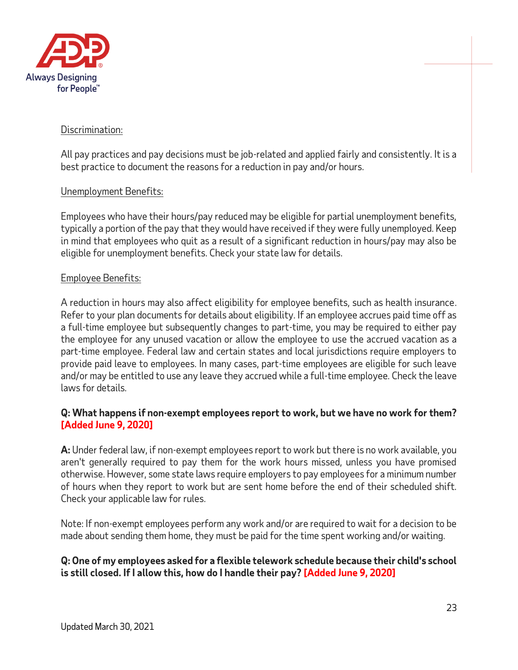

### Discrimination:

All pay practices and pay decisions must be job-related and applied fairly and consistently. It is a best practice to document the reasons for a reduction in pay and/or hours.

### Unemployment Benefits:

Employees who have their hours/pay reduced may be eligible for partial unemployment benefits, typically a portion of the pay that they would have received if they were fully unemployed. Keep in mind that employees who quit as a result of a significant reduction in hours/pay may also be eligible for unemployment benefits. Check your state law for details.

#### Employee Benefits:

A reduction in hours may also affect eligibility for employee benefits, such as health insurance. Refer to your plan documents for details about eligibility. If an employee accrues paid time off as a full-time employee but subsequently changes to part-time, you may be required to either pay the employee for any unused vacation or allow the employee to use the accrued vacation as a part-time employee. Federal law and certain states and local jurisdictions require employers to provide paid leave to employees. In many cases, part-time employees are eligible for such leave and/or may be entitled to use any leave they accrued while a full-time employee. Check the leave laws for details.

### **Q: What happens if non-exempt employees report to work, but we have no work for them? [Added June 9, 2020]**

**A:** Under federal law, if non-exempt employees report to work but there is no work available, you aren't generally required to pay them for the work hours missed, unless you have promised otherwise. However, some state laws require employers to pay employees for a minimum number of hours when they report to work but are sent home before the end of their scheduled shift. Check your applicable law for rules.

Note: If non-exempt employees perform any work and/or are required to wait for a decision to be made about sending them home, they must be paid for the time spent working and/or waiting.

### **Q: One of my employees asked for a flexible telework schedule because their child's school is still closed. If I allow this, how do I handle their pay? [Added June 9, 2020]**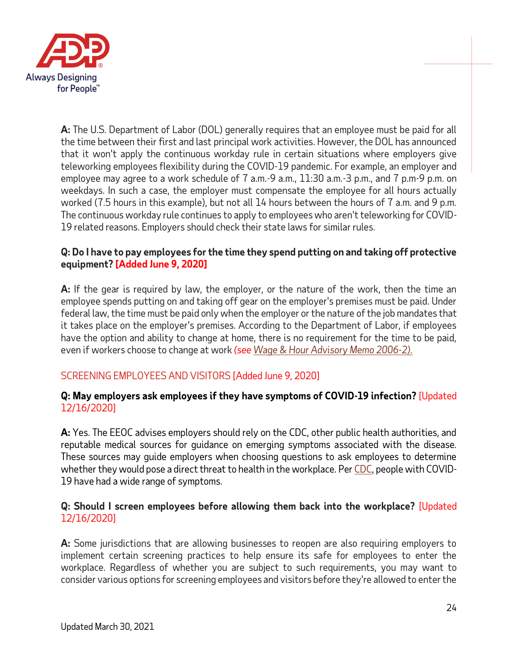

**A:** The U.S. Department of Labor (DOL) generally requires that an employee must be paid for all the time between their first and last principal work activities. However, the DOL has announced that it won't apply the continuous workday rule in certain situations where employers give teleworking employees flexibility during the COVID-19 pandemic. For example, an employer and employee may agree to a work schedule of 7 a.m.-9 a.m., 11:30 a.m.-3 p.m., and 7 p.m-9 p.m. on weekdays. In such a case, the employer must compensate the employee for all hours actually worked (7.5 hours in this example), but not all 14 hours between the hours of 7 a.m. and 9 p.m. The continuous workday rule continues to apply to employees who aren't teleworking for COVID-19 related reasons. Employers should check their state laws for similar rules.

## <span id="page-23-1"></span>**Q: Do I have to pay employees for the time they spend putting on and taking off protective equipment? [Added June 9, 2020]**

**A:** If the gear is required by law, the employer, or the nature of the work, then the time an employee spends putting on and taking off gear on the employer's premises must be paid. Under federal law, the time must be paid only when the employer or the nature of the job mandates that it takes place on the employer's premises. According to the Department of Labor, if employees have the option and ability to change at home, there is no requirement for the time to be paid, even if workers choose to change at work *(se[e Wage & Hour Advisory Memo 2006-2\).](https://www.dol.gov/agencies/whd/field-assistance-bulletins/2006-2)*

## <span id="page-23-0"></span>SCREENING EMPLOYEES AND VISITORS [Added June 9, 2020]

### **Q: May employers ask employees if they have symptoms of COVID-19 infection?** [Updated 12/16/2020]

**A:** Yes. The EEOC advises employers should rely on the CDC, other public health authorities, and reputable medical sources for guidance on emerging symptoms associated with the disease. These sources may guide employers when choosing questions to ask employees to determine whether they would pose a direct threat to health in the workplace. Per [CDC,](https://www.cdc.gov/coronavirus/2019-ncov/symptoms-testing/symptoms.html) people with COVID-19 have had a wide range of symptoms.

## **Q: Should I screen employees before allowing them back into the workplace?** [Updated 12/16/2020]

**A:** Some jurisdictions that are allowing businesses to reopen are also requiring employers to implement certain screening practices to help ensure its safe for employees to enter the workplace. Regardless of whether you are subject to such requirements, you may want to consider various options for screening employees and visitors before they're allowed to enter the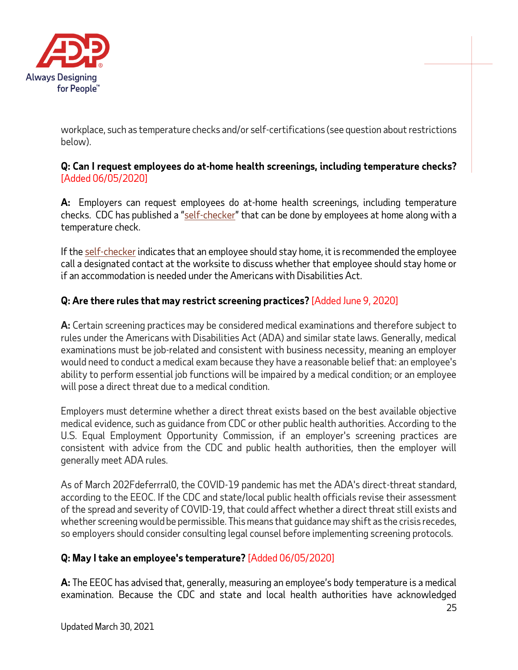

workplace, such as temperature checks and/or self-certifications (see question about restrictions below).

## **Q: Can I request employees do at-home health screenings, including temperature checks?**  [Added 06/05/2020]

**A:** Employers can request employees do at-home health screenings, including temperature checks. CDC has published a "[self-checker](https://covid19healthbot.cdc.gov/)" that can be done by employees at home along with a temperature check.

If th[e self-checker](https://covid19healthbot.cdc.gov/) indicates that an employee should stay home, it is recommended the employee call a designated contact at the worksite to discuss whether that employee should stay home or if an accommodation is needed under the Americans with Disabilities Act.

## **Q: Are there rules that may restrict screening practices?** [Added June 9, 2020]

**A:** Certain screening practices may be considered medical examinations and therefore subject to rules under the Americans with Disabilities Act (ADA) and similar state laws. Generally, medical examinations must be job-related and consistent with business necessity, meaning an employer would need to conduct a medical exam because they have a reasonable belief that: an employee's ability to perform essential job functions will be impaired by a medical condition; or an employee will pose a direct threat due to a medical condition.

Employers must determine whether a direct threat exists based on the best available objective medical evidence, such as guidance from CDC or other public health authorities. According to the U.S. Equal Employment Opportunity Commission, if an employer's screening practices are consistent with advice from the CDC and public health authorities, then the employer will generally meet ADA rules.

As of March 202Fdeferrral0, the COVID-19 pandemic has met the ADA's direct-threat standard, according to the EEOC. If the CDC and state/local public health officials revise their assessment of the spread and severity of COVID-19, that could affect whether a direct threat still exists and whether screening would be permissible. This means that guidance may shift as the crisis recedes, so employers should consider consulting legal counsel before implementing screening protocols.

## **Q: May I take an employee's temperature?** [Added 06/05/2020]

**A:** The EEOC has advised that, generally, measuring an employee's body temperature is a medical examination. Because the CDC and state and local health authorities have acknowledged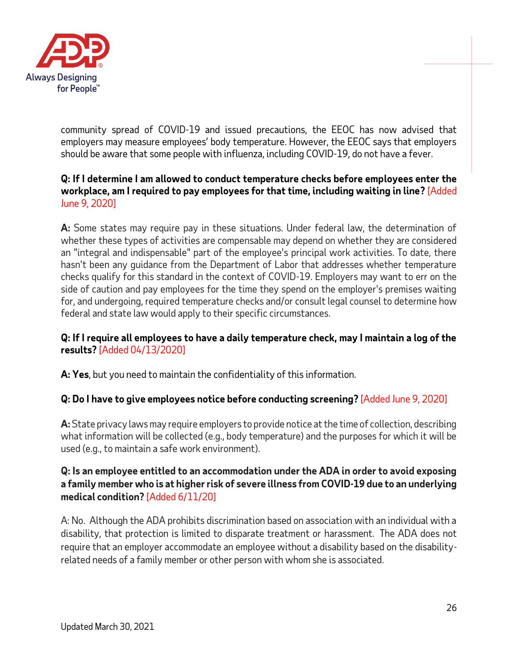

community spread of COVID-19 and issued precautions, the EEOC has now advised that employers may measure employees' body temperature. However, the EEOC says that employers should be aware that some people with influenza, including COVID-19, do not have a fever.

### **Q: If I determine I am allowed to conduct temperature checks before employees enter the workplace, am I required to pay employees for that time, including waiting in line?** [Added June 9, 2020]

**A:** Some states may require pay in these situations. Under federal law, the determination of whether these types of activities are compensable may depend on whether they are considered an "integral and indispensable" part of the employee's principal work activities. To date, there hasn't been any guidance from the Department of Labor that addresses whether temperature checks qualify for this standard in the context of COVID-19. Employers may want to err on the side of caution and pay employees for the time they spend on the employer's premises waiting for, and undergoing, required temperature checks and/or consult legal counsel to determine how federal and state law would apply to their specific circumstances.

### **Q: If I require all employees to have a daily temperature check, may I maintain a log of the results?** [Added 04/13/2020]

**A: Yes**, but you need to maintain the confidentiality of this information.

## **Q: Do I have to give employees notice before conducting screening?** [Added June 9, 2020]

**A:** State privacy laws may require employers to provide notice at the time of collection, describing what information will be collected (e.g., body temperature) and the purposes for which it will be used (e.g., to maintain a safe work environment).

## **Q: Is an employee entitled to an accommodation under the ADA in order to avoid exposing a family member who is at higher risk of severe illness from COVID-19 due to an underlying medical condition?** [Added 6/11/20]

A: No. Although the ADA prohibits discrimination based on association with an individual with a disability, that protection is limited to disparate treatment or harassment. The ADA does not require that an employer accommodate an employee without a disability based on the disabilityrelated needs of a family member or other person with whom she is associated.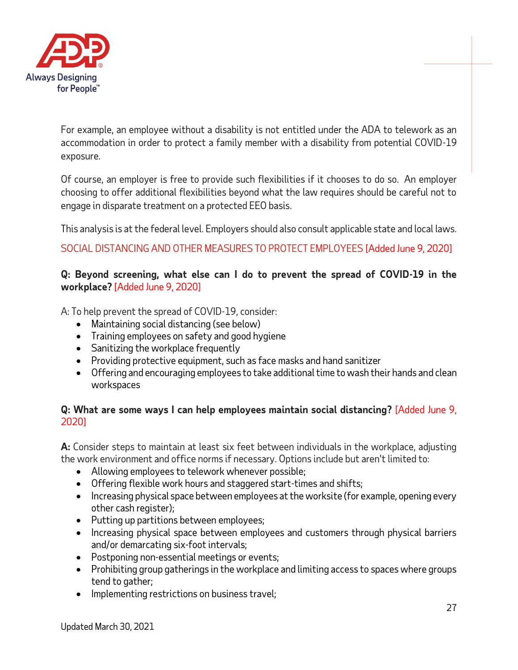

For example, an employee without a disability is not entitled under the ADA to telework as an accommodation in order to protect a family member with a disability from potential COVID-19 exposure.

Of course, an employer is free to provide such flexibilities if it chooses to do so. An employer choosing to offer additional flexibilities beyond what the law requires should be careful not to engage in disparate treatment on a protected EEO basis.

This analysis is at the federal level. Employers should also consult applicable state and local laws.

## <span id="page-26-0"></span>SOCIAL DISTANCING AND OTHER MEASURES TO PROTECT EMPLOYEES [Added June 9, 2020]

## **Q: Beyond screening, what else can I do to prevent the spread of COVID-19 in the workplace?** [Added June 9, 2020]

A: To help prevent the spread of COVID-19, consider:

- Maintaining social distancing (see below)
- Training employees on safety and good hygiene
- Sanitizing the workplace frequently
- Providing protective equipment, such as face masks and hand sanitizer
- Offering and encouraging employees to take additional time to wash their hands and clean workspaces

## **Q: What are some ways I can help employees maintain social distancing?** [Added June 9, 2020]

**A:** Consider steps to maintain at least six feet between individuals in the workplace, adjusting the work environment and office norms if necessary. Options include but aren't limited to:

- Allowing employees to telework whenever possible;
- Offering flexible work hours and staggered start-times and shifts;
- Increasing physical space between employees at the worksite (for example, opening every other cash register);
- Putting up partitions between employees;
- Increasing physical space between employees and customers through physical barriers and/or demarcating six-foot intervals;
- Postponing non-essential meetings or events;
- Prohibiting group gatherings in the workplace and limiting access to spaces where groups tend to gather;
- Implementing restrictions on business travel;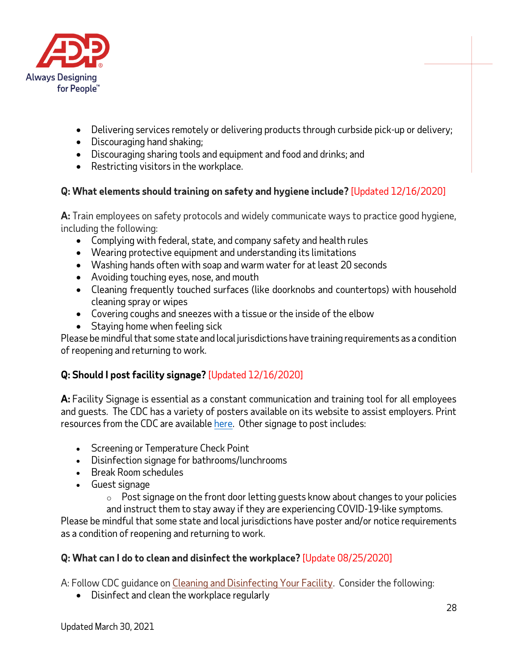

- Delivering services remotely or delivering products through curbside pick-up or delivery;
- Discouraging hand shaking;
- Discouraging sharing tools and equipment and food and drinks; and
- Restricting visitors in the workplace.

# **Q: What elements should training on safety and hygiene include?** [Updated 12/16/2020]

**A:** Train employees on safety protocols and widely communicate ways to practice good hygiene, including the following:

- Complying with federal, state, and company safety and health rules
- Wearing protective equipment and understanding its limitations
- Washing hands often with soap and warm water for at least 20 seconds
- Avoiding touching eyes, nose, and mouth
- Cleaning frequently touched surfaces (like doorknobs and countertops) with household cleaning spray or wipes
- Covering coughs and sneezes with a tissue or the inside of the elbow
- Staying home when feeling sick

Please be mindful that some state and local jurisdictions have training requirements as a condition of reopening and returning to work.

## **Q: Should I post facility signage?** [Updated 12/16/2020]

**A:** Facility Signage is essential as a constant communication and training tool for all employees and guests. The CDC has a variety of posters available on its website to assist employers. Print resources from the CDC are available [here.](https://www.cdc.gov/coronavirus/2019-ncov/communication/print-resources.html) Other signage to post includes:

- Screening or Temperature Check Point
- Disinfection signage for bathrooms/lunchrooms
- Break Room schedules
- Guest signage
	- $\circ$  Post signage on the front door letting guests know about changes to your policies and instruct them to stay away if they are experiencing COVID-19-like symptoms.

Please be mindful that some state and local jurisdictions have poster and/or notice requirements as a condition of reopening and returning to work.

## **Q: What can I do to clean and disinfect the workplace?** [Update 08/25/2020]

A: Follow CDC guidance on [Cleaning and Disinfecting Your Facility.](https://www.cdc.gov/coronavirus/2019-ncov/community/disinfecting-building-facility.html) Consider the following:

• Disinfect and clean the workplace regularly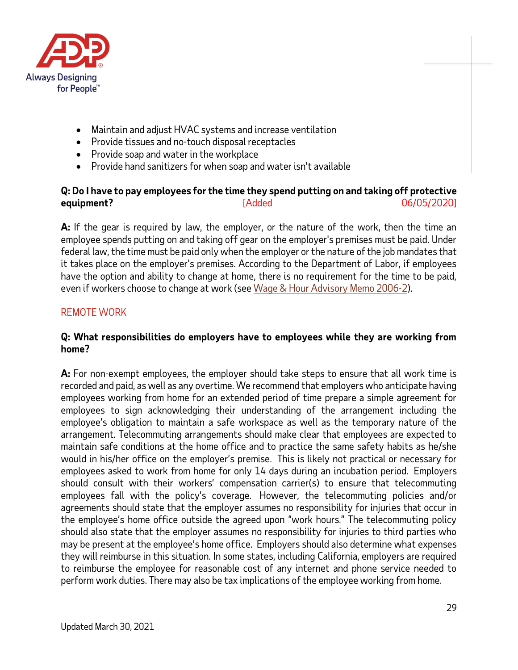

- Maintain and adjust HVAC systems and increase ventilation
- Provide tissues and no-touch disposal receptacles
- Provide soap and water in the workplace
- Provide hand sanitizers for when soap and water isn't available

## **Q: Do I have to pay employees for the time they spend putting on and taking off protective equipment?** [Added 06/05/2020]

**A:** If the gear is required by law, the employer, or the nature of the work, then the time an employee spends putting on and taking off gear on the employer's premises must be paid. Under federal law, the time must be paid only when the employer or the nature of the job mandates that it takes place on the employer's premises. According to the Department of Labor, if employees have the option and ability to change at home, there is no requirement for the time to be paid, even if workers choose to change at work (se[e Wage & Hour Advisory Memo 2006-2\)](http://www.dol.gov/whd/FieldBulletins/AdvisoryMemo2006_2.htm).

## REMOTE WORK

#### **Q: What responsibilities do employers have to employees while they are working from home?**

**A:** For non-exempt employees, the employer should take steps to ensure that all work time is recorded and paid, as well as any overtime. We recommend that employers who anticipate having employees working from home for an extended period of time prepare a simple agreement for employees to sign acknowledging their understanding of the arrangement including the employee's obligation to maintain a safe workspace as well as the temporary nature of the arrangement. Telecommuting arrangements should make clear that employees are expected to maintain safe conditions at the home office and to practice the same safety habits as he/she would in his/her office on the employer's premise. This is likely not practical or necessary for employees asked to work from home for only 14 days during an incubation period. Employers should consult with their workers' compensation carrier(s) to ensure that telecommuting employees fall with the policy's coverage. However, the telecommuting policies and/or agreements should state that the employer assumes no responsibility for injuries that occur in the employee's home office outside the agreed upon "work hours." The telecommuting policy should also state that the employer assumes no responsibility for injuries to third parties who may be present at the employee's home office. Employers should also determine what expenses they will reimburse in this situation. In some states, including California, employers are required to reimburse the employee for reasonable cost of any internet and phone service needed to perform work duties. There may also be tax implications of the employee working from home.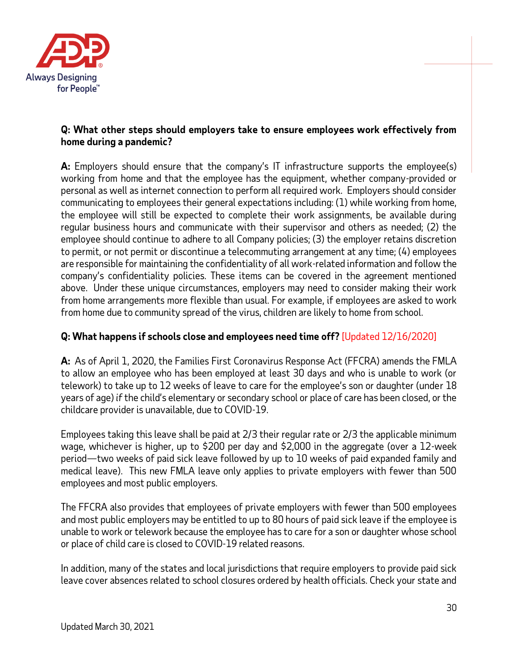

### **Q: What other steps should employers take to ensure employees work effectively from home during a pandemic?**

**A:** Employers should ensure that the company's IT infrastructure supports the employee(s) working from home and that the employee has the equipment, whether company-provided or personal as well as internet connection to perform all required work. Employers should consider communicating to employees their general expectations including: (1) while working from home, the employee will still be expected to complete their work assignments, be available during regular business hours and communicate with their supervisor and others as needed; (2) the employee should continue to adhere to all Company policies; (3) the employer retains discretion to permit, or not permit or discontinue a telecommuting arrangement at any time; (4) employees are responsible for maintaining the confidentiality of all work-related information and follow the company's confidentiality policies. These items can be covered in the agreement mentioned above. Under these unique circumstances, employers may need to consider making their work from home arrangements more flexible than usual. For example, if employees are asked to work from home due to community spread of the virus, children are likely to home from school.

## **Q: What happens if schools close and employees need time off?** [Updated 12/16/2020]

**A:** As of April 1, 2020, the Families First Coronavirus Response Act (FFCRA) amends the FMLA to allow an employee who has been employed at least 30 days and who is unable to work (or telework) to take up to 12 weeks of leave to care for the employee's son or daughter (under 18 years of age) *if*the child's elementary or secondary school or place of care has been closed, or the childcare provider is unavailable, due to COVID-19.

Employees taking this leave shall be paid at 2/3 their regular rate or 2/3 the applicable minimum wage, whichever is higher, up to \$200 per day and \$2,000 in the aggregate (over a 12-week period—two weeks of paid sick leave followed by up to 10 weeks of paid expanded family and medical leave). This new FMLA leave only applies to private employers with fewer than 500 employees and most public employers.

The FFCRA also provides that employees of private employers with fewer than 500 employees and most public employers may be entitled to up to 80 hours of paid sick leave if the employee is unable to work or telework because the employee has to care for a son or daughter whose school or place of child care is closed to COVID-19 related reasons.

In addition, many of the states and local jurisdictions that require employers to provide paid sick leave cover absences related to school closures ordered by health officials. Check your state and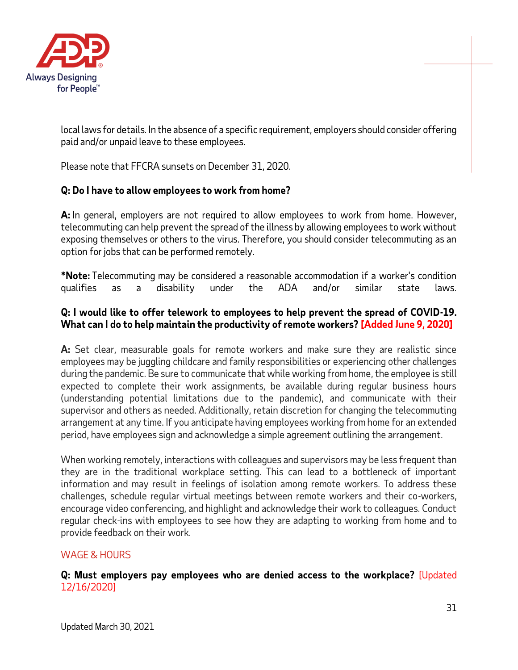

local laws for details. In the absence of a specific requirement, employers should consider offering paid and/or unpaid leave to these employees.

Please note that FFCRA sunsets on December 31, 2020.

## **Q: Do I have to allow employees to work from home?**

**A:** In general, employers are not required to allow employees to work from home. However, telecommuting can help prevent the spread of the illness by allowing employees to work without exposing themselves or others to the virus. Therefore, you should consider telecommuting as an option for jobs that can be performed remotely.

**\*Note:** Telecommuting may be considered a reasonable accommodation if a worker's condition qualifies as a disability under the ADA and/or similar state laws.

## **Q: I would like to offer telework to employees to help prevent the spread of COVID-19. What can I do to help maintain the productivity of remote workers? [Added June 9, 2020]**

**A:** Set clear, measurable goals for remote workers and make sure they are realistic since employees may be juggling childcare and family responsibilities or experiencing other challenges during the pandemic. Be sure to communicate that while working from home, the employee is still expected to complete their work assignments, be available during regular business hours (understanding potential limitations due to the pandemic), and communicate with their supervisor and others as needed. Additionally, retain discretion for changing the telecommuting arrangement at any time. If you anticipate having employees working from home for an extended period, have employees sign and acknowledge a simple agreement outlining the arrangement.

When working remotely, interactions with colleagues and supervisors may be less frequent than they are in the traditional workplace setting. This can lead to a bottleneck of important information and may result in feelings of isolation among remote workers. To address these challenges, schedule regular virtual meetings between remote workers and their co-workers, encourage video conferencing, and highlight and acknowledge their work to colleagues. Conduct regular check-ins with employees to see how they are adapting to working from home and to provide feedback on their work.

## <span id="page-30-0"></span>WAGE & HOURS

**Q: Must employers pay employees who are denied access to the workplace?** [Updated 12/16/2020]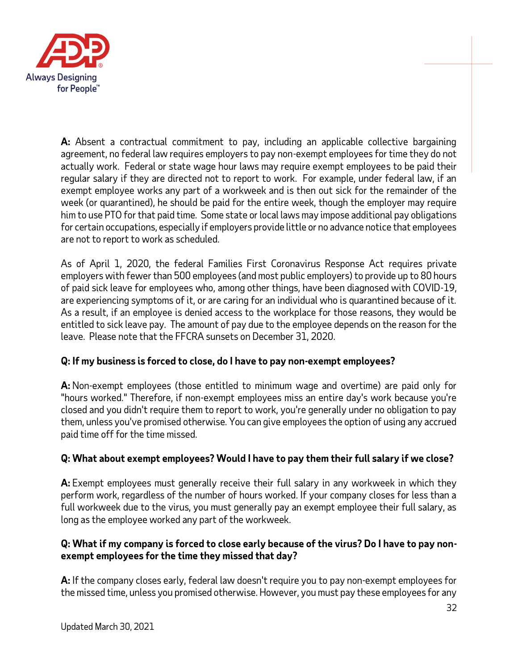

**A:** Absent a contractual commitment to pay, including an applicable collective bargaining agreement, no federal law requires employers to pay non-exempt employees for time they do not actually work. Federal or state wage hour laws may require exempt employees to be paid their regular salary if they are directed not to report to work. For example, under federal law, if an exempt employee works any part of a workweek and is then out sick for the remainder of the week (or quarantined), he should be paid for the entire week, though the employer may require him to use PTO for that paid time. Some state or local laws may impose additional pay obligations for certain occupations, especially if employers provide little or no advance notice that employees are not to report to work as scheduled.

As of April 1, 2020, the federal Families First Coronavirus Response Act requires private employers with fewer than 500 employees (and most public employers) to provide up to 80 hours of paid sick leave for employees who, among other things, have been diagnosed with COVID-19, are experiencing symptoms of it, or are caring for an individual who is quarantined because of it. As a result, if an employee is denied access to the workplace for those reasons, they would be entitled to sick leave pay. The amount of pay due to the employee depends on the reason for the leave. Please note that the FFCRA sunsets on December 31, 2020.

## **Q: If my business is forced to close, do I have to pay non-exempt employees?**

**A:** Non-exempt employees (those entitled to minimum wage and overtime) are paid only for "hours worked." Therefore, if non-exempt employees miss an entire day's work because you're closed and you didn't require them to report to work, you're generally under no obligation to pay them, unless you've promised otherwise. You can give employees the option of using any accrued paid time off for the time missed.

## **Q: What about exempt employees? Would I have to pay them their full salary if we close?**

**A:** Exempt employees must generally receive their full salary in any workweek in which they perform work, regardless of the number of hours worked. If your company closes for less than a full workweek due to the virus, you must generally pay an exempt employee their full salary, as long as the employee worked any part of the workweek.

## **Q: What if my company is forced to close early because of the virus? Do I have to pay nonexempt employees for the time they missed that day?**

**A:** If the company closes early, federal law doesn't require you to pay non-exempt employees for the missed time, unless you promised otherwise. However, you must pay these employees for any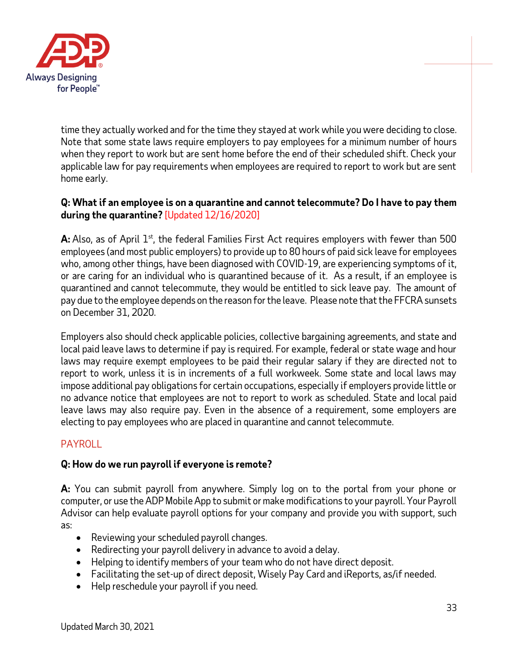

time they actually worked and for the time they stayed at work while you were deciding to close. Note that some state laws require employers to pay employees for a minimum number of hours when they report to work but are sent home before the end of their scheduled shift. Check your applicable law for pay requirements when employees are required to report to work but are sent home early.

## **Q: What if an employee is on a quarantine and cannot telecommute? Do I have to pay them during the quarantine?** [Updated 12/16/2020]

**A:** Also, as of April 1<sup>st</sup>, the federal Families First Act requires employers with fewer than 500 employees (and most public employers) to provide up to 80 hours of paid sick leave for employees who, among other things, have been diagnosed with COVID-19, are experiencing symptoms of it, or are caring for an individual who is quarantined because of it. As a result, if an employee is quarantined and cannot telecommute, they would be entitled to sick leave pay. The amount of pay due to the employee depends on the reason for the leave. Please note that the FFCRA sunsets on December 31, 2020.

Employers also should check applicable policies, collective bargaining agreements, and state and local paid leave laws to determine if pay is required. For example, federal or state wage and hour laws may require exempt employees to be paid their regular salary if they are directed not to report to work, unless it is in increments of a full workweek. Some state and local laws may impose additional pay obligations for certain occupations, especially if employers provide little or no advance notice that employees are not to report to work as scheduled. State and local paid leave laws may also require pay. Even in the absence of a requirement, some employers are electing to pay employees who are placed in quarantine and cannot telecommute.

## <span id="page-32-0"></span>PAYROLL

## **Q: How do we run payroll if everyone is remote?**

**A:** You can submit payroll from anywhere. Simply log on to the portal from your phone or computer, or use the ADP Mobile App to submit or make modifications to your payroll. Your Payroll Advisor can help evaluate payroll options for your company and provide you with support, such as:

- Reviewing your scheduled payroll changes.
- Redirecting your payroll delivery in advance to avoid a delay.
- Helping to identify members of your team who do not have direct deposit.
- Facilitating the set-up of direct deposit, Wisely Pay Card and iReports, as/if needed.
- Help reschedule your payroll if you need.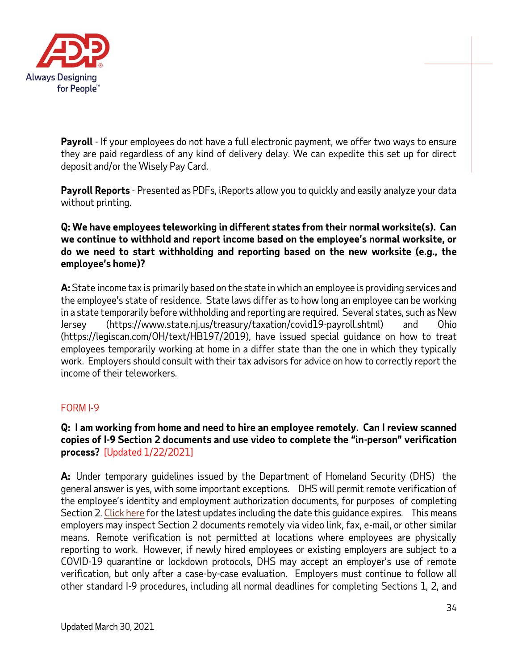

**Payroll** - If your employees do not have a full electronic payment, we offer two ways to ensure they are paid regardless of any kind of delivery delay. We can expedite this set up for direct deposit and/or the Wisely Pay Card.

**Payroll Reports** - Presented as PDFs, iReports allow you to quickly and easily analyze your data without printing.

## **Q: We have employees teleworking in different states from their normal worksite(s). Can we continue to withhold and report income based on the employee's normal worksite, or do we need to start withholding and reporting based on the new worksite (e.g., the employee's home)?**

**A:** State income tax is primarily based on the state in which an employee is providing services and the employee's state of residence. State laws differ as to how long an employee can be working in a state temporarily before withholding and reporting are required. Several states, such as New Jersey (https://www.state.nj.us/treasury/taxation/covid19-payroll.shtml) and Ohio (https://legiscan.com/OH/text/HB197/2019), have issued special guidance on how to treat employees temporarily working at home in a differ state than the one in which they typically work. Employers should consult with their tax advisors for advice on how to correctly report the income of their teleworkers.

## <span id="page-33-0"></span>FORM I-9

## **Q: I am working from home and need to hire an employee remotely. Can I review scanned copies of I-9 Section 2 documents and use video to complete the "in-person" verification process?** [Updated 1/22/2021]

**A:** Under temporary guidelines issued by the Department of Homeland Security (DHS) the general answer is yes, with some important exceptions. DHS will permit remote verification of the employee's identity and employment authorization documents, for purposes of completing Section 2. [Click here](https://www.uscis.gov/i-9-central/form-i-9-related-news/temporary-policies-related-to-covid-19) for the latest updates including the date this guidance expires. This means employers may inspect Section 2 documents remotely via video link, fax, e-mail, or other similar means. Remote verification is not permitted at locations where employees are physically reporting to work. However, if newly hired employees or existing employers are subject to a COVID-19 quarantine or lockdown protocols, DHS may accept an employer's use of remote verification, but only after a case-by-case evaluation. Employers must continue to follow all other standard I-9 procedures, including all normal deadlines for completing Sections 1, 2, and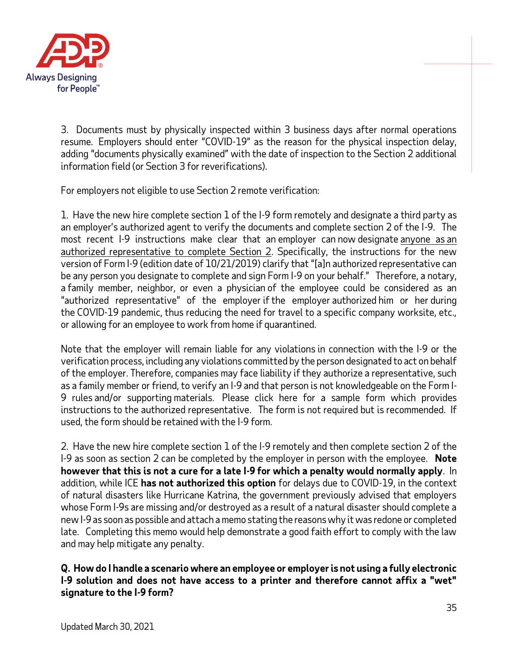

3. Documents must by physically inspected within 3 business days after normal operations resume. Employers should enter "COVID-19" as the reason for the physical inspection delay, adding "documents physically examined" with the date of inspection to the Section 2 additional information field (or Section 3 for reverifications).

For employers not eligible to use Section 2 remote verification:

1. Have the new hire complete section 1 of the I-9 form remotely and designate a third party as an employer's authorized agent to verify the documents and complete section 2 of the I-9. The most recent I-9 instructions make clear that an employer can now designate anyone as an authorized representative to complete Section 2. Specifically, the instructions for the new version of Form I-9 (edition date of 10/21/2019) clarify that "[a]n authorized representative can be any person you designate to complete and sign Form I-9 on your behalf." Therefore, a notary, a family member, neighbor, or even a physician of the employee could be considered as an "authorized representative" of the employer if the employer authorized him or her during the COVID-19 pandemic, thus reducing the need for travel to a specific company worksite, etc., or allowing for an employee to work from home if quarantined.

Note that the employer will remain liable for any violations in connection with the I-9 or the verification process, including any violations committed by the person designated to act on behalf of the employer. Therefore, companies may face liability if they authorize a representative, such as a family member or friend, to verify an I-9 and that person is not knowledgeable on the Form I-9 rules and/or supporting materials. Please click here for a sample form which provides instructions to the authorized representative. The form is not required but is recommended. If used, the form should be retained with the I-9 form.

2. Have the new hire complete section 1 of the I-9 remotely and then complete section 2 of the I-9 as soon as section 2 can be completed by the employer in person with the employee. **Note however that this is not a cure for a late I-9 for which a penalty would normally apply**. In addition, while ICE **has not authorized this option** for delays due to COVID-19, in the context of natural disasters like Hurricane Katrina, the government previously advised that employers whose Form I-9s are missing and/or destroyed as a result of a natural disaster should complete a new I-9 as soon as possible and attach a memo stating the reasons why it was redone or completed late. Completing this memo would help demonstrate a good faith effort to comply with the law and may help mitigate any penalty.

**Q. How do I handle a scenario where an employee or employer is not using a fully electronic I-9 solution and does not have access to a printer and therefore cannot affix a "wet" signature to the I-9 form?**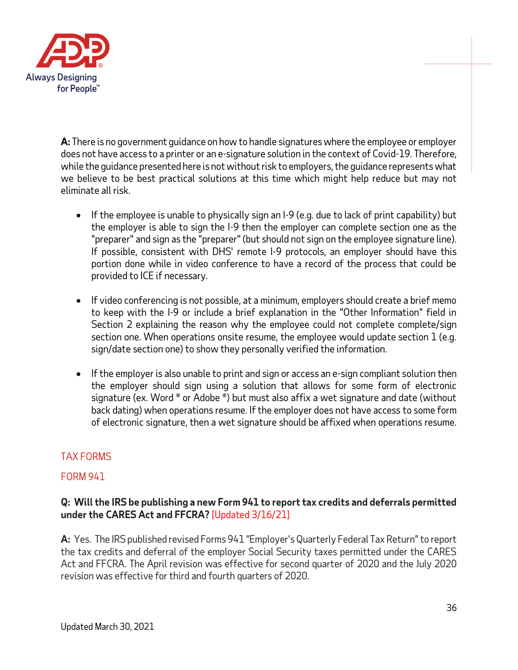

**A:** There is no government guidance on how to handle signatures where the employee or employer does not have access to a printer or an e-signature solution in the context of Covid-19. Therefore, while the guidance presented here is not without risk to employers, the guidance represents what we believe to be best practical solutions at this time which might help reduce but may not eliminate all risk.

- If the employee is unable to physically sign an I-9 (e.g. due to lack of print capability) but the employer is able to sign the I-9 then the employer can complete section one as the "preparer" and sign as the "preparer" (but should not sign on the employee signature line). If possible, consistent with DHS' remote I-9 protocols, an employer should have this portion done while in video conference to have a record of the process that could be provided to ICE if necessary.
- If video conferencing is not possible, at a minimum, employers should create a brief memo to keep with the I-9 or include a brief explanation in the "Other Information" field in Section 2 explaining the reason why the employee could not complete complete/sign section one. When operations onsite resume, the employee would update section  $1$  (e.g. sign/date section one) to show they personally verified the information.
- If the employer is also unable to print and sign or access an e-sign compliant solution then the employer should sign using a solution that allows for some form of electronic signature (ex. Word ® or Adobe ®) but must also affix a wet signature and date (without back dating) when operations resume. If the employer does not have access to some form of electronic signature, then a wet signature should be affixed when operations resume.

# <span id="page-35-0"></span>TAX FORMS

## FORM 941

## **Q: Will the IRS be publishing a new Form 941 to report tax credits and deferrals permitted under the CARES Act and FFCRA?** [Updated 3/16/21]

**A:** Yes. The IRS published revised Forms 941 "Employer's Quarterly Federal Tax Return" to report the tax credits and deferral of the employer Social Security taxes permitted under the CARES Act and FFCRA. The April revision was effective for second quarter of 2020 and the July 2020 revision was effective for third and fourth quarters of 2020.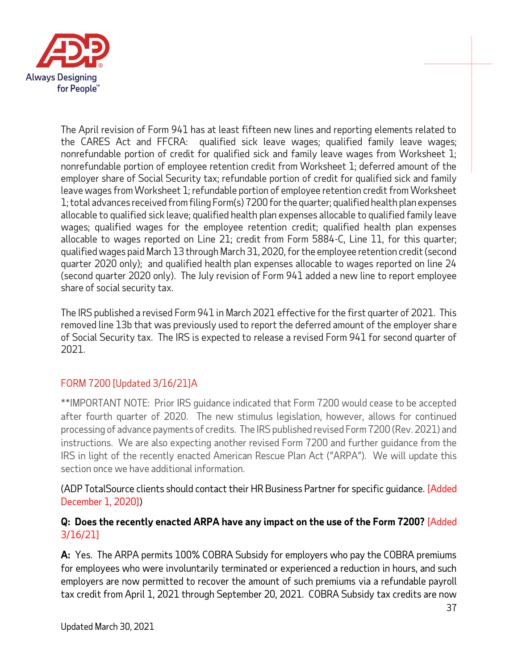

The April revision of Form 941 has at least fifteen new lines and reporting elements related to the CARES Act and FFCRA: qualified sick leave wages; qualified family leave wages; nonrefundable portion of credit for qualified sick and family leave wages from Worksheet 1; nonrefundable portion of employee retention credit from Worksheet 1; deferred amount of the employer share of Social Security tax; refundable portion of credit for qualified sick and family leave wages from Worksheet 1; refundable portion of employee retention credit from Worksheet 1; total advances received from filing Form(s) 7200 for the quarter; qualified health plan expenses allocable to qualified sick leave; qualified health plan expenses allocable to qualified family leave wages; qualified wages for the employee retention credit; qualified health plan expenses allocable to wages reported on Line 21; credit from Form 5884-C, Line 11, for this quarter; qualified wages paid March 13 through March 31, 2020, for the employee retention credit (second quarter 2020 only); and qualified health plan expenses allocable to wages reported on line 24 (second quarter 2020 only). The July revision of Form 941 added a new line to report employee share of social security tax.

The IRS published a revised Form 941 in March 2021 effective for the first quarter of 2021. This removed line 13b that was previously used to report the deferred amount of the employer share of Social Security tax. The IRS is expected to release a revised Form 941 for second quarter of 2021.

# FORM 7200 [Updated 3/16/21]A

\*\*IMPORTANT NOTE: Prior IRS guidance indicated that Form 7200 would cease to be accepted after fourth quarter of 2020. The new stimulus legislation, however, allows for continued processing of advance payments of credits. The IRS published revised Form 7200 (Rev. 2021) and instructions. We are also expecting another revised Form 7200 and further guidance from the IRS in light of the recently enacted American Rescue Plan Act ("ARPA"). We will update this section once we have additional information.

(ADP TotalSource clients should contact their HR Business Partner for specific guidance. [Added December 1, 2020])

## **Q: Does the recently enacted ARPA have any impact on the use of the Form 7200?** [Added 3/16/21]

**A:** Yes. The ARPA permits 100% COBRA Subsidy for employers who pay the COBRA premiums for employees who were involuntarily terminated or experienced a reduction in hours, and such employers are now permitted to recover the amount of such premiums via a refundable payroll tax credit from April 1, 2021 through September 20, 2021. COBRA Subsidy tax credits are now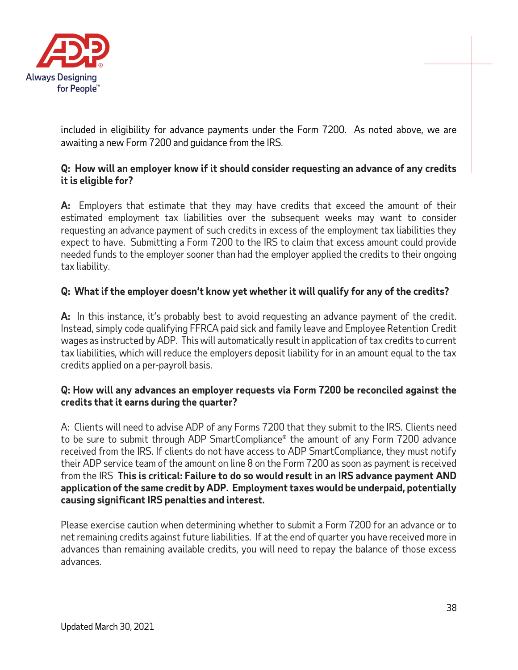

included in eligibility for advance payments under the Form 7200. As noted above, we are awaiting a new Form 7200 and guidance from the IRS.

## **Q: How will an employer know if it should consider requesting an advance of any credits it is eligible for?**

**A:** Employers that estimate that they may have credits that exceed the amount of their estimated employment tax liabilities over the subsequent weeks may want to consider requesting an advance payment of such credits in excess of the employment tax liabilities they expect to have. Submitting a Form 7200 to the IRS to claim that excess amount could provide needed funds to the employer sooner than had the employer applied the credits to their ongoing tax liability.

## **Q: What if the employer doesn't know yet whether it will qualify for any of the credits?**

**A:** In this instance, it's probably best to avoid requesting an advance payment of the credit. Instead, simply code qualifying FFRCA paid sick and family leave and Employee Retention Credit wages as instructed by ADP. This will automatically result in application of tax credits to current tax liabilities, which will reduce the employers deposit liability for in an amount equal to the tax credits applied on a per-payroll basis.

#### **Q: How will any advances an employer requests via Form 7200 be reconciled against the credits that it earns during the quarter?**

A: Clients will need to advise ADP of any Forms 7200 that they submit to the IRS. Clients need to be sure to submit through ADP SmartCompliance® the amount of any Form 7200 advance received from the IRS. If clients do not have access to ADP SmartCompliance, they must notify their ADP service team of the amount on line 8 on the Form 7200 as soon as payment is received from the IRS **This is critical: Failure to do so would result in an IRS advance payment AND application of the same credit by ADP. Employment taxes would be underpaid, potentially causing significant IRS penalties and interest.** 

Please exercise caution when determining whether to submit a Form 7200 for an advance or to net remaining credits against future liabilities. If at the end of quarter you have received more in advances than remaining available credits, you will need to repay the balance of those excess advances.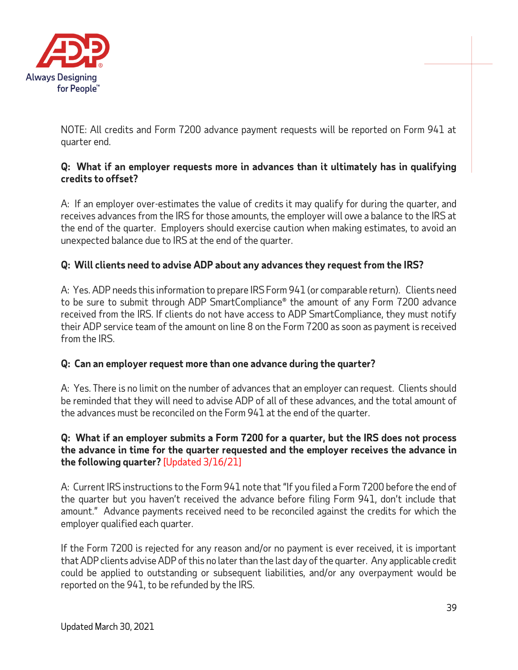

NOTE: All credits and Form 7200 advance payment requests will be reported on Form 941 at quarter end.

## **Q: What if an employer requests more in advances than it ultimately has in qualifying credits to offset?**

A: If an employer over-estimates the value of credits it may qualify for during the quarter, and receives advances from the IRS for those amounts, the employer will owe a balance to the IRS at the end of the quarter. Employers should exercise caution when making estimates, to avoid an unexpected balance due to IRS at the end of the quarter.

# **Q: Will clients need to advise ADP about any advances they request from the IRS?**

A: Yes. ADP needs this information to prepare IRS Form 941 (or comparable return). Clients need to be sure to submit through ADP SmartCompliance® the amount of any Form 7200 advance received from the IRS. If clients do not have access to ADP SmartCompliance, they must notify their ADP service team of the amount on line 8 on the Form 7200 as soon as payment is received from the IRS.

## **Q: Can an employer request more than one advance during the quarter?**

A: Yes. There is no limit on the number of advances that an employer can request. Clients should be reminded that they will need to advise ADP of all of these advances, and the total amount of the advances must be reconciled on the Form 941 at the end of the quarter.

### **Q: What if an employer submits a Form 7200 for a quarter, but the IRS does not process the advance in time for the quarter requested and the employer receives the advance in the following quarter?** [Updated 3/16/21]

A: Current IRS instructions to the Form 941 note that "If you filed a Form 7200 before the end of the quarter but you haven't received the advance before filing Form 941, don't include that amount." Advance payments received need to be reconciled against the credits for which the employer qualified each quarter.

If the Form 7200 is rejected for any reason and/or no payment is ever received, it is important that ADP clients advise ADP of this no later than the last day of the quarter. Any applicable credit could be applied to outstanding or subsequent liabilities, and/or any overpayment would be reported on the 941, to be refunded by the IRS.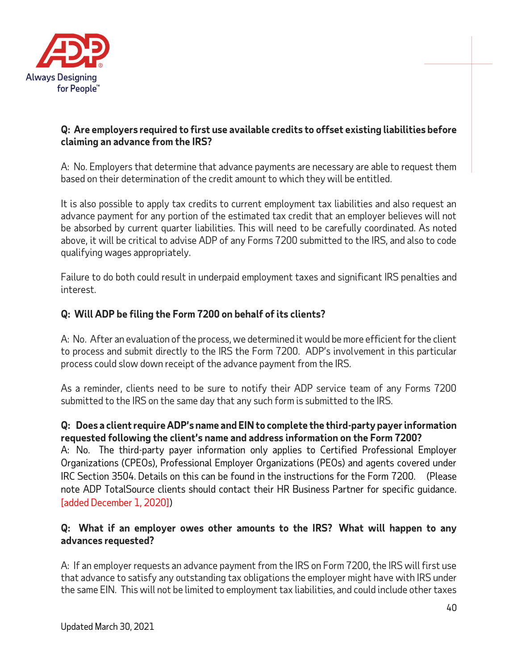

## **Q: Are employers required to first use available credits to offset existing liabilities before claiming an advance from the IRS?**

A: No. Employers that determine that advance payments are necessary are able to request them based on their determination of the credit amount to which they will be entitled.

It is also possible to apply tax credits to current employment tax liabilities and also request an advance payment for any portion of the estimated tax credit that an employer believes will not be absorbed by current quarter liabilities. This will need to be carefully coordinated. As noted above, it will be critical to advise ADP of any Forms 7200 submitted to the IRS, and also to code qualifying wages appropriately.

Failure to do both could result in underpaid employment taxes and significant IRS penalties and interest.

# **Q: Will ADP be filing the Form 7200 on behalf of its clients?**

A: No. After an evaluation of the process, we determined it would be more efficient for the client to process and submit directly to the IRS the Form 7200. ADP's involvement in this particular process could slow down receipt of the advance payment from the IRS.

As a reminder, clients need to be sure to notify their ADP service team of any Forms 7200 submitted to the IRS on the same day that any such form is submitted to the IRS.

## **Q: Does a client require ADP's name and EIN to complete the third-party payer information requested following the client's name and address information on the Form 7200?**

A: No. The third-party payer information only applies to Certified Professional Employer Organizations (CPEOs), Professional Employer Organizations (PEOs) and agents covered under IRC Section 3504. Details on this can be found in the instructions for the Form 7200. (Please note ADP TotalSource clients should contact their HR Business Partner for specific guidance. [added December 1, 2020])

## **Q: What if an employer owes other amounts to the IRS? What will happen to any advances requested?**

A: If an employer requests an advance payment from the IRS on Form 7200, the IRS will first use that advance to satisfy any outstanding tax obligations the employer might have with IRS under the same EIN. This will not be limited to employment tax liabilities, and could include other taxes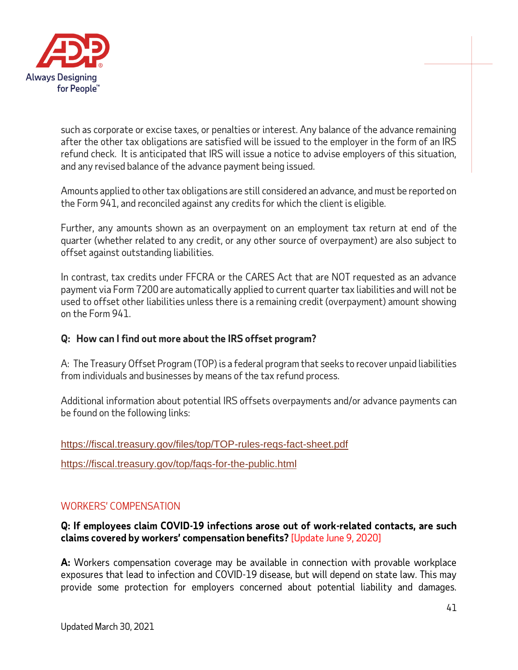

such as corporate or excise taxes, or penalties or interest. Any balance of the advance remaining after the other tax obligations are satisfied will be issued to the employer in the form of an IRS refund check. It is anticipated that IRS will issue a notice to advise employers of this situation, and any revised balance of the advance payment being issued.

Amounts applied to other tax obligations are still considered an advance, and must be reported on the Form 941, and reconciled against any credits for which the client is eligible.

Further, any amounts shown as an overpayment on an employment tax return at end of the quarter (whether related to any credit, or any other source of overpayment) are also subject to offset against outstanding liabilities.

In contrast, tax credits under FFCRA or the CARES Act that are NOT requested as an advance payment via Form 7200 are automatically applied to current quarter tax liabilities and will not be used to offset other liabilities unless there is a remaining credit (overpayment) amount showing on the Form 941.

## **Q: How can I find out more about the IRS offset program?**

A: The Treasury Offset Program (TOP) is a federal program that seeks to recover unpaid liabilities from individuals and businesses by means of the tax refund process.

Additional information about potential IRS offsets overpayments and/or advance payments can be found on the following links:

#### <https://fiscal.treasury.gov/files/top/TOP-rules-reqs-fact-sheet.pdf>

<https://fiscal.treasury.gov/top/faqs-for-the-public.html>

## WORKERS' COMPENSATION

#### **Q: If employees claim COVID-19 infections arose out of work-related contacts, are such claims covered by workers' compensation benefits?** [Update June 9, 2020]

**A:** Workers compensation coverage may be available in connection with provable workplace exposures that lead to infection and COVID-19 disease, but will depend on state law. This may provide some protection for employers concerned about potential liability and damages.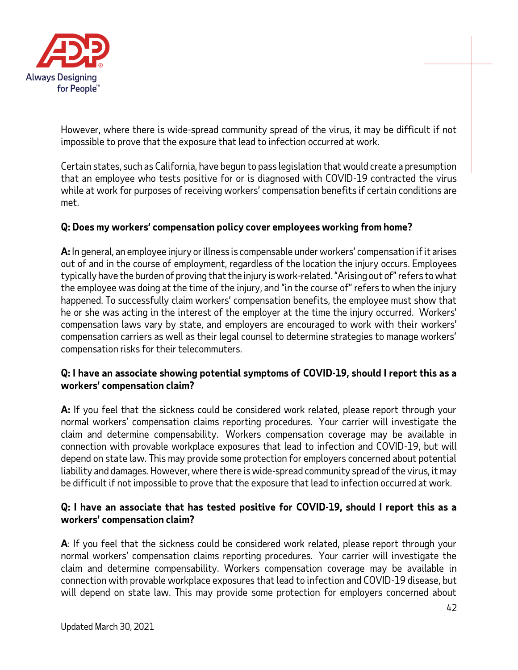

However, where there is wide-spread community spread of the virus, it may be difficult if not impossible to prove that the exposure that lead to infection occurred at work.

Certain states, such as California, have begun to pass legislation that would create a presumption that an employee who tests positive for or is diagnosed with COVID-19 contracted the virus while at work for purposes of receiving workers' compensation benefits if certain conditions are met.

#### **Q: Does my workers' compensation policy cover employees working from home?**

**A:** In general, an employee injury or illness is compensable under workers' compensation if it arises out of and in the course of employment, regardless of the location the injury occurs. Employees typically have the burden of proving that the injury is work-related. "Arising out of" refers to what the employee was doing at the time of the injury, and "in the course of" refers to when the injury happened. To successfully claim workers' compensation benefits, the employee must show that he or she was acting in the interest of the employer at the time the injury occurred. Workers' compensation laws vary by state, and employers are encouraged to work with their workers' compensation carriers as well as their legal counsel to determine strategies to manage workers' compensation risks for their telecommuters.

## **Q: I have an associate showing potential symptoms of COVID-19, should I report this as a workers' compensation claim?**

**A:** If you feel that the sickness could be considered work related, please report through your normal workers' compensation claims reporting procedures. Your carrier will investigate the claim and determine compensability. Workers compensation coverage may be available in connection with provable workplace exposures that lead to infection and COVID-19, but will depend on state law. This may provide some protection for employers concerned about potential liability and damages. However, where there is wide-spread community spread of the virus, it may be difficult if not impossible to prove that the exposure that lead to infection occurred at work.

## **Q: I have an associate that has tested positive for COVID-19, should I report this as a workers' compensation claim?**

**A**: If you feel that the sickness could be considered work related, please report through your normal workers' compensation claims reporting procedures. Your carrier will investigate the claim and determine compensability. Workers compensation coverage may be available in connection with provable workplace exposures that lead to infection and COVID-19 disease, but will depend on state law. This may provide some protection for employers concerned about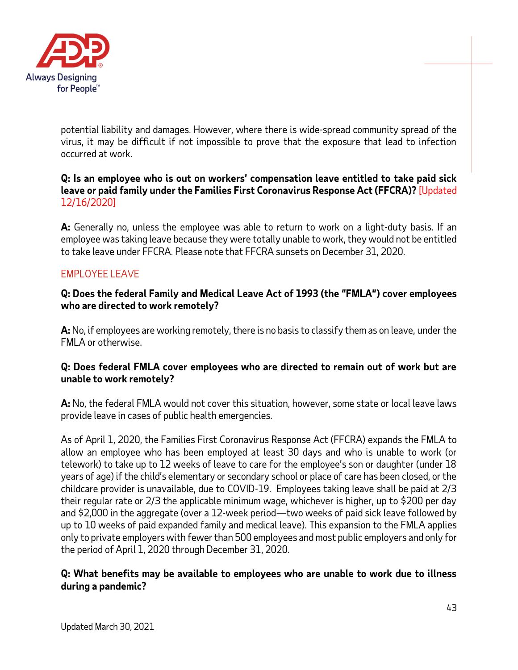

potential liability and damages. However, where there is wide-spread community spread of the virus, it may be difficult if not impossible to prove that the exposure that lead to infection occurred at work.

### **Q: Is an employee who is out on workers' compensation leave entitled to take paid sick leave or paid family under the Families First Coronavirus Response Act (FFCRA)?** [Updated 12/16/2020]

**A:** Generally no, unless the employee was able to return to work on a light-duty basis. If an employee was taking leave because they were totally unable to work, they would not be entitled to take leave under FFCRA. Please note that FFCRA sunsets on December 31, 2020.

# EMPLOYEE LEAVE

#### **Q: Does the federal Family and Medical Leave Act of 1993 (the "FMLA") cover employees who are directed to work remotely?**

**A:** No, if employees are working remotely, there is no basis to classify them as on leave, under the FMLA or otherwise.

## **Q: Does federal FMLA cover employees who are directed to remain out of work but are unable to work remotely?**

**A:** No, the federal FMLA would not cover this situation, however, some state or local leave laws provide leave in cases of public health emergencies.

As of April 1, 2020, the Families First Coronavirus Response Act (FFCRA) expands the FMLA to allow an employee who has been employed at least 30 days and who is unable to work (or telework) to take up to 12 weeks of leave to care for the employee's son or daughter (under 18 years of age) if the child's elementary or secondary school or place of care has been closed, or the childcare provider is unavailable, due to COVID-19. Employees taking leave shall be paid at 2/3 their regular rate or 2/3 the applicable minimum wage, whichever is higher, up to \$200 per day and \$2,000 in the aggregate (over a 12-week period—two weeks of paid sick leave followed by up to 10 weeks of paid expanded family and medical leave). This expansion to the FMLA applies only to private employers with fewer than 500 employees and most public employers and only for the period of April 1, 2020 through December 31, 2020.

#### **Q: What benefits may be available to employees who are unable to work due to illness during a pandemic?**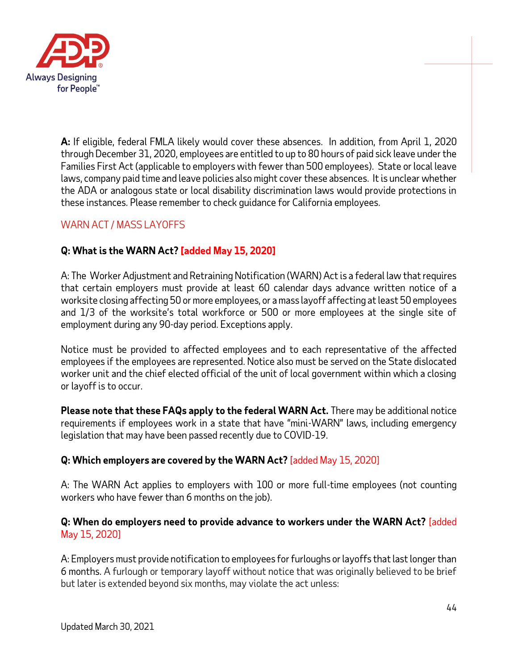

**A:** If eligible, federal FMLA likely would cover these absences. In addition, from April 1, 2020 through December 31, 2020, employees are entitled to up to 80 hours of paid sick leave under the Families First Act (applicable to employers with fewer than 500 employees). State or local leave laws, company paid time and leave policies also might cover these absences. It is unclear whether the ADA or analogous state or local disability discrimination laws would provide protections in these instances. Please remember to check guidance for California employees.

# WARN ACT / MASS LAYOFFS

# **Q: What is the WARN Act? [added May 15, 2020]**

A: The Worker Adjustment and Retraining Notification (WARN) Act is a federal law that requires that certain employers must provide at least 60 calendar days advance written notice of a worksite closing affecting 50 or more employees, or a mass layoff affecting at least 50 employees and 1/3 of the worksite's total workforce or 500 or more employees at the single site of employment during any 90-day period. Exceptions apply.

Notice must be provided to affected employees and to each representative of the affected employees if the employees are represented. Notice also must be served on the State dislocated worker unit and the chief elected official of the unit of local government within which a closing or layoff is to occur.

**Please note that these FAQs apply to the federal WARN Act.** There may be additional notice requirements if employees work in a state that have "mini-WARN" laws, including emergency legislation that may have been passed recently due to COVID-19.

## **Q: Which employers are covered by the WARN Act?** [added May 15, 2020]

A: The WARN Act applies to employers with 100 or more full-time employees (not counting workers who have fewer than 6 months on the job).

## **Q: When do employers need to provide advance to workers under the WARN Act?** [added May 15, 2020]

A: Employers must provide notification to employees for furloughs or layoffs that last longer than 6 months. A furlough or temporary layoff without notice that was originally believed to be brief but later is extended beyond six months, may violate the act unless: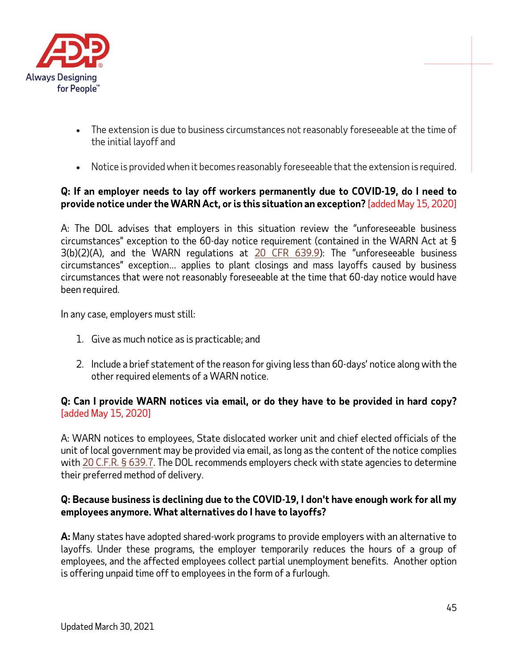

- The extension is due to business circumstances not reasonably foreseeable at the time of the initial layoff and
- Notice is provided when it becomes reasonably foreseeable that the extension is required.

## **Q: If an employer needs to lay off workers permanently due to COVID-19, do I need to provide notice under the WARN Act, or is this situation an exception?** [added May 15, 2020]

A: The DOL advises that employers in this situation review the "unforeseeable business circumstances" exception to the 60-day notice requirement (contained in the WARN Act at § 3(b)(2)(A), and the WARN regulations at [20 CFR 639.9\)](https://www.ecfr.gov/cgi-bin/text-idx?SID=8f7a3f55ab8522f1671c269dece9ee56&mc=true&node=pt20.3.639&rgn=div5#se20.3.639_19): The "unforeseeable business circumstances" exception… applies to plant closings and mass layoffs caused by business circumstances that were not reasonably foreseeable at the time that 60-day notice would have been required.

In any case, employers must still:

- 1. Give as much notice as is practicable; and
- 2. Include a brief statement of the reason for giving less than 60-days' notice along with the other required elements of a WARN notice.

#### **Q: Can I provide WARN notices via email, or do they have to be provided in hard copy?**  [added May 15, 2020]

A: WARN notices to employees, State dislocated worker unit and chief elected officials of the unit of local government may be provided via email, as long as the content of the notice complies wit[h 20 C.F.R. § 639.7.](https://www.govregs.com/regulations/expand/title20_chapterV_part639_section639.7#title20_chapterV_part639_section639.7) The DOL recommends employers check with state agencies to determine their preferred method of delivery.

#### **Q: Because business is declining due to the COVID-19, I don't have enough work for all my employees anymore. What alternatives do I have to layoffs?**

**A:** Many states have adopted shared-work programs to provide employers with an alternative to layoffs. Under these programs, the employer temporarily reduces the hours of a group of employees, and the affected employees collect partial unemployment benefits. Another option is offering unpaid time off to employees in the form of a furlough.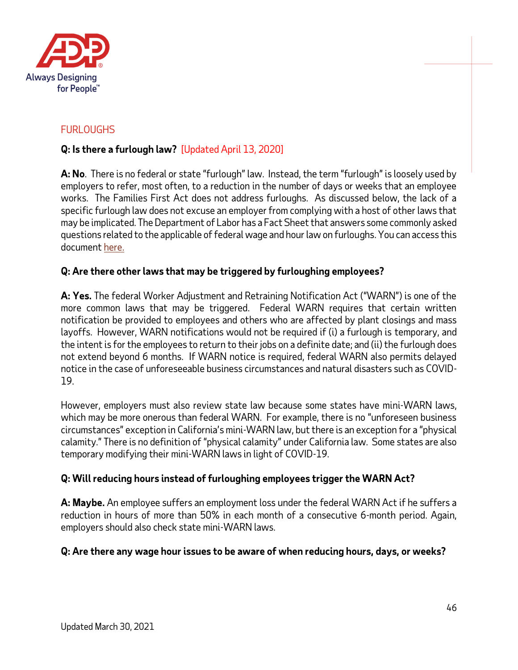

# FURLOUGHS

# **Q: Is there a furlough law?** [Updated April 13, 2020]

**A: No**. There is no federal or state "furlough" law. Instead, the term "furlough" is loosely used by employers to refer, most often, to a reduction in the number of days or weeks that an employee works. The Families First Act does not address furloughs. As discussed below, the lack of a specific furlough law does not excuse an employer from complying with a host of other laws that may be implicated. The Department of Labor has a Fact Sheet that answers some commonly asked questions related to the applicable of federal wage and hour law on furloughs. You can access this documen[t here.](https://www.dol.gov/agencies/whd/fact-sheets/70-flsa-furloughs)

## **Q: Are there other laws that may be triggered by furloughing employees?**

**A: Yes.** The federal Worker Adjustment and Retraining Notification Act ("WARN") is one of the more common laws that may be triggered. Federal WARN requires that certain written notification be provided to employees and others who are affected by plant closings and mass layoffs. However, WARN notifications would not be required if (i) a furlough is temporary, and the intent is for the employees to return to their jobs on a definite date; and (ii) the furlough does not extend beyond 6 months. If WARN notice is required, federal WARN also permits delayed notice in the case of unforeseeable business circumstances and natural disasters such as COVID-19.

However, employers must also review state law because some states have mini-WARN laws, which may be more onerous than federal WARN. For example, there is no "unforeseen business circumstances" exception in California's mini-WARN law, but there is an exception for a "physical calamity." There is no definition of "physical calamity" under California law. Some states are also temporary modifying their mini-WARN laws in light of COVID-19.

## **Q: Will reducing hours instead of furloughing employees trigger the WARN Act?**

**A: Maybe.** An employee suffers an employment loss under the federal WARN Act if he suffers a reduction in hours of more than 50% in each month of a consecutive 6-month period. Again, employers should also check state mini-WARN laws.

## **Q: Are there any wage hour issues to be aware of when reducing hours, days, or weeks?**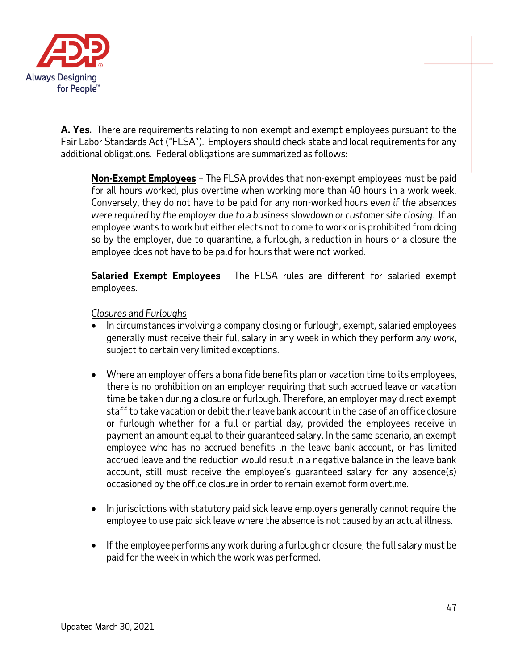

**A. Yes.** There are requirements relating to non-exempt and exempt employees pursuant to the Fair Labor Standards Act ("FLSA"). Employers should check state and local requirements for any additional obligations. Federal obligations are summarized as follows:

**Non-Exempt Employees** – The FLSA provides that non-exempt employees must be paid for all hours worked, plus overtime when working more than 40 hours in a work week. Conversely, they do not have to be paid for any non-worked hours *even if the absences were required by the employer due to a business slowdown or customer site closing*. If an employee wants to work but either elects not to come to work or is prohibited from doing so by the employer, due to quarantine, a furlough, a reduction in hours or a closure the employee does not have to be paid for hours that were not worked.

**Salaried Exempt Employees** - The FLSA rules are different for salaried exempt employees.

#### *Closures and Furloughs*

- In circumstances involving a company closing or furlough, exempt, salaried employees generally must receive their full salary in any week in which they perform *any work*, subject to certain very limited exceptions.
- Where an employer offers a bona fide benefits plan or vacation time to its employees, there is no prohibition on an employer requiring that such accrued leave or vacation time be taken during a closure or furlough. Therefore, an employer may direct exempt staff to take vacation or debit their leave bank account in the case of an office closure or furlough whether for a full or partial day, provided the employees receive in payment an amount equal to their guaranteed salary. In the same scenario, an exempt employee who has no accrued benefits in the leave bank account, or has limited accrued leave and the reduction would result in a negative balance in the leave bank account, still must receive the employee's guaranteed salary for any absence(s) occasioned by the office closure in order to remain exempt form overtime.
- In jurisdictions with statutory paid sick leave employers generally cannot require the employee to use paid sick leave where the absence is not caused by an actual illness.
- If the employee performs any work during a furlough or closure, the full salary must be paid for the week in which the work was performed.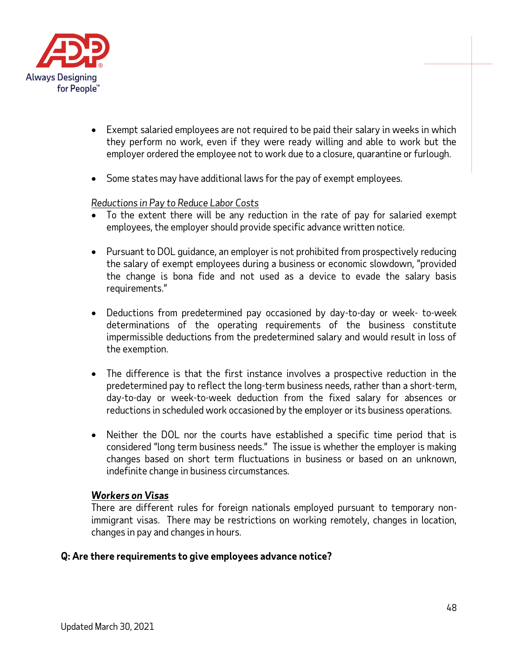

- Exempt salaried employees are not required to be paid their salary in weeks in which they perform no work, even if they were ready willing and able to work but the employer ordered the employee not to work due to a closure, quarantine or furlough.
- Some states may have additional laws for the pay of exempt employees.

#### *Reductions in Pay to Reduce Labor Costs*

- To the extent there will be any reduction in the rate of pay for salaried exempt employees, the employer should provide specific advance written notice.
- Pursuant to DOL guidance, an employer is not prohibited from prospectively reducing the salary of exempt employees during a business or economic slowdown, "provided the change is bona fide and not used as a device to evade the salary basis requirements."
- Deductions from predetermined pay occasioned by day-to-day or week- to-week determinations of the operating requirements of the business constitute impermissible deductions from the predetermined salary and would result in loss of the exemption.
- The difference is that the first instance involves a prospective reduction in the predetermined pay to reflect the long-term business needs, rather than a short-term, day-to-day or week-to-week deduction from the fixed salary for absences or reductions in scheduled work occasioned by the employer or its business operations.
- Neither the DOL nor the courts have established a specific time period that is considered "long term business needs." The issue is whether the employer is making changes based on short term fluctuations in business or based on an unknown, indefinite change in business circumstances.

#### *Workers on Visas*

There are different rules for foreign nationals employed pursuant to temporary nonimmigrant visas. There may be restrictions on working remotely, changes in location, changes in pay and changes in hours.

#### **Q: Are there requirements to give employees advance notice?**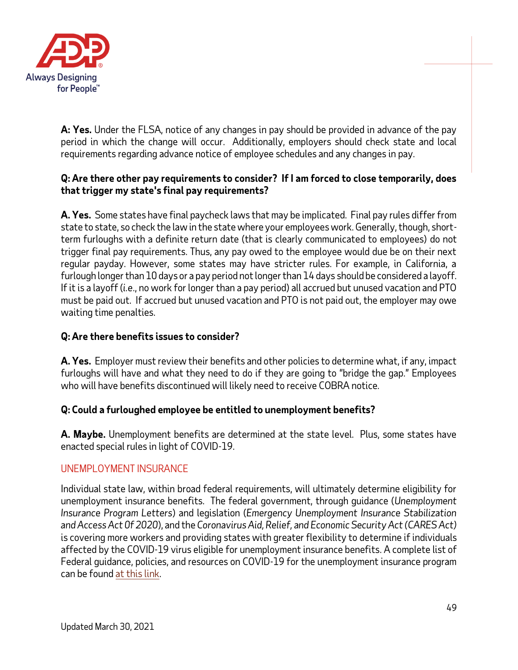

**A: Yes.** Under the FLSA, notice of any changes in pay should be provided in advance of the pay period in which the change will occur. Additionally, employers should check state and local requirements regarding advance notice of employee schedules and any changes in pay.

## **Q: Are there other pay requirements to consider? If I am forced to close temporarily, does that trigger my state's final pay requirements?**

**A. Yes.** Some states have final paycheck laws that may be implicated. Final pay rules differ from state to state, so check the law in the state where your employees work. Generally, though, shortterm furloughs with a definite return date (that is clearly communicated to employees) do not trigger final pay requirements. Thus, any pay owed to the employee would due be on their next regular payday. However, some states may have stricter rules. For example, in California, a furlough longer than 10 days or a pay period not longer than 14 days should be considered a layoff. If it is a layoff (*i.e*., no work for longer than a pay period) all accrued but unused vacation and PTO must be paid out. If accrued but unused vacation and PTO is not paid out, the employer may owe waiting time penalties.

## **Q:Are there benefits issues to consider?**

**A. Yes.** Employer must review their benefits and other policies to determine what, if any, impact furloughs will have and what they need to do if they are going to "bridge the gap." Employees who will have benefits discontinued will likely need to receive COBRA notice.

## **Q: Could a furloughed employee be entitled to unemployment benefits?**

**A. Maybe.** Unemployment benefits are determined at the state level. Plus, some states have enacted special rules in light of COVID-19.

## UNEMPLOYMENT INSURANCE

Individual state law, within broad federal requirements, will ultimately determine eligibility for unemployment insurance benefits. The federal government, through guidance (*Unemployment Insurance Program Letters*) and legislation (*Emergency Unemployment Insurance Stabilization and Access Act 0f 2020*), and the *Coronavirus Aid, Relief, and Economic Security Act(CARES Act)*  is covering more workers and providing states with greater flexibility to determine if individuals affected by the COVID-19 virus eligible for unemployment insurance benefits. A complete list of Federal guidance, policies, and resources on COVID-19 for the unemployment insurance program can be foun[d at this link.](https://oui.doleta.gov/unemploy/coronavirus/)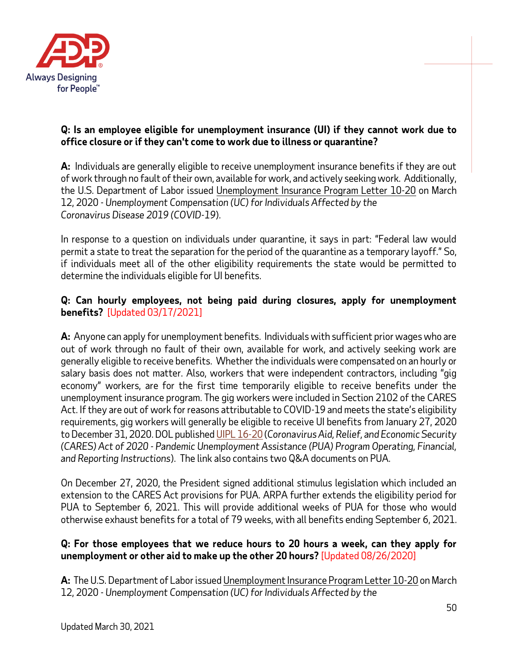

## **Q: Is an employee eligible for unemployment insurance (UI) if they cannot work due to office closure or if they can't come to work due to illness or quarantine?**

**A:** Individuals are generally eligible to receive unemployment insurance benefits if they are out of work through no fault of their own, available for work, and actively seeking work. Additionally, the U.S. Department of Labor issued [Unemployment Insurance Program Letter 10-20](https://wdr.doleta.gov/directives/attach/UIPL/UIPL_10-20.pdf) on March 12, 2020 - *Unemployment Compensation (UC) for Individuals Affected by the Coronavirus Disease 2019 (COVID-19*).

In response to a question on individuals under quarantine, it says in part: "Federal law would permit a state to treat the separation for the period of the quarantine as a temporary layoff." So, if individuals meet all of the other eligibility requirements the state would be permitted to determine the individuals eligible for UI benefits.

## **Q: Can hourly employees, not being paid during closures, apply for unemployment benefits?** [Updated 03/17/2021]

**A:** Anyone can apply for unemployment benefits. Individuals with sufficient prior wages who are out of work through no fault of their own, available for work, and actively seeking work are generally eligible to receive benefits. Whether the individuals were compensated on an hourly or salary basis does not matter. Also, workers that were independent contractors, including "gig economy" workers, are for the first time temporarily eligible to receive benefits under the unemployment insurance program. The gig workers were included in Section 2102 of the CARES Act. If they are out of work for reasons attributable to COVID-19 and meets the state's eligibility requirements, gig workers will generally be eligible to receive UI benefits from January 27, 2020 to December 31, 2020. DOL publishe[d UIPL 16-20](https://wdr.doleta.gov/directives/corr_doc.cfm?DOCN=4628) (*Coronavirus Aid, Relief, and Economic Security (CARES) Act of 2020 - Pandemic Unemployment Assistance (PUA) Program Operating, Financial, and Reporting Instructions*). The link also contains two Q&A documents on PUA.

On December 27, 2020, the President signed additional stimulus legislation which included an extension to the CARES Act provisions for PUA. ARPA further extends the eligibility period for PUA to September 6, 2021. This will provide additional weeks of PUA for those who would otherwise exhaust benefits for a total of 79 weeks, with all benefits ending September 6, 2021.

#### **Q: For those employees that we reduce hours to 20 hours a week, can they apply for unemployment or other aid to make up the other 20 hours?** [Updated 08/26/2020]

**A:** The U.S. Department of Labor issue[d Unemployment Insurance Program Letter 10-20](https://wdr.doleta.gov/directives/attach/UIPL/UIPL_10-20.pdf) on March 12, 2020 - *Unemployment Compensation (UC) for Individuals Affected by the*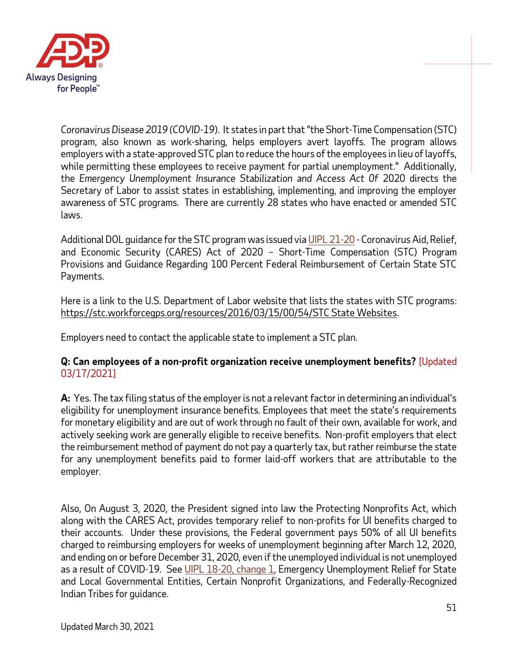

*Coronavirus Disease 2019 (COVID-19*). It states in part that "the Short-Time Compensation (STC) program, also known as work-sharing, helps employers avert layoffs. The program allows employers with a state-approved STC plan to reduce the hours of the employees in lieu of layoffs, while permitting these employees to receive payment for partial unemployment." Additionally, the *Emergency Unemployment Insurance Stabilization and Access Act 0f 2020 directs the* Secretary of Labor to assist states in establishing, implementing, and improving the employer awareness of STC programs. There are currently 28 states who have enacted or amended STC laws.

Additional DOL guidance for the STC program was issued vi[a UIPL 21-20](https://wdr.doleta.gov/directives/attach/UIPL/UIPL_21-20.pdf) - Coronavirus Aid, Relief, and Economic Security (CARES) Act of 2020 – Short-Time Compensation (STC) Program Provisions and Guidance Regarding 100 Percent Federal Reimbursement of Certain State STC Payments.

Here is a link to the U.S. Department of Labor website that lists the states with STC programs: https://stc.workforcegps.org/resources/2016/03/15/00/54/STC State Websites.

Employers need to contact the applicable state to implement a STC plan.

## **Q: Can employees of a non-profit organization receive unemployment benefits?** [Updated 03/17/2021]

**A:** Yes. The tax filing status of the employer is not a relevant factor in determining an individual's eligibility for unemployment insurance benefits. Employees that meet the state's requirements for monetary eligibility and are out of work through no fault of their own, available for work, and actively seeking work are generally eligible to receive benefits. Non-profit employers that elect the reimbursement method of payment do not pay a quarterly tax, but rather reimburse the state for any unemployment benefits paid to former laid-off workers that are attributable to the employer.

Also, On August 3, 2020, the President signed into law the Protecting Nonprofits Act, which along with the CARES Act, provides temporary relief to non-profits for UI benefits charged to their accounts. Under these provisions, the Federal government pays 50% of all UI benefits charged to reimbursing employers for weeks of unemployment beginning after March 12, 2020, and ending on or before December 31, 2020, even if the unemployed individual is not unemployed as a result of COVID-19. See [UIPL 18-20, change 1,](https://wdr.doleta.gov/directives/attach/UIPL/UIPL_18-20_Change-1.pdf) Emergency Unemployment Relief for State and Local Governmental Entities, Certain Nonprofit Organizations, and Federally-Recognized Indian Tribes for guidance.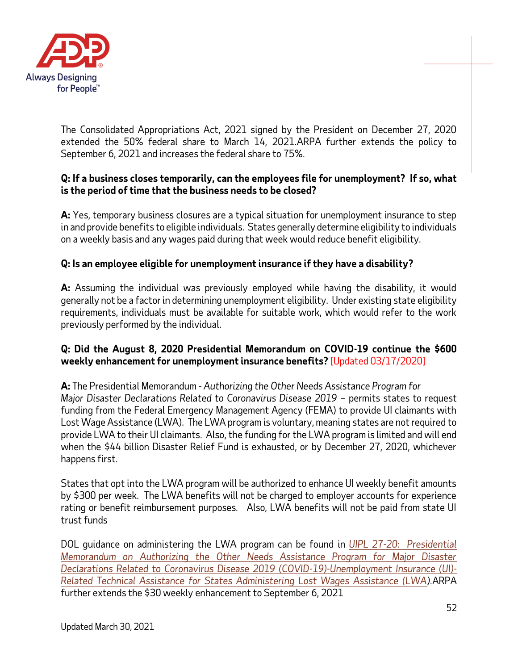

The Consolidated Appropriations Act, 2021 signed by the President on December 27, 2020 extended the 50% federal share to March 14, 2021.ARPA further extends the policy to September 6, 2021 and increases the federal share to 75%.

## **Q: If a business closes temporarily, can the employees file for unemployment? If so, what is the period of time that the business needs to be closed?**

**A:** Yes, temporary business closures are a typical situation for unemployment insurance to step in and provide benefits to eligible individuals. States generally determine eligibility to individuals on a weekly basis and any wages paid during that week would reduce benefit eligibility.

## **Q: Is an employee eligible for unemployment insurance if they have a disability?**

**A:** Assuming the individual was previously employed while having the disability, it would generally not be a factor in determining unemployment eligibility. Under existing state eligibility requirements, individuals must be available for suitable work, which would refer to the work previously performed by the individual.

#### **Q: Did the August 8, 2020 Presidential Memorandum on COVID-19 continue the \$600 weekly enhancement for unemployment insurance benefits?** [Updated 03/17/2020]

**A:** The Presidential Memorandum - *Authorizing the Other Needs Assistance Program for Major Disaster Declarations Related to Coronavirus Disease 2019* – permits states to request funding from the Federal Emergency Management Agency (FEMA) to provide UI claimants with Lost Wage Assistance (LWA). The LWA program is voluntary, meaning states are not required to provide LWA to their UI claimants. Also, the funding for the LWA program is limited and will end when the \$44 billion Disaster Relief Fund is exhausted, or by December 27, 2020, whichever happens first.

States that opt into the LWA program will be authorized to enhance UI weekly benefit amounts by \$300 per week. The LWA benefits will not be charged to employer accounts for experience rating or benefit reimbursement purposes. Also, LWA benefits will not be paid from state UI trust funds

DOL guidance on administering the LWA program can be found in *[UIPL 27-20: Presidential](https://wdr.doleta.gov/directives/corr_doc.cfm?DOCN=7859)  [Memorandum on Authorizing the Other Needs Assistance Program for Major Disaster](https://wdr.doleta.gov/directives/corr_doc.cfm?DOCN=7859)  [Declarations Related to Coronavirus Disease 2019 \(COVID-19\)-Unemployment Insurance \(UI\)-](https://wdr.doleta.gov/directives/corr_doc.cfm?DOCN=7859) [Related Technical Assistance for States Administering Lost Wages Assistance \(LWA\)](https://wdr.doleta.gov/directives/corr_doc.cfm?DOCN=7859).*ARPA further extends the \$30 weekly enhancement to September 6, 2021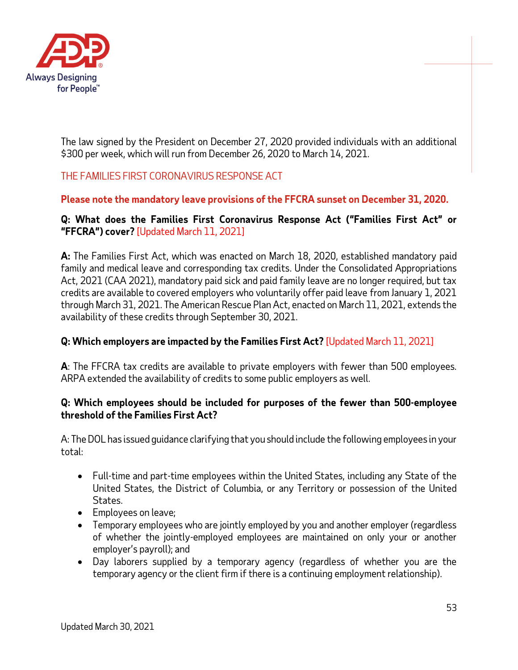

The law signed by the President on December 27, 2020 provided individuals with an additional \$300 per week, which will run from December 26, 2020 to March 14, 2021.

# THE FAMILIES FIRST CORONAVIRUS RESPONSE ACT

## **Please note the mandatory leave provisions of the FFCRA sunset on December 31, 2020.**

## **Q: What does the Families First Coronavirus Response Act ("Families First Act" or "FFCRA") cover?** [Updated March 11, 2021]

**A:** The Families First Act, which was enacted on March 18, 2020, established mandatory paid family and medical leave and corresponding tax credits. Under the Consolidated Appropriations Act, 2021 (CAA 2021), mandatory paid sick and paid family leave are no longer required, but tax credits are available to covered employers who voluntarily offer paid leave from January 1, 2021 through March 31, 2021. The American Rescue Plan Act, enacted on March 11, 2021, extends the availability of these credits through September 30, 2021.

## **Q: Which employers are impacted by the Families First Act?** [Updated March 11, 2021]

**A**: The FFCRA tax credits are available to private employers with fewer than 500 employees. ARPA extended the availability of credits to some public employers as well.

#### **Q: Which employees should be included for purposes of the fewer than 500-employee threshold of the Families First Act?**

A: The DOL has issued guidance clarifying that you should include the following employees in your total:

- Full-time and part-time employees within the United States, including any State of the United States, the District of Columbia, or any Territory or possession of the United States.
- Employees on leave;
- Temporary employees who are jointly employed by you and another employer (regardless of whether the jointly-employed employees are maintained on only your or another employer's payroll); and
- Day laborers supplied by a temporary agency (regardless of whether you are the temporary agency or the client firm if there is a continuing employment relationship).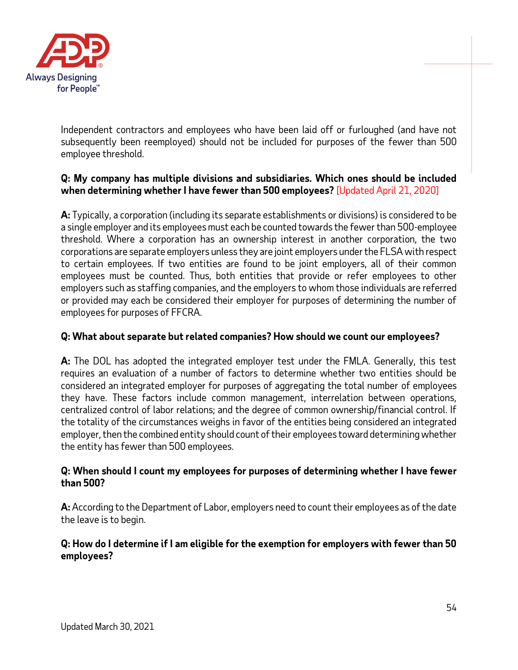

Independent contractors and employees who have been laid off or furloughed (and have not subsequently been reemployed) should not be included for purposes of the fewer than 500 employee threshold.

## **Q: My company has multiple divisions and subsidiaries. Which ones should be included when determining whether I have fewer than 500 employees?** [Updated April 21, 2020]

**A:** Typically, a corporation (including its separate establishments or divisions) is considered to be a single employer and its employees must each be counted towards the fewer than 500-employee threshold. Where a corporation has an ownership interest in another corporation, the two corporations are separate employers unless they are joint employers under the FLSA with respect to certain employees. If two entities are found to be joint employers, all of their common employees must be counted. Thus, both entities that provide or refer employees to other employers such as staffing companies, and the employers to whom those individuals are referred or provided may each be considered their employer for purposes of determining the number of employees for purposes of FFCRA.

## **Q: What about separate but related companies? How should we count our employees?**

**A:** The DOL has adopted the integrated employer test under the FMLA. Generally, this test requires an evaluation of a number of factors to determine whether two entities should be considered an integrated employer for purposes of aggregating the total number of employees they have. These factors include common management, interrelation between operations, centralized control of labor relations; and the degree of common ownership/financial control. If the totality of the circumstances weighs in favor of the entities being considered an integrated employer, then the combined entity should count of their employees toward determining whether the entity has fewer than 500 employees.

#### **Q: When should I count my employees for purposes of determining whether I have fewer than 500?**

**A:** According to the Department of Labor, employers need to count their employees as of the date the leave is to begin.

## **Q: How do I determine if I am eligible for the exemption for employers with fewer than 50 employees?**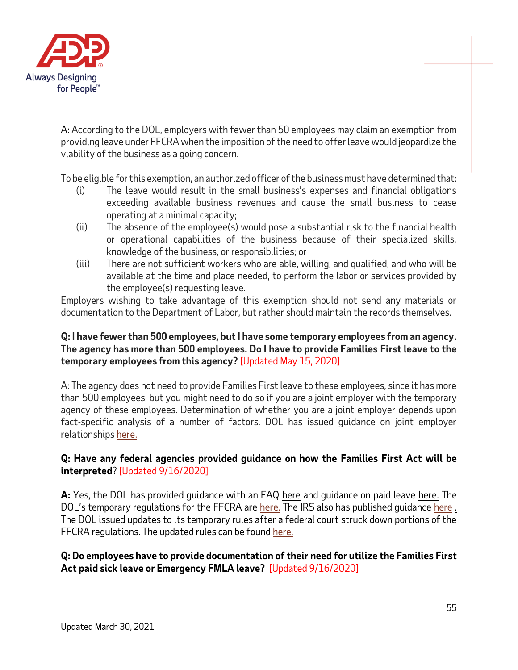

A: According to the DOL, employers with fewer than 50 employees may claim an exemption from providing leave under FFCRA when the imposition of the need to offer leave would jeopardize the viability of the business as a going concern.

To be eligible for this exemption, an authorized officer of the business must have determined that:

- (i) The leave would result in the small business's expenses and financial obligations exceeding available business revenues and cause the small business to cease operating at a minimal capacity;
- (ii) The absence of the employee(s) would pose a substantial risk to the financial health or operational capabilities of the business because of their specialized skills, knowledge of the business, or responsibilities; or
- (iii) There are not sufficient workers who are able, willing, and qualified, and who will be available at the time and place needed, to perform the labor or services provided by the employee(s) requesting leave.

Employers wishing to take advantage of this exemption should not send any materials or documentation to the Department of Labor, but rather should maintain the records themselves.

#### **Q: I have fewer than 500 employees, but I have some temporary employees from an agency. The agency has more than 500 employees. Do I have to provide Families First leave to the temporary employees from this agency?** [Updated May 15, 2020]

A: The agency does not need to provide Families First leave to these employees, since it has more than 500 employees, but you might need to do so if you are a joint employer with the temporary agency of these employees. Determination of whether you are a joint employer depends upon fact-specific analysis of a number of factors. DOL has issued guidance on joint employer relationships [here.](https://www.dol.gov/sites/dolgov/files/WHD/publications/flsa-fr-joint-employer-fs.pdf)

## **Q: Have any federal agencies provided guidance on how the Families First Act will be interpreted**? [Updated 9/16/2020]

**A:** Yes, the DOL has provided guidance with an FAQ [here](https://www.dol.gov/agencies/whd/pandemic/ffcra-questions) and guidance on paid leave [here.](https://www.dol.gov/agencies/whd/pandemic/ffcra-employer-paid-leave) The DOL's temporary regulations for the FFCRA are [here.](https://www.dol.gov/sites/dolgov/files/WHD/Pandemic/FFCRA.pdf) The IRS also has published guidance [here](https://www.irs.gov/newsroom/covid-19-related-tax-credits-for-required-paid-leave-provided-by-small-and-midsize-businesses-faqs)[.](https://www.irs.gov/newsroom/treasury-irs-and-labor-announce-plan-to-implement-coronavirus-related-paid-leave-for-workers-and-tax-credits-for-small-and-midsize-businesses-to-swiftly-recover-the-cost-of-providing-coronavirus) The DOL issued updates to its temporary rules after a federal court struck down portions of the FFCRA regulations. The updated rules can be foun[d here.](https://www.federalregister.gov/documents/2020/09/16/2020-20351/paid-leave-under-the-families-first-coronavirus-response-act)

#### **Q: Do employees have to provide documentation of their need for utilize the Families First Act paid sick leave or Emergency FMLA leave?** [Updated 9/16/2020]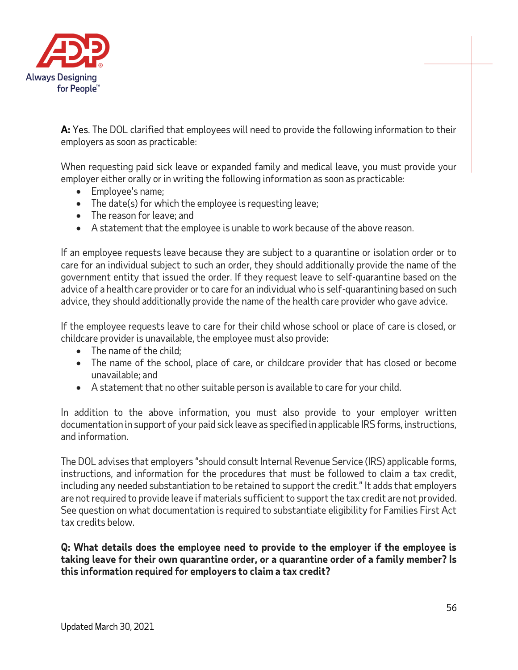

**A:** Yes. The DOL clarified that employees will need to provide the following information to their employers as soon as practicable:

When requesting paid sick leave or expanded family and medical leave, you must provide your employer either orally or in writing the following information as soon as practicable:

- Employee's name;
- The date(s) for which the employee is requesting leave;
- The reason for leave; and
- A statement that the employee is unable to work because of the above reason.

If an employee requests leave because they are subject to a quarantine or isolation order or to care for an individual subject to such an order, they should additionally provide the name of the government entity that issued the order. If they request leave to self-quarantine based on the advice of a health care provider or to care for an individual who is self-quarantining based on such advice, they should additionally provide the name of the health care provider who gave advice.

If the employee requests leave to care for their child whose school or place of care is closed, or childcare provider is unavailable, the employee must also provide:

- The name of the child:
- The name of the school, place of care, or childcare provider that has closed or become unavailable; and
- A statement that no other suitable person is available to care for your child.

In addition to the above information, you must also provide to your employer written documentation in support of your paid sick leave as specified in applicable IRS forms, instructions, and information.

The DOL advises that employers "should consult Internal Revenue Service (IRS) applicable forms, instructions, and information for the procedures that must be followed to claim a tax credit, including any needed substantiation to be retained to support the credit." It adds that employers are not required to provide leave if materials sufficient to support the tax credit are not provided. See question on what documentation is required to substantiate eligibility for Families First Act tax credits below.

**Q: What details does the employee need to provide to the employer if the employee is taking leave for their own quarantine order, or a quarantine order of a family member? Is this information required for employers to claim a tax credit?**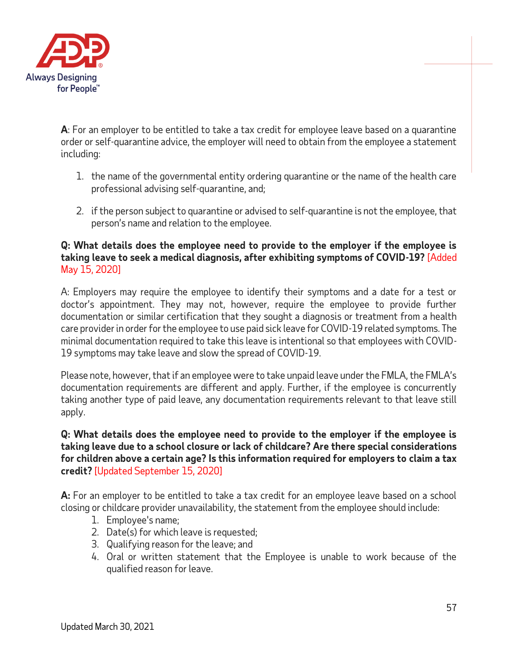

**A**: For an employer to be entitled to take a tax credit for employee leave based on a quarantine order or self-quarantine advice, the employer will need to obtain from the employee a statement including:

- 1. the name of the governmental entity ordering quarantine or the name of the health care professional advising self-quarantine, and;
- 2. if the person subject to quarantine or advised to self-quarantine is not the employee, that person's name and relation to the employee.

## **Q: What details does the employee need to provide to the employer if the employee is taking leave to seek a medical diagnosis, after exhibiting symptoms of COVID-19?** [Added May 15, 2020]

A: Employers may require the employee to identify their symptoms and a date for a test or doctor's appointment. They may not, however, require the employee to provide further documentation or similar certification that they sought a diagnosis or treatment from a health care provider in order for the employee to use paid sick leave for COVID-19 related symptoms. The minimal documentation required to take this leave is intentional so that employees with COVID-19 symptoms may take leave and slow the spread of COVID-19.

Please note, however, that if an employee were to take unpaid leave under the FMLA, the FMLA's documentation requirements are different and apply. Further, if the employee is concurrently taking another type of paid leave, any documentation requirements relevant to that leave still apply.

### **Q: What details does the employee need to provide to the employer if the employee is taking leave due to a school closure or lack of childcare? Are there special considerations for children above a certain age? Is this information required for employers to claim a tax credit?** [Updated September 15, 2020]

**A:** For an employer to be entitled to take a tax credit for an employee leave based on a school closing or childcare provider unavailability, the statement from the employee should include:

- 1. Employee's name;
- 2. Date(s) for which leave is requested;
- 3. Qualifying reason for the leave; and
- 4. Oral or written statement that the Employee is unable to work because of the qualified reason for leave.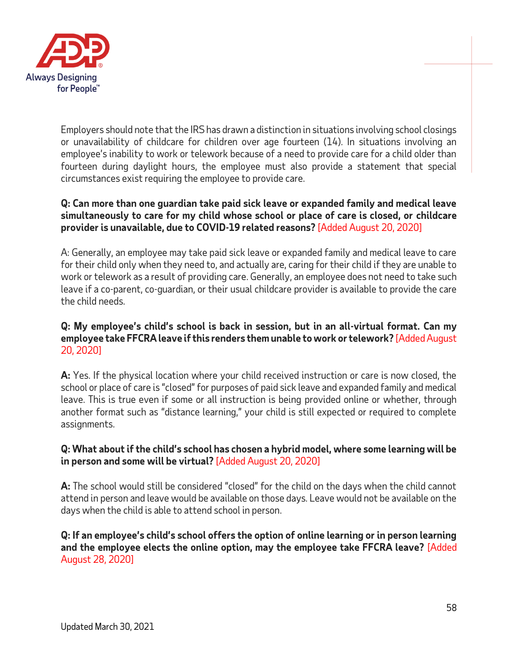

Employers should note that the IRS has drawn a distinction in situations involving school closings or unavailability of childcare for children over age fourteen (14). In situations involving an employee's inability to work or telework because of a need to provide care for a child older than fourteen during daylight hours, the employee must also provide a statement that special circumstances exist requiring the employee to provide care.

## **Q: Can more than one guardian take paid sick leave or expanded family and medical leave simultaneously to care for my child whose school or place of care is closed, or childcare provider is unavailable, due to COVID-19 related reasons?** [Added August 20, 2020]

A: Generally, an employee may take paid sick leave or expanded family and medical leave to care for their child only when they need to, and actually are, caring for their child if they are unable to work or telework as a result of providing care. Generally, an employee does not need to take such leave if a co-parent, co-guardian, or their usual childcare provider is available to provide the care the child needs.

### **Q: My employee's child's school is back in session, but in an all-virtual format. Can my employee take FFCRA leave if this renders them unable to work or telework?** [Added August 20, 2020]

**A:** Yes. If the physical location where your child received instruction or care is now closed, the school or place of care is "closed" for purposes of paid sick leave and expanded family and medical leave. This is true even if some or all instruction is being provided online or whether, through another format such as "distance learning," your child is still expected or required to complete assignments.

## **Q: What about if the child's school has chosen a hybrid model, where some learning will be in person and some will be virtual?** [Added August 20, 2020]

**A:** The school would still be considered "closed" for the child on the days when the child cannot attend in person and leave would be available on those days. Leave would not be available on the days when the child is able to attend school in person.

## **Q: If an employee's child's school offers the option of online learning or in person learning and the employee elects the online option, may the employee take FFCRA leave?** [Added August 28, 2020]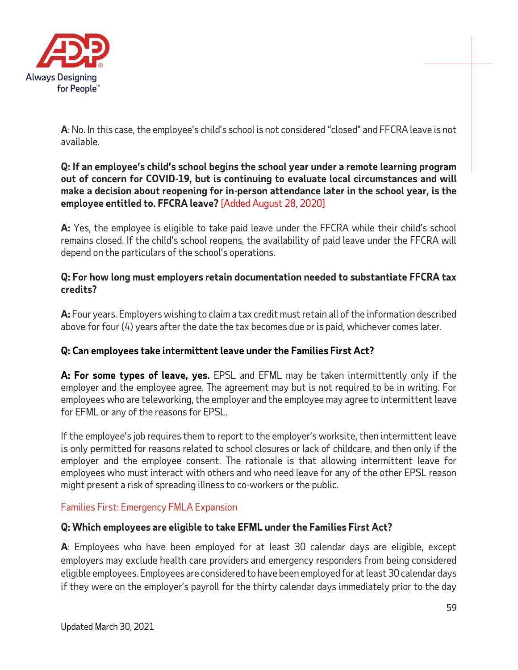

**A**: No. In this case, the employee's child's school is not considered "closed" and FFCRA leave is not available.

**Q: If an employee's child's school begins the school year under a remote learning program out of concern for COVID-19, but is continuing to evaluate local circumstances and will make a decision about reopening for in-person attendance later in the school year, is the employee entitled to. FFCRA leave?** [Added August 28, 2020]

**A:** Yes, the employee is eligible to take paid leave under the FFCRA while their child's school remains closed. If the child's school reopens, the availability of paid leave under the FFCRA will depend on the particulars of the school's operations.

### **Q: For how long must employers retain documentation needed to substantiate FFCRA tax credits?**

**A:** Four years. Employers wishing to claim a tax credit must retain all of the information described above for four (4) years after the date the tax becomes due or is paid, whichever comes later.

# **Q: Can employees take intermittent leave under the Families First Act?**

**A: For some types of leave, yes.** EPSL and EFML may be taken intermittently only if the employer and the employee agree. The agreement may but is not required to be in writing. For employees who are teleworking, the employer and the employee may agree to intermittent leave for EFML or any of the reasons for EPSL.

If the employee's job requires them to report to the employer's worksite, then intermittent leave is only permitted for reasons related to school closures or lack of childcare, and then only if the employer and the employee consent. The rationale is that allowing intermittent leave for employees who must interact with others and who need leave for any of the other EPSL reason might present a risk of spreading illness to co-workers or the public.

## Families First: Emergency FMLA Expansion

## **Q: Which employees are eligible to take EFML under the Families First Act?**

**A**: Employees who have been employed for at least 30 calendar days are eligible, except employers may exclude health care providers and emergency responders from being considered eligible employees. Employees are considered to have been employed for at least 30 calendar days if they were on the employer's payroll for the thirty calendar days immediately prior to the day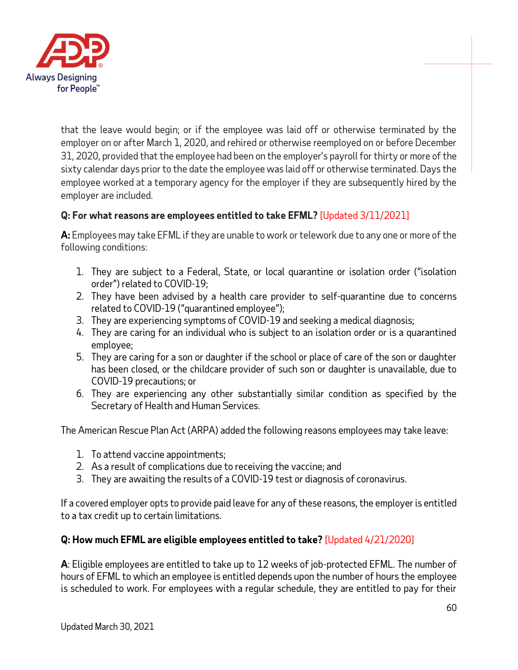

that the leave would begin; or if the employee was laid off or otherwise terminated by the employer on or after March 1, 2020, and rehired or otherwise reemployed on or before December 31, 2020, provided that the employee had been on the employer's payroll for thirty or more of the sixty calendar days prior to the date the employee was laid off or otherwise terminated. Days the employee worked at a temporary agency for the employer if they are subsequently hired by the employer are included.

# **Q: For what reasons are employees entitled to take EFML?** [Updated 3/11/2021]

**A:** Employees may take EFML if they are unable to work or telework due to any one or more of the following conditions:

- 1. They are subject to a Federal, State, or local quarantine or isolation order ("isolation order") related to COVID-19;
- 2. They have been advised by a health care provider to self-quarantine due to concerns related to COVID-19 ("quarantined employee");
- 3. They are experiencing symptoms of COVID-19 and seeking a medical diagnosis;
- 4. They are caring for an individual who is subject to an isolation order or is a quarantined employee;
- 5. They are caring for a son or daughter if the school or place of care of the son or daughter has been closed, or the childcare provider of such son or daughter is unavailable, due to COVID-19 precautions; or
- 6. They are experiencing any other substantially similar condition as specified by the Secretary of Health and Human Services.

The American Rescue Plan Act (ARPA) added the following reasons employees may take leave:

- 1. To attend vaccine appointments;
- 2. As a result of complications due to receiving the vaccine; and
- 3. They are awaiting the results of a COVID-19 test or diagnosis of coronavirus.

If a covered employer opts to provide paid leave for any of these reasons, the employer is entitled to a tax credit up to certain limitations.

# **Q: How much EFML are eligible employees entitled to take?** [Updated 4/21/2020]

**A**: Eligible employees are entitled to take up to 12 weeks of job-protected EFML. The number of hours of EFML to which an employee is entitled depends upon the number of hours the employee is scheduled to work. For employees with a regular schedule, they are entitled to pay for their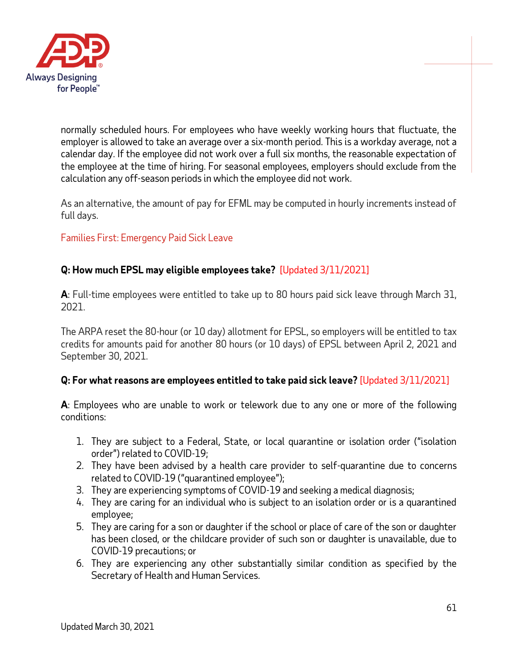

normally scheduled hours. For employees who have weekly working hours that fluctuate, the employer is allowed to take an average over a six-month period. This is a workday average, not a calendar day. If the employee did not work over a full six months, the reasonable expectation of the employee at the time of hiring. For seasonal employees, employers should exclude from the calculation any off-season periods in which the employee did not work.

As an alternative, the amount of pay for EFML may be computed in hourly increments instead of full days.

## Families First: Emergency Paid Sick Leave

# **Q: How much EPSL may eligible employees take?** [Updated 3/11/2021]

**A**: Full-time employees were entitled to take up to 80 hours paid sick leave through March 31, 2021.

The ARPA reset the 80-hour (or 10 day) allotment for EPSL, so employers will be entitled to tax credits for amounts paid for another 80 hours (or 10 days) of EPSL between April 2, 2021 and September 30, 2021.

## **Q: For what reasons are employees entitled to take paid sick leave?** [Updated 3/11/2021]

**A**: Employees who are unable to work or telework due to any one or more of the following conditions:

- 1. They are subject to a Federal, State, or local quarantine or isolation order ("isolation order") related to COVID-19;
- 2. They have been advised by a health care provider to self-quarantine due to concerns related to COVID-19 ("quarantined employee");
- 3. They are experiencing symptoms of COVID-19 and seeking a medical diagnosis;
- 4. They are caring for an individual who is subject to an isolation order or is a quarantined employee;
- 5. They are caring for a son or daughter if the school or place of care of the son or daughter has been closed, or the childcare provider of such son or daughter is unavailable, due to COVID-19 precautions; or
- 6. They are experiencing any other substantially similar condition as specified by the Secretary of Health and Human Services.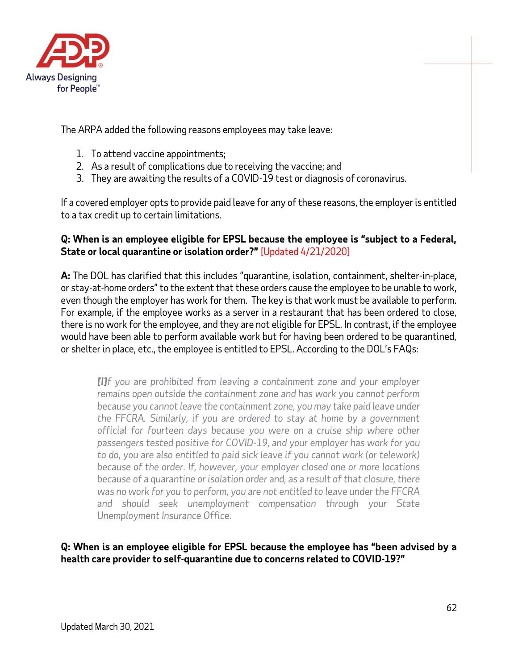

The ARPA added the following reasons employees may take leave:

- 1. To attend vaccine appointments;
- 2. As a result of complications due to receiving the vaccine; and
- 3. They are awaiting the results of a COVID-19 test or diagnosis of coronavirus.

If a covered employer opts to provide paid leave for any of these reasons, the employer is entitled to a tax credit up to certain limitations.

#### **Q: When is an employee eligible for EPSL because the employee is "subject to a Federal, State or local quarantine or isolation order?"** [Updated 4/21/2020]

**A:** The DOL has clarified that this includes "quarantine, isolation, containment, shelter-in-place, or stay-at-home orders" to the extent that these orders cause the employee to be unable to work, even though the employer has work for them. The key is that work must be available to perform. For example, if the employee works as a server in a restaurant that has been ordered to close, there is no work for the employee, and they are not eligible for EPSL. In contrast, if the employee would have been able to perform available work but for having been ordered to be quarantined, or shelter in place, etc., the employee is entitled to EPSL. According to the DOL's FAQs:

*[I]f you are prohibited from leaving a containment zone and your employer remains open outside the containment zone and has work you cannot perform because you cannot leave the containment zone, you may take paid leave under the FFCRA. Similarly, if you are ordered to stay at home by a government official for fourteen days because you were on a cruise ship where other passengers tested positive for COVID-19, and your employer has work for you to do, you are also entitled to paid sick leave if you cannot work (or telework) because of the order. If, however, your employer closed one or more locations because of a quarantine or isolation order and, as a result of that closure, there was no work for you to perform, you are not entitled to leave under the FFCRA and should seek unemployment compensation through your State Unemployment Insurance Office.*

## **Q: When is an employee eligible for EPSL because the employee has "been advised by a health care provider to self-quarantine due to concerns related to COVID-19?"**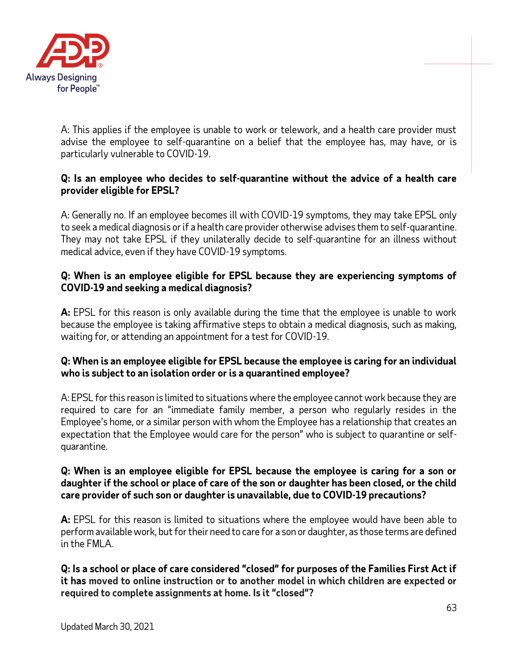

A: This applies if the employee is unable to work or telework, and a health care provider must advise the employee to self-quarantine on a belief that the employee has, may have, or is particularly vulnerable to COVID-19.

## **Q: Is an employee who decides to self-quarantine without the advice of a health care provider eligible for EPSL?**

A: Generally no. If an employee becomes ill with COVID-19 symptoms, they may take EPSL only to seek a medical diagnosis or if a health care provider otherwise advises them to self-quarantine. They may not take EPSL if they unilaterally decide to self-quarantine for an illness without medical advice, even if they have COVID-19 symptoms.

## **Q: When is an employee eligible for EPSL because they are experiencing symptoms of COVID-19 and seeking a medical diagnosis?**

**A:** EPSL for this reason is only available during the time that the employee is unable to work because the employee is taking affirmative steps to obtain a medical diagnosis, such as making, waiting for, or attending an appointment for a test for COVID-19.

## **Q: When is an employee eligible for EPSL because the employee is caring for an individual who is subject to an isolation order or is a quarantined employee?**

A: EPSL for this reason is limited to situations where the employee cannot work because they are required to care for an "immediate family member, a person who regularly resides in the Employee's home, or a similar person with whom the Employee has a relationship that creates an expectation that the Employee would care for the person" who is subject to quarantine or selfquarantine.

### **Q: When is an employee eligible for EPSL because the employee is caring for a son or daughter if the school or place of care of the son or daughter has been closed, or the child care provider of such son or daughter is unavailable, due to COVID-19 precautions?**

**A:** EPSL for this reason is limited to situations where the employee would have been able to perform available work, but for their need to care for a son or daughter, as those terms are defined in the FMLA.

**Q: Is a school or place of care considered "closed" for purposes of the Families First Act if it has moved to online instruction or to another model in which children are expected or required to complete assignments at home. Is it "closed"?**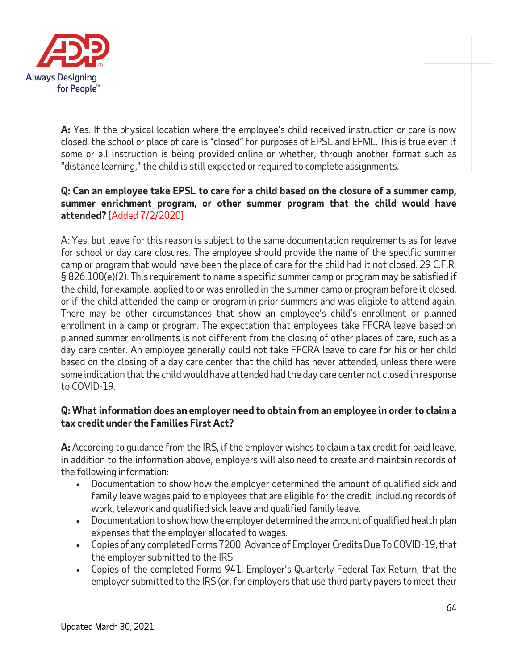

**A:** Yes. If the physical location where the employee's child received instruction or care is now closed, the school or place of care is "closed" for purposes of EPSL and EFML. This is true even if some or all instruction is being provided online or whether, through another format such as "distance learning," the child is still expected or required to complete assignments.

### **Q: Can an employee take EPSL to care for a child based on the closure of a summer camp, summer enrichment program, or other summer program that the child would have attended?** [Added 7/2/2020]

A: Yes, but leave for this reason is subject to the same documentation requirements as for leave for school or day care closures. The employee should provide the name of the specific summer camp or program that would have been the place of care for the child had it not closed. 29 C.F.R. § 826.100(e)(2). This requirement to name a specific summer camp or program may be satisfied if the child, for example, applied to or was enrolled in the summer camp or program before it closed, or if the child attended the camp or program in prior summers and was eligible to attend again. There may be other circumstances that show an employee's child's enrollment or planned enrollment in a camp or program. The expectation that employees take FFCRA leave based on planned summer enrollments is not different from the closing of other places of care, such as a day care center. An employee generally could not take FFCRA leave to care for his or her child based on the closing of a day care center that the child has never attended, unless there were some indication that the child would have attended had the day care center not closed in response to COVID-19.

## **Q: What information does an employer need to obtain from an employee in order to claim a tax credit under the Families First Act?**

**A:** According to guidance from the IRS, if the employer wishes to claim a tax credit for paid leave, in addition to the information above, employers will also need to create and maintain records of the following information:

- Documentation to show how the employer determined the amount of qualified sick and family leave wages paid to employees that are eligible for the credit, including records of work, telework and qualified sick leave and qualified family leave.
- Documentation to show how the employer determined the amount of qualified health plan expenses that the employer allocated to wages.
- Copies of any completed Forms 7200, Advance of Employer Credits Due To COVID-19, that the employer submitted to the IRS.
- Copies of the completed Forms 941, Employer's Quarterly Federal Tax Return, that the employer submitted to the IRS (or, for employers that use third party payers to meet their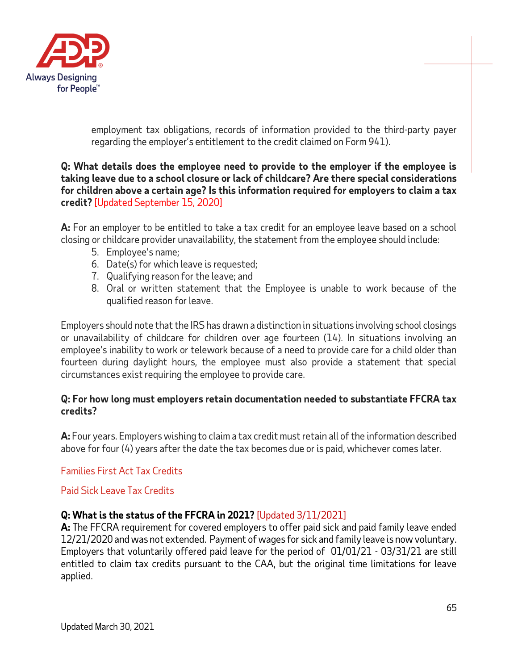

employment tax obligations, records of information provided to the third-party payer regarding the employer's entitlement to the credit claimed on Form 941).

**Q: What details does the employee need to provide to the employer if the employee is taking leave due to a school closure or lack of childcare? Are there special considerations for children above a certain age? Is this information required for employers to claim a tax credit?** [Updated September 15, 2020]

**A:** For an employer to be entitled to take a tax credit for an employee leave based on a school closing or childcare provider unavailability, the statement from the employee should include:

- 5. Employee's name;
- 6. Date(s) for which leave is requested;
- 7. Qualifying reason for the leave; and
- 8. Oral or written statement that the Employee is unable to work because of the qualified reason for leave.

Employers should note that the IRS has drawn a distinction in situations involving school closings or unavailability of childcare for children over age fourteen (14). In situations involving an employee's inability to work or telework because of a need to provide care for a child older than fourteen during daylight hours, the employee must also provide a statement that special circumstances exist requiring the employee to provide care.

#### **Q: For how long must employers retain documentation needed to substantiate FFCRA tax credits?**

**A:** Four years. Employers wishing to claim a tax credit must retain all of the information described above for four (4) years after the date the tax becomes due or is paid, whichever comes later.

## Families First Act Tax Credits

#### Paid Sick Leave Tax Credits

#### **Q: What is the status of the FFCRA in 2021?** [Updated 3/11/2021]

**A:** The FFCRA requirement for covered employers to offer paid sick and paid family leave ended 12/21/2020 and was not extended. Payment of wages for sick and family leave is now voluntary. Employers that voluntarily offered paid leave for the period of 01/01/21 - 03/31/21 are still entitled to claim tax credits pursuant to the CAA, but the original time limitations for leave applied.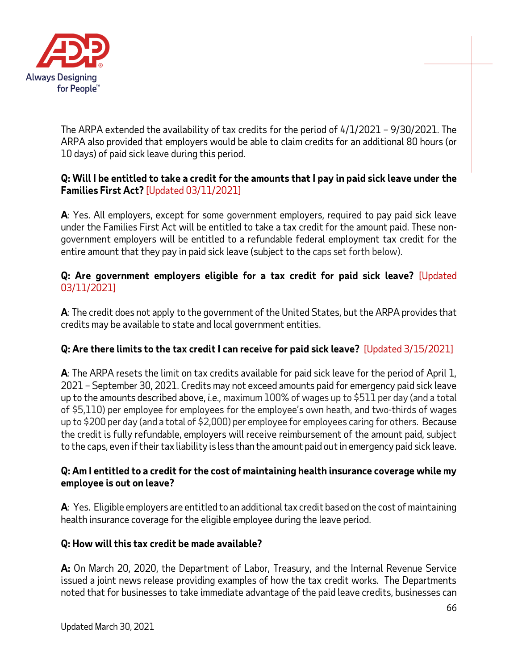

The ARPA extended the availability of tax credits for the period of 4/1/2021 – 9/30/2021. The ARPA also provided that employers would be able to claim credits for an additional 80 hours (or 10 days) of paid sick leave during this period.

## **Q: Will I be entitled to take a credit for the amounts that I pay in paid sick leave under the Families First Act?** [Updated 03/11/2021]

**A**: Yes. All employers, except for some government employers, required to pay paid sick leave under the Families First Act will be entitled to take a tax credit for the amount paid. These nongovernment employers will be entitled to a refundable federal employment tax credit for the entire amount that they pay in paid sick leave (subject to the caps set forth below).

## **Q: Are government employers eligible for a tax credit for paid sick leave?** [Updated 03/11/2021]

**A**: The credit does not apply to the government of the United States, but the ARPA provides that credits may be available to state and local government entities.

# **Q: Are there limits to the tax credit I can receive for paid sick leave?** [Updated 3/15/2021]

**A**: The ARPA resets the limit on tax credits available for paid sick leave for the period of April 1, 2021 – September 30, 2021. Credits may not exceed amounts paid for emergency paid sick leave up to the amounts described above, *i.e.,* maximum 100% of wages up to \$511 per day (and a total of \$5,110) per employee for employees for the employee's own heath, and two-thirds of wages up to \$200 per day (and a total of \$2,000) per employee for employees caring for others. Because the credit is fully refundable, employers will receive reimbursement of the amount paid, subject to the caps, even if their tax liability is less than the amount paid out in emergency paid sick leave.

## **Q: Am I entitled to a credit for the cost of maintaining health insurance coverage while my employee is out on leave?**

**A**: Yes. Eligible employers are entitled to an additional tax credit based on the cost of maintaining health insurance coverage for the eligible employee during the leave period.

# **Q: How will this tax credit be made available?**

**A:** On March 20, 2020, the Department of Labor, Treasury, and the Internal Revenue Service issued a joint news release providing examples of how the tax credit works. The Departments noted that for businesses to take immediate advantage of the paid leave credits, businesses can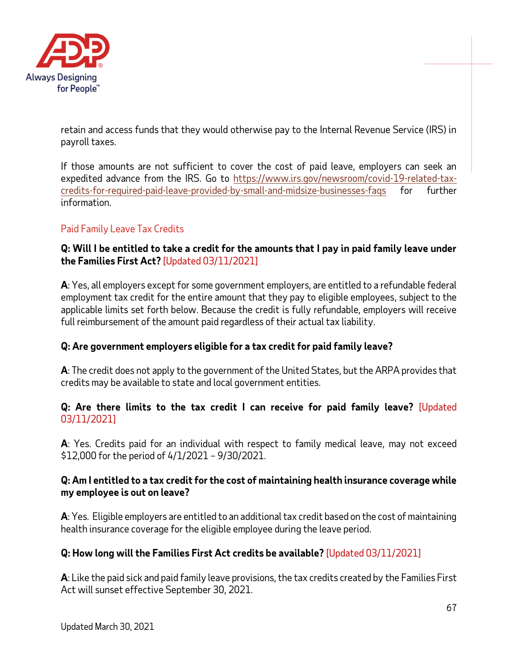

retain and access funds that they would otherwise pay to the Internal Revenue Service (IRS) in payroll taxes.

If those amounts are not sufficient to cover the cost of paid leave, employers can seek an expedited advance from the IRS. Go to [https://www.irs.gov/newsroom/covid-19-related-tax](https://www.irs.gov/newsroom/covid-19-related-tax-credits-for-required-paid-leave-provided-by-small-and-midsize-businesses-faqs)[credits-for-required-paid-leave-provided-by-small-and-midsize-businesses-faqs](https://www.irs.gov/newsroom/covid-19-related-tax-credits-for-required-paid-leave-provided-by-small-and-midsize-businesses-faqs) for further information.

## Paid Family Leave Tax Credits

### **Q: Will I be entitled to take a credit for the amounts that I pay in paid family leave under the Families First Act?** [Updated 03/11/2021]

**A**: Yes, all employers except for some government employers, are entitled to a refundable federal employment tax credit for the entire amount that they pay to eligible employees, subject to the applicable limits set forth below. Because the credit is fully refundable, employers will receive full reimbursement of the amount paid regardless of their actual tax liability.

## **Q: Are government employers eligible for a tax credit for paid family leave?**

**A**: The credit does not apply to the government of the United States, but the ARPA provides that credits may be available to state and local government entities.

## **Q: Are there limits to the tax credit I can receive for paid family leave?** [Updated 03/11/2021]

**A**: Yes. Credits paid for an individual with respect to family medical leave, may not exceed \$12,000 for the period of 4/1/2021 – 9/30/2021.

## **Q: Am I entitled to a tax credit for the cost of maintaining health insurance coverage while my employee is out on leave?**

**A**: Yes. Eligible employers are entitled to an additional tax credit based on the cost of maintaining health insurance coverage for the eligible employee during the leave period.

## **Q: How long will the Families First Act credits be available?** [Updated 03/11/2021]

**A**: Like the paid sick and paid family leave provisions, the tax credits created by the Families First Act will sunset effective September 30, 2021.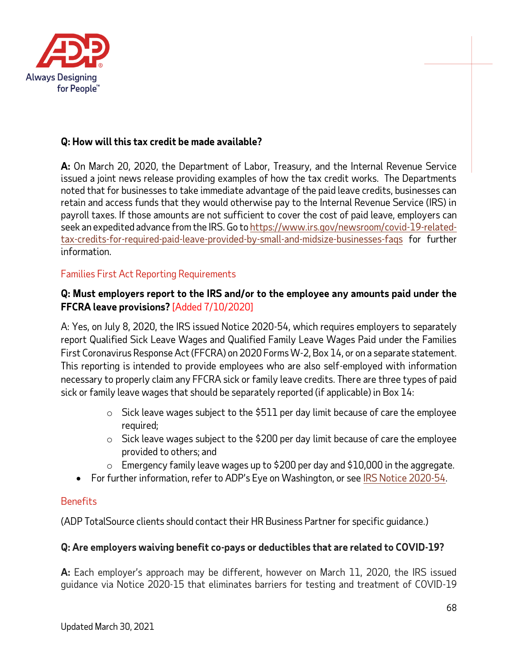

## **Q: How will this tax credit be made available?**

**A:** On March 20, 2020, the Department of Labor, Treasury, and the Internal Revenue Service issued a joint news release providing examples of how the tax credit works. The Departments noted that for businesses to take immediate advantage of the paid leave credits, businesses can retain and access funds that they would otherwise pay to the Internal Revenue Service (IRS) in payroll taxes. If those amounts are not sufficient to cover the cost of paid leave, employers can seek an expedited advance from the IRS. Go t[o https://www.irs.gov/newsroom/covid-19-related](https://www.irs.gov/newsroom/covid-19-related-tax-credits-for-required-paid-leave-provided-by-small-and-midsize-businesses-faqs)[tax-credits-for-required-paid-leave-provided-by-small-and-midsize-businesses-faqs](https://www.irs.gov/newsroom/covid-19-related-tax-credits-for-required-paid-leave-provided-by-small-and-midsize-businesses-faqs) for further information.

## Families First Act Reporting Requirements

## **Q: Must employers report to the IRS and/or to the employee any amounts paid under the FFCRA leave provisions?** [Added 7/10/2020]

A: Yes, on July 8, 2020, the IRS issued Notice 2020-54, which requires employers to separately report Qualified Sick Leave Wages and Qualified Family Leave Wages Paid under the Families First Coronavirus Response Act (FFCRA) on 2020 Forms W-2, Box 14, or on a separate statement. This reporting is intended to provide employees who are also self-employed with information necessary to properly claim any FFCRA sick or family leave credits. There are three types of paid sick or family leave wages that should be separately reported (if applicable) in Box 14:

- $\circ$  Sick leave wages subject to the \$511 per day limit because of care the employee required;
- $\circ$  Sick leave wages subject to the \$200 per day limit because of care the employee provided to others; and
- $\circ$  Emergency family leave wages up to \$200 per day and \$10,000 in the aggregate.
- For further information, refer to ADP's Eye on Washington, or see [IRS Notice 2020-54.](https://www.irs.gov/pub/irs-drop/n-20-54.pdf)

## **Benefits**

(ADP TotalSource clients should contact their HR Business Partner for specific guidance.)

# **Q: Are employers waiving benefit co-pays or deductibles that are related to COVID-19?**

**A:** Each employer's approach may be different, however on March 11, 2020, the IRS issued guidance via Notice 2020-15 that eliminates barriers for testing and treatment of COVID-19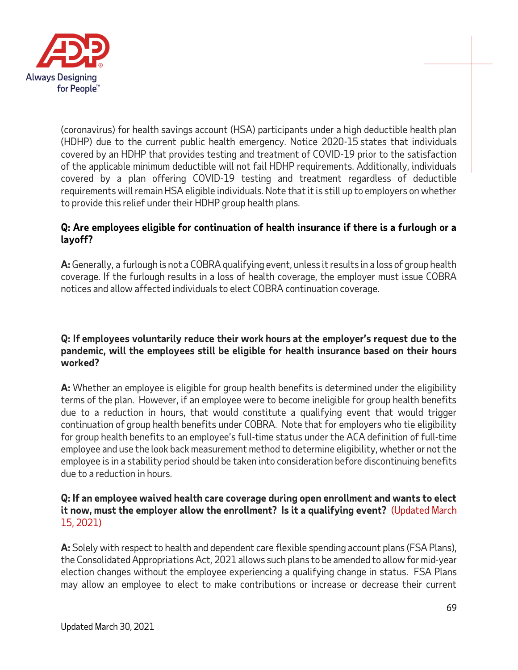

(coronavirus) for health savings account (HSA) participants under a high deductible health plan (HDHP) due to the current public health emergency. Notice 2020-15 states that individuals covered by an HDHP that provides testing and treatment of COVID-19 prior to the satisfaction of the applicable minimum deductible will not fail HDHP requirements. Additionally, individuals covered by a plan offering COVID-19 testing and treatment regardless of deductible requirements will remain HSA eligible individuals. Note that it is still up to employers on whether to provide this relief under their HDHP group health plans.

## **Q: Are employees eligible for continuation of health insurance if there is a furlough or a layoff?**

**A:** Generally, a furlough is not a COBRA qualifying event, unless it results in a loss of group health coverage. If the furlough results in a loss of health coverage, the employer must issue COBRA notices and allow affected individuals to elect COBRA continuation coverage.

### **Q: If employees voluntarily reduce their work hours at the employer's request due to the pandemic, will the employees still be eligible for health insurance based on their hours worked?**

**A:** Whether an employee is eligible for group health benefits is determined under the eligibility terms of the plan. However, if an employee were to become ineligible for group health benefits due to a reduction in hours, that would constitute a qualifying event that would trigger continuation of group health benefits under COBRA. Note that for employers who tie eligibility for group health benefits to an employee's full-time status under the ACA definition of full-time employee and use the look back measurement method to determine eligibility, whether or not the employee is in a stability period should be taken into consideration before discontinuing benefits due to a reduction in hours.

### **Q: If an employee waived health care coverage during open enrollment and wants to elect it now, must the employer allow the enrollment? Is it a qualifying event?** (Updated March 15, 2021)

**A:** Solely with respect to health and dependent care flexible spending account plans (FSA Plans), the Consolidated Appropriations Act, 2021 allows such plans to be amended to allow for mid-year election changes without the employee experiencing a qualifying change in status. FSA Plans may allow an employee to elect to make contributions or increase or decrease their current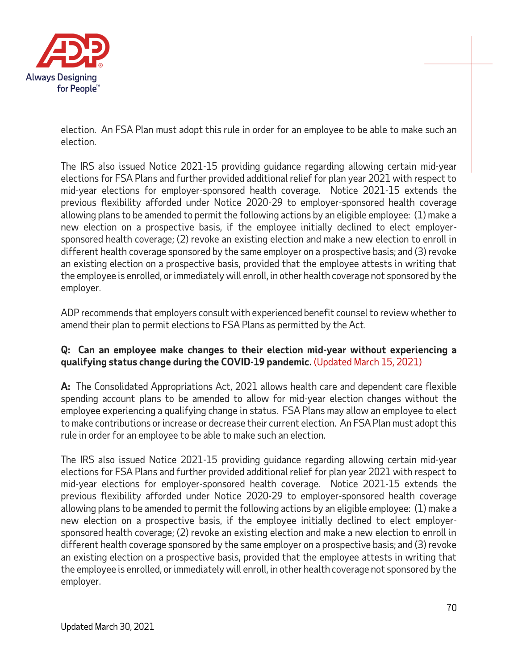

election. An FSA Plan must adopt this rule in order for an employee to be able to make such an election.

The IRS also issued Notice 2021-15 providing guidance regarding allowing certain mid-year elections for FSA Plans and further provided additional relief for plan year 2021 with respect to mid-year elections for employer-sponsored health coverage. Notice 2021-15 extends the previous flexibility afforded under Notice 2020-29 to employer-sponsored health coverage allowing plans to be amended to permit the following actions by an eligible employee: (1) make a new election on a prospective basis, if the employee initially declined to elect employersponsored health coverage; (2) revoke an existing election and make a new election to enroll in different health coverage sponsored by the same employer on a prospective basis; and (3) revoke an existing election on a prospective basis, provided that the employee attests in writing that the employee is enrolled, or immediately will enroll, in other health coverage not sponsored by the employer.

ADP recommends that employers consult with experienced benefit counsel to review whether to amend their plan to permit elections to FSA Plans as permitted by the Act.

## **Q: Can an employee make changes to their election mid-year without experiencing a qualifying status change during the COVID-19 pandemic.** (Updated March 15, 2021)

**A:** The Consolidated Appropriations Act, 2021 allows health care and dependent care flexible spending account plans to be amended to allow for mid-year election changes without the employee experiencing a qualifying change in status. FSA Plans may allow an employee to elect to make contributions or increase or decrease their current election. An FSA Plan must adopt this rule in order for an employee to be able to make such an election.

The IRS also issued Notice 2021-15 providing guidance regarding allowing certain mid-year elections for FSA Plans and further provided additional relief for plan year 2021 with respect to mid-year elections for employer-sponsored health coverage. Notice 2021-15 extends the previous flexibility afforded under Notice 2020-29 to employer-sponsored health coverage allowing plans to be amended to permit the following actions by an eligible employee: (1) make a new election on a prospective basis, if the employee initially declined to elect employersponsored health coverage; (2) revoke an existing election and make a new election to enroll in different health coverage sponsored by the same employer on a prospective basis; and (3) revoke an existing election on a prospective basis, provided that the employee attests in writing that the employee is enrolled, or immediately will enroll, in other health coverage not sponsored by the employer.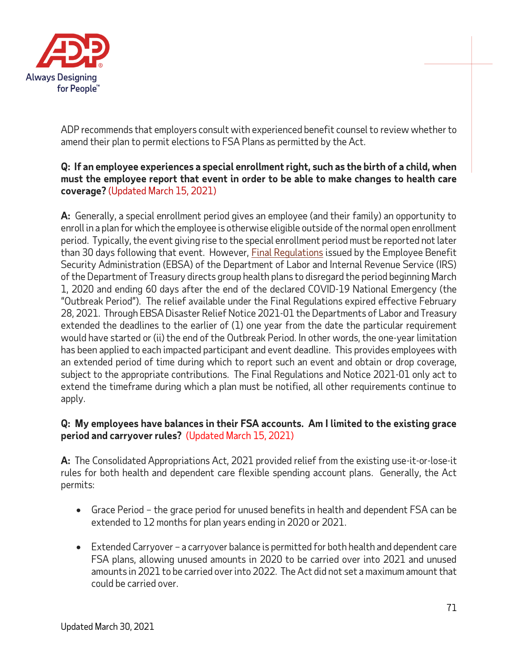

ADP recommends that employers consult with experienced benefit counsel to review whether to amend their plan to permit elections to FSA Plans as permitted by the Act.

## **Q: If an employee experiences a special enrollment right, such as the birth of a child, when must the employee report that event in order to be able to make changes to health care coverage?** (Updated March 15, 2021)

**A:** Generally, a special enrollment period gives an employee (and their family) an opportunity to enroll in a plan for which the employee is otherwise eligible outside of the normal open enrollment period. Typically, the event giving rise to the special enrollment period must be reported not later than 30 days following that event. However, [Final Regulations](https://www.govinfo.gov/content/pkg/FR-2020-05-04/pdf/2020-09399.pdf) issued by the Employee Benefit Security Administration (EBSA) of the Department of Labor and Internal Revenue Service (IRS) of the Department of Treasury directs group health plans to disregard the period beginning March 1, 2020 and ending 60 days after the end of the declared COVID-19 National Emergency (the "Outbreak Period"). The relief available under the Final Regulations expired effective February 28, 2021. Through EBSA Disaster Relief Notice 2021-01 the Departments of Labor and Treasury extended the deadlines to the earlier of (1) one year from the date the particular requirement would have started or (ii) the end of the Outbreak Period. In other words, the one-year limitation has been applied to each impacted participant and event deadline. This provides employees with an extended period of time during which to report such an event and obtain or drop coverage, subject to the appropriate contributions. The Final Regulations and Notice 2021-01 only act to extend the timeframe during which a plan must be notified, all other requirements continue to apply.

## **Q: My employees have balances in their FSA accounts. Am I limited to the existing grace period and carryover rules?** (Updated March 15, 2021)

**A:** The Consolidated Appropriations Act, 2021 provided relief from the existing use-it-or-lose-it rules for both health and dependent care flexible spending account plans. Generally, the Act permits:

- Grace Period the grace period for unused benefits in health and dependent FSA can be extended to 12 months for plan years ending in 2020 or 2021.
- Extended Carryover a carryover balance is permitted for both health and dependent care FSA plans, allowing unused amounts in 2020 to be carried over into 2021 and unused amounts in 2021 to be carried over into 2022. The Act did not set a maximum amount that could be carried over.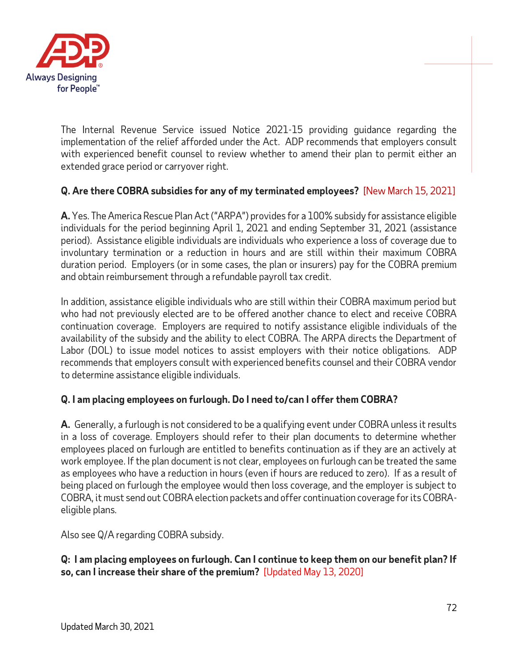

The Internal Revenue Service issued Notice 2021-15 providing guidance regarding the implementation of the relief afforded under the Act. ADP recommends that employers consult with experienced benefit counsel to review whether to amend their plan to permit either an extended grace period or carryover right.

# **Q. Are there COBRA subsidies for any of my terminated employees?** [New March 15, 2021]

**A.** Yes. The America Rescue Plan Act("ARPA") provides for a 100% subsidy for assistance eligible individuals for the period beginning April 1, 2021 and ending September 31, 2021 (assistance period). Assistance eligible individuals are individuals who experience a loss of coverage due to involuntary termination or a reduction in hours and are still within their maximum COBRA duration period. Employers (or in some cases, the plan or insurers) pay for the COBRA premium and obtain reimbursement through a refundable payroll tax credit.

In addition, assistance eligible individuals who are still within their COBRA maximum period but who had not previously elected are to be offered another chance to elect and receive COBRA continuation coverage. Employers are required to notify assistance eligible individuals of the availability of the subsidy and the ability to elect COBRA. The ARPA directs the Department of Labor (DOL) to issue model notices to assist employers with their notice obligations. ADP recommends that employers consult with experienced benefits counsel and their COBRA vendor to determine assistance eligible individuals.

## **Q. I am placing employees on furlough. Do I need to/can I offer them COBRA?**

**A.** Generally, a furlough is not considered to be a qualifying event under COBRA unless it results in a loss of coverage. Employers should refer to their plan documents to determine whether employees placed on furlough are entitled to benefits continuation as if they are an actively at work employee. If the plan document is not clear, employees on furlough can be treated the same as employees who have a reduction in hours (even if hours are reduced to zero). If as a result of being placed on furlough the employee would then loss coverage, and the employer is subject to COBRA, it must send out COBRA election packets and offer continuation coverage for its COBRAeligible plans.

Also see Q/A regarding COBRA subsidy.

## **Q: I am placing employees on furlough. Can I continue to keep them on our benefit plan? If so, can I increase their share of the premium?** [Updated May 13, 2020]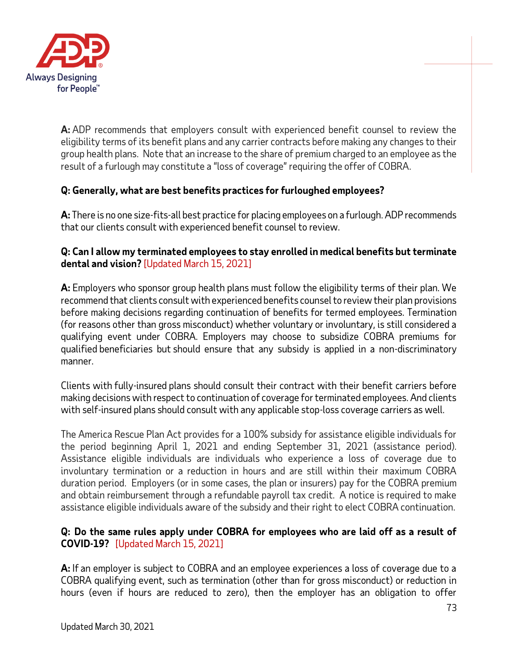

**A:** ADP recommends that employers consult with experienced benefit counsel to review the eligibility terms of its benefit plans and any carrier contracts before making any changes to their group health plans. Note that an increase to the share of premium charged to an employee as the result of a furlough may constitute a "loss of coverage" requiring the offer of COBRA.

# **Q: Generally, what are best benefits practices for furloughed employees?**

**A:** There is no one size-fits-all best practice for placing employees on a furlough. ADP recommends that our clients consult with experienced benefit counsel to review.

### **Q: Can I allow my terminated employees to stay enrolled in medical benefits but terminate dental and vision?** [Updated March 15, 2021]

**A:** Employers who sponsor group health plans must follow the eligibility terms of their plan. We recommend that clients consult with experienced benefits counsel to review their plan provisions before making decisions regarding continuation of benefits for termed employees. Termination (for reasons other than gross misconduct) whether voluntary or involuntary, is still considered a qualifying event under COBRA. Employers may choose to subsidize COBRA premiums for qualified beneficiaries but should ensure that any subsidy is applied in a non-discriminatory manner.

Clients with fully-insured plans should consult their contract with their benefit carriers before making decisions with respect to continuation of coverage for terminated employees. And clients with self-insured plans should consult with any applicable stop-loss coverage carriers as well.

The America Rescue Plan Act provides for a 100% subsidy for assistance eligible individuals for the period beginning April 1, 2021 and ending September 31, 2021 (assistance period). Assistance eligible individuals are individuals who experience a loss of coverage due to involuntary termination or a reduction in hours and are still within their maximum COBRA duration period. Employers (or in some cases, the plan or insurers) pay for the COBRA premium and obtain reimbursement through a refundable payroll tax credit. A notice is required to make assistance eligible individuals aware of the subsidy and their right to elect COBRA continuation.

## **Q: Do the same rules apply under COBRA for employees who are laid off as a result of COVID-19?** [Updated March 15, 2021]

**A:** If an employer is subject to COBRA and an employee experiences a loss of coverage due to a COBRA qualifying event, such as termination (other than for gross misconduct) or reduction in hours (even if hours are reduced to zero), then the employer has an obligation to offer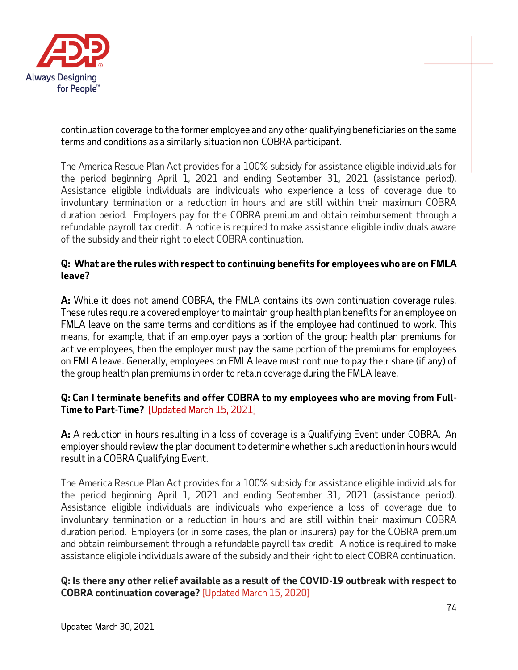

continuation coverage to the former employee and any other qualifying beneficiaries on the same terms and conditions as a similarly situation non-COBRA participant.

The America Rescue Plan Act provides for a 100% subsidy for assistance eligible individuals for the period beginning April 1, 2021 and ending September 31, 2021 (assistance period). Assistance eligible individuals are individuals who experience a loss of coverage due to involuntary termination or a reduction in hours and are still within their maximum COBRA duration period. Employers pay for the COBRA premium and obtain reimbursement through a refundable payroll tax credit. A notice is required to make assistance eligible individuals aware of the subsidy and their right to elect COBRA continuation.

### **Q: What are the rules with respect to continuing benefits for employees who are on FMLA leave?**

**A:** While it does not amend COBRA, the FMLA contains its own continuation coverage rules. These rules require a covered employer to maintain group health plan benefits for an employee on FMLA leave on the same terms and conditions as if the employee had continued to work. This means, for example, that if an employer pays a portion of the group health plan premiums for active employees, then the employer must pay the same portion of the premiums for employees on FMLA leave. Generally, employees on FMLA leave must continue to pay their share (if any) of the group health plan premiums in order to retain coverage during the FMLA leave.

## **Q: Can I terminate benefits and offer COBRA to my employees who are moving from Full-Time to Part-Time?** [Updated March 15, 2021]

**A:** A reduction in hours resulting in a loss of coverage is a Qualifying Event under COBRA. An employer should review the plan document to determine whether such a reduction in hours would result in a COBRA Qualifying Event.

The America Rescue Plan Act provides for a 100% subsidy for assistance eligible individuals for the period beginning April 1, 2021 and ending September 31, 2021 (assistance period). Assistance eligible individuals are individuals who experience a loss of coverage due to involuntary termination or a reduction in hours and are still within their maximum COBRA duration period. Employers (or in some cases, the plan or insurers) pay for the COBRA premium and obtain reimbursement through a refundable payroll tax credit. A notice is required to make assistance eligible individuals aware of the subsidy and their right to elect COBRA continuation.

#### **Q: Is there any other relief available as a result of the COVID-19 outbreak with respect to COBRA continuation coverage?** [Updated March 15, 2020]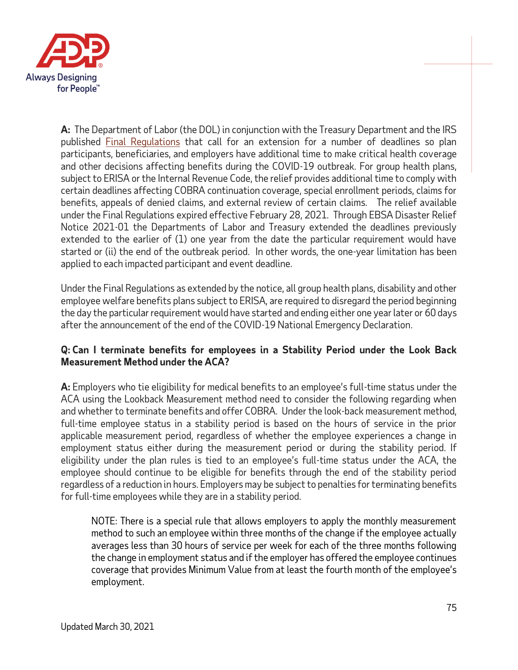

**A:** The Department of Labor (the DOL) in conjunction with the Treasury Department and the IRS published [Final Regulations](https://www.govinfo.gov/content/pkg/FR-2020-05-04/pdf/2020-09399.pdf) that call for an extension for a number of deadlines so plan participants, beneficiaries, and employers have additional time to make critical health coverage and other decisions affecting benefits during the COVID-19 outbreak. For group health plans, subject to ERISA or the Internal Revenue Code, the relief provides additional time to comply with certain deadlines affecting COBRA continuation coverage, special enrollment periods, claims for benefits, appeals of denied claims, and external review of certain claims. The relief available under the Final Regulations expired effective February 28, 2021. Through EBSA Disaster Relief Notice 2021-01 the Departments of Labor and Treasury extended the deadlines previously extended to the earlier of (1) one year from the date the particular requirement would have started or (ii) the end of the outbreak period. In other words, the one-year limitation has been applied to each impacted participant and event deadline.

Under the Final Regulations as extended by the notice, all group health plans, disability and other employee welfare benefits plans subject to ERISA, are required to disregard the period beginning the day the particular requirement would have started and ending either one year later or 60 days after the announcement of the end of the COVID-19 National Emergency Declaration.

### **Q: Can I terminate benefits for employees in a Stability Period under the Look Back Measurement Method under the ACA?**

**A:** Employers who tie eligibility for medical benefits to an employee's full-time status under the ACA using the Lookback Measurement method need to consider the following regarding when and whether to terminate benefits and offer COBRA. Under the look-back measurement method, full-time employee status in a stability period is based on the hours of service in the prior applicable measurement period, regardless of whether the employee experiences a change in employment status either during the measurement period or during the stability period. If eligibility under the plan rules is tied to an employee's full-time status under the ACA, the employee should continue to be eligible for benefits through the end of the stability period regardless of a reduction in hours. Employers may be subject to penalties for terminating benefits for full-time employees while they are in a stability period.

NOTE: There is a special rule that allows employers to apply the monthly measurement method to such an employee within three months of the change if the employee actually averages less than 30 hours of service per week for each of the three months following the change in employment status and if the employer has offered the employee continues coverage that provides Minimum Value from at least the fourth month of the employee's employment.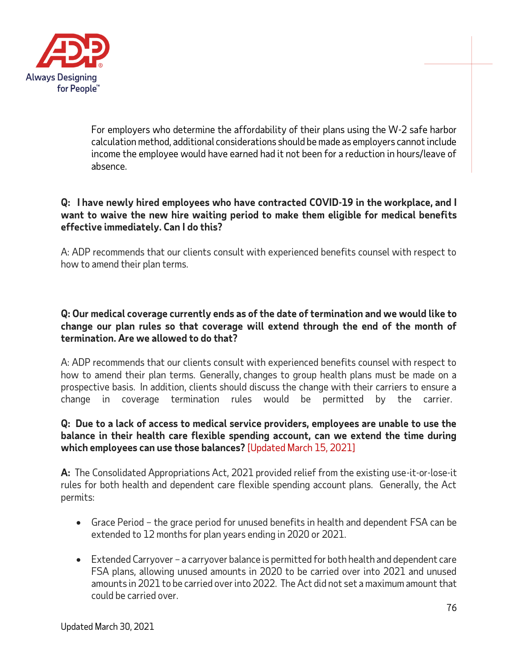

For employers who determine the affordability of their plans using the W-2 safe harbor calculation method, additional considerations should be made as employers cannot include income the employee would have earned had it not been for a reduction in hours/leave of absence.

### **Q: I have newly hired employees who have contracted COVID-19 in the workplace, and I want to waive the new hire waiting period to make them eligible for medical benefits effective immediately. Can I do this?**

A: ADP recommends that our clients consult with experienced benefits counsel with respect to how to amend their plan terms.

### **Q: Our medical coverage currently ends as of the date of termination and we would like to change our plan rules so that coverage will extend through the end of the month of termination. Are we allowed to do that?**

A: ADP recommends that our clients consult with experienced benefits counsel with respect to how to amend their plan terms. Generally, changes to group health plans must be made on a prospective basis. In addition, clients should discuss the change with their carriers to ensure a change in coverage termination rules would be permitted by the carrier.

#### **Q: Due to a lack of access to medical service providers, employees are unable to use the balance in their health care flexible spending account, can we extend the time during which employees can use those balances?** [Updated March 15, 2021]

**A:** The Consolidated Appropriations Act, 2021 provided relief from the existing use-it-or-lose-it rules for both health and dependent care flexible spending account plans. Generally, the Act permits:

- Grace Period the grace period for unused benefits in health and dependent FSA can be extended to 12 months for plan years ending in 2020 or 2021.
- Extended Carryover a carryover balance is permitted for both health and dependent care FSA plans, allowing unused amounts in 2020 to be carried over into 2021 and unused amounts in 2021 to be carried over into 2022. The Act did not set a maximum amount that could be carried over.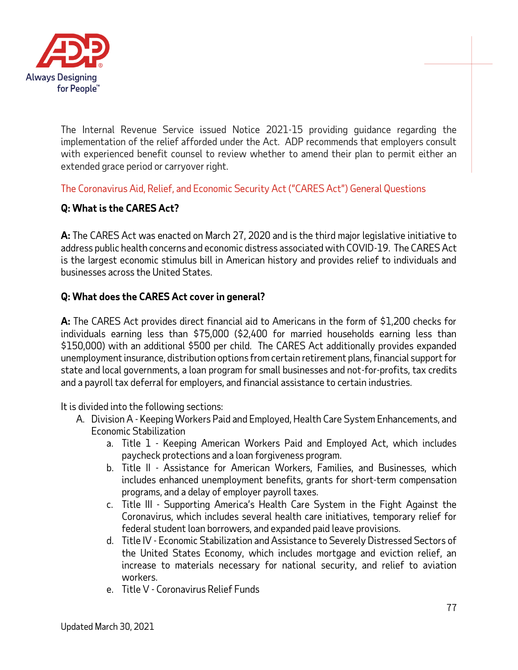

The Internal Revenue Service issued Notice 2021-15 providing guidance regarding the implementation of the relief afforded under the Act. ADP recommends that employers consult with experienced benefit counsel to review whether to amend their plan to permit either an extended grace period or carryover right.

The Coronavirus Aid, Relief, and Economic Security Act ("CARES Act") General Questions

# **Q: What is the CARES Act?**

**A:** The CARES Act was enacted on March 27, 2020 and is the third major legislative initiative to address public health concerns and economic distress associated with COVID-19. The CARES Act is the largest economic stimulus bill in American history and provides relief to individuals and businesses across the United States.

### **Q: What does the CARES Act cover in general?**

**A:** The CARES Act provides direct financial aid to Americans in the form of \$1,200 checks for individuals earning less than \$75,000 (\$2,400 for married households earning less than \$150,000) with an additional \$500 per child. The CARES Act additionally provides expanded unemployment insurance, distribution options from certain retirement plans, financial support for state and local governments, a loan program for small businesses and not-for-profits, tax credits and a payroll tax deferral for employers, and financial assistance to certain industries.

It is divided into the following sections:

- A. Division A Keeping Workers Paid and Employed, Health Care System Enhancements, and Economic Stabilization
	- a. Title 1 Keeping American Workers Paid and Employed Act, which includes paycheck protections and a loan forgiveness program.
	- b. Title II Assistance for American Workers, Families, and Businesses, which includes enhanced unemployment benefits, grants for short-term compensation programs, and a delay of employer payroll taxes.
	- c. Title III Supporting America's Health Care System in the Fight Against the Coronavirus, which includes several health care initiatives, temporary relief for federal student loan borrowers, and expanded paid leave provisions.
	- d. Title IV Economic Stabilization and Assistance to Severely Distressed Sectors of the United States Economy, which includes mortgage and eviction relief, an increase to materials necessary for national security, and relief to aviation workers.
	- e. Title V Coronavirus Relief Funds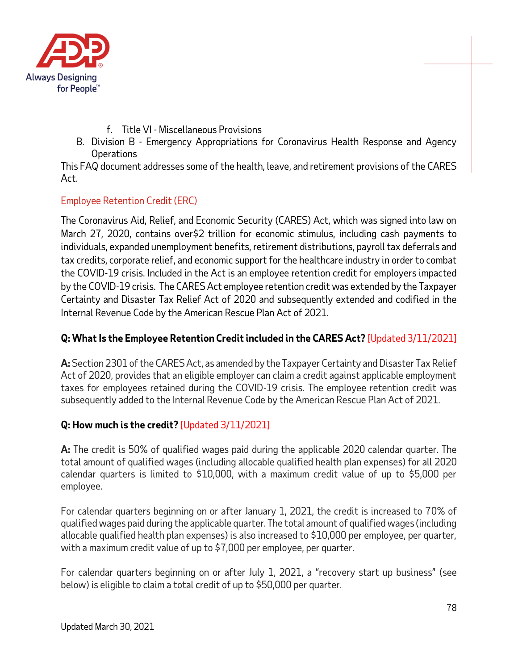

- f. Title VI Miscellaneous Provisions
- B. Division B Emergency Appropriations for Coronavirus Health Response and Agency **Operations**

This FAQ document addresses some of the health, leave, and retirement provisions of the CARES Act.

## Employee Retention Credit (ERC)

The Coronavirus Aid, Relief, and Economic Security (CARES) Act, which was signed into law on March 27, 2020, contains over\$2 trillion for economic stimulus, including cash payments to individuals, expanded unemployment benefits, retirement distributions, payroll tax deferrals and tax credits, corporate relief, and economic support for the healthcare industry in order to combat the COVID-19 crisis. Included in the Act is an employee retention credit for employers impacted by the COVID-19 crisis. The CARES Act employee retention credit was extended by the Taxpayer Certainty and Disaster Tax Relief Act of 2020 and subsequently extended and codified in the Internal Revenue Code by the American Rescue Plan Act of 2021.

# **Q: What Is the Employee Retention Credit included in the CARES Act?** [Updated 3/11/2021]

**A:** Section 2301 of the CARES Act, as amended by the Taxpayer Certainty and Disaster Tax Relief Act of 2020, provides that an eligible employer can claim a credit against applicable employment taxes for employees retained during the COVID-19 crisis. The employee retention credit was subsequently added to the Internal Revenue Code by the American Rescue Plan Act of 2021.

# **Q: How much is the credit?** [Updated 3/11/2021]

**A:** The credit is 50% of qualified wages paid during the applicable 2020 calendar quarter. The total amount of qualified wages (including allocable qualified health plan expenses) for all 2020 calendar quarters is limited to \$10,000, with a maximum credit value of up to \$5,000 per employee.

For calendar quarters beginning on or after January 1, 2021, the credit is increased to 70% of qualified wages paid during the applicable quarter. The total amount of qualified wages (including allocable qualified health plan expenses) is also increased to \$10,000 per employee, per quarter, with a maximum credit value of up to \$7,000 per employee, per quarter.

For calendar quarters beginning on or after July 1, 2021, a "recovery start up business" (see below) is eligible to claim a total credit of up to \$50,000 per quarter.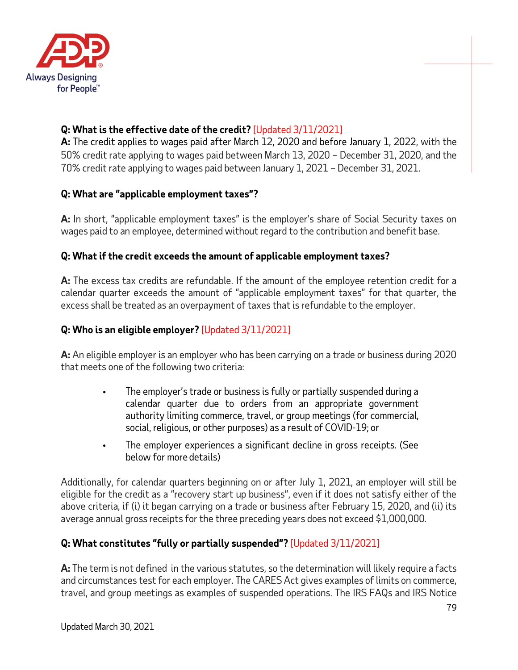

# **Q: What is the effective date of the credit?** [Updated 3/11/2021]

**A:** The credit applies to wages paid after March 12, 2020 and before January 1, 2022, with the 50% credit rate applying to wages paid between March 13, 2020 – December 31, 2020, and the 70% credit rate applying to wages paid between January 1, 2021 – December 31, 2021.

# **Q: What are "applicable employment taxes"?**

**A:** In short, "applicable employment taxes" is the employer's share of Social Security taxes on wages paid to an employee, determined without regard to the contribution and benefit base.

# **Q: What if the credit exceeds the amount of applicable employment taxes?**

**A:** The excess tax credits are refundable. If the amount of the employee retention credit for a calendar quarter exceeds the amount of "applicable employment taxes" for that quarter, the excess shall be treated as an overpayment of taxes that is refundable to the employer.

# **Q: Who is an eligible employer?** [Updated 3/11/2021]

**A:** An eligible employer is an employer who has been carrying on a trade or business during 2020 that meets one of the following two criteria:

- **•** The employer's trade or business is fully or partially suspended during a calendar quarter due to orders from an appropriate government authority limiting commerce, travel, or group meetings (for commercial, social, religious, or other purposes) as a result of COVID-19; or
- **•** The employer experiences a significant decline in gross receipts. (See below for more details)

Additionally, for calendar quarters beginning on or after July 1, 2021, an employer will still be eligible for the credit as a "recovery start up business", even if it does not satisfy either of the above criteria, if (i) it began carrying on a trade or business after February 15, 2020, and (ii) its average annual gross receipts for the three preceding years does not exceed \$1,000,000.

# **Q: What constitutes "fully or partially suspended"?** [Updated 3/11/2021]

**A:** The term is not defined in the various statutes, so the determination will likely require a facts and circumstances test for each employer. The CARES Act gives examples of limits on commerce, travel, and group meetings as examples of suspended operations. The IRS FAQs and IRS Notice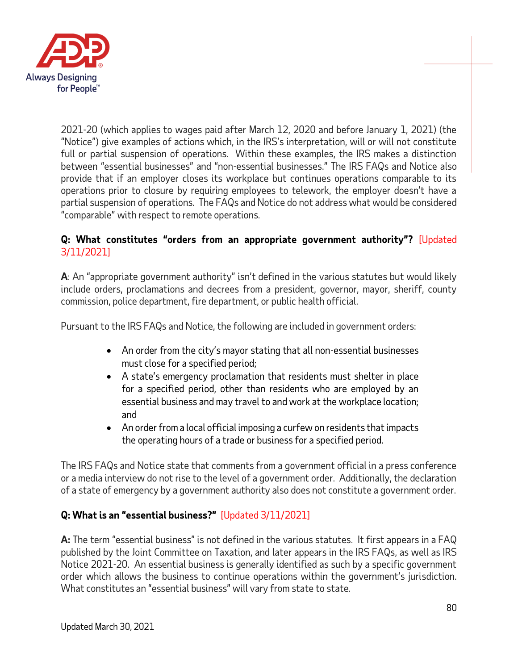

2021-20 (which applies to wages paid after March 12, 2020 and before January 1, 2021) (the "Notice") give examples of actions which, in the IRS's interpretation, will or will not constitute full or partial suspension of operations. Within these examples, the IRS makes a distinction between "essential businesses" and "non-essential businesses." The IRS FAQs and Notice also provide that if an employer closes its workplace but continues operations comparable to its operations prior to closure by requiring employees to telework, the employer doesn't have a partial suspension of operations. The FAQs and Notice do not address what would be considered "comparable" with respect to remote operations.

### **Q: What constitutes "orders from an appropriate government authority"?** [Updated 3/11/2021]

**A**: An "appropriate government authority" isn't defined in the various statutes but would likely include orders, proclamations and decrees from a president, governor, mayor, sheriff, county commission, police department, fire department, or public health official.

Pursuant to the IRS FAQs and Notice, the following are included in government orders:

- An order from the city's mayor stating that all non-essential businesses must close for a specified period;
- A state's emergency proclamation that residents must shelter in place for a specified period, other than residents who are employed by an essential business and may travel to and work at the workplace location; and
- An order from a local official imposing a curfew on residents that impacts the operating hours of a trade or business for a specified period.

The IRS FAQs and Notice state that comments from a government official in a press conference or a media interview do not rise to the level of a government order. Additionally, the declaration of a state of emergency by a government authority also does not constitute a government order.

# **Q: What is an "essential business?"** [Updated 3/11/2021]

**A:** The term "essential business" is not defined in the various statutes. It first appears in a FAQ published by the Joint Committee on Taxation, and later appears in the IRS FAQs, as well as IRS Notice 2021-20. An essential business is generally identified as such by a specific government order which allows the business to continue operations within the government's jurisdiction. What constitutes an "essential business" will vary from state to state.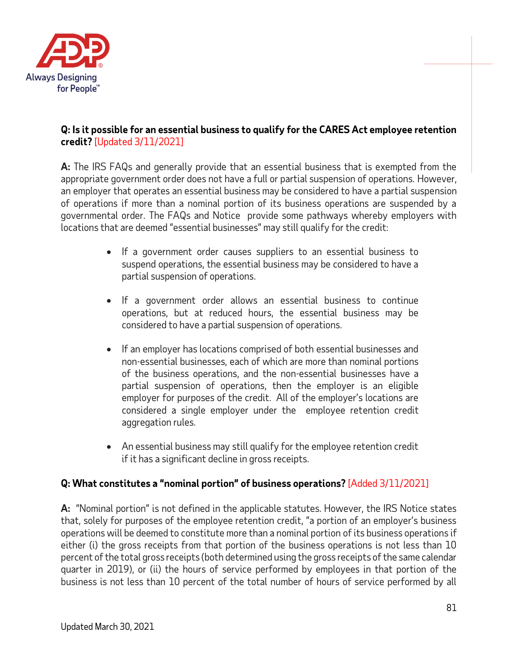

### **Q: Is it possible for an essential business to qualify for the CARES Act employee retention credit?** [Updated 3/11/2021]

**A:** The IRS FAQs and generally provide that an essential business that is exempted from the appropriate government order does not have a full or partial suspension of operations. However, an employer that operates an essential business may be considered to have a partial suspension of operations if more than a nominal portion of its business operations are suspended by a governmental order. The FAQs and Notice provide some pathways whereby employers with locations that are deemed "essential businesses" may still qualify for the credit:

- If a government order causes suppliers to an essential business to suspend operations, the essential business may be considered to have a partial suspension of operations.
- If a government order allows an essential business to continue operations, but at reduced hours, the essential business may be considered to have a partial suspension of operations.
- If an employer has locations comprised of both essential businesses and non-essential businesses, each of which are more than nominal portions of the business operations, and the non-essential businesses have a partial suspension of operations, then the employer is an eligible employer for purposes of the credit. All of the employer's locations are considered a single employer under the employee retention credit aggregation rules.
- An essential business may still qualify for the employee retention credit if it has a significant decline in gross receipts.

# **Q: What constitutes a "nominal portion" of business operations?** [Added 3/11/2021]

**A:** "Nominal portion" is not defined in the applicable statutes. However, the IRS Notice states that, solely for purposes of the employee retention credit, "a portion of an employer's business operations will be deemed to constitute more than a nominal portion of its business operations if either (i) the gross receipts from that portion of the business operations is not less than 10 percent of the total gross receipts (both determined using the gross receipts of the same calendar quarter in 2019), or (ii) the hours of service performed by employees in that portion of the business is not less than 10 percent of the total number of hours of service performed by all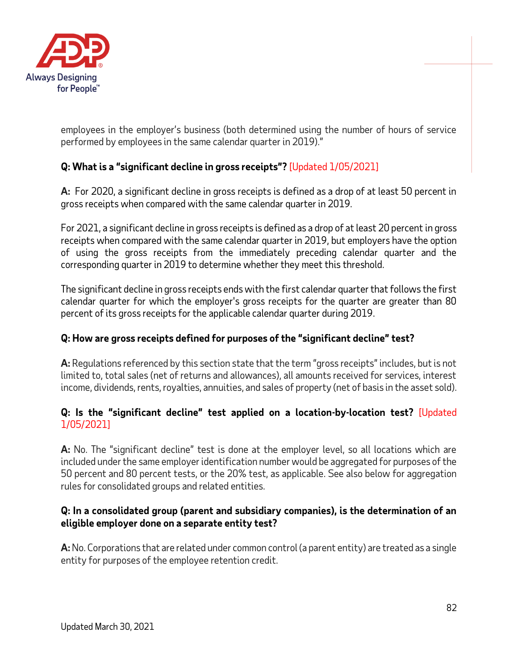

employees in the employer's business (both determined using the number of hours of service performed by employees in the same calendar quarter in 2019)."

# **Q: What is a "significant decline in gross receipts"?** [Updated 1/05/2021]

**A:** For 2020, a significant decline in gross receipts is defined as a drop of at least 50 percent in gross receipts when compared with the same calendar quarter in 2019.

For 2021, a significant decline in gross receipts is defined as a drop of at least 20 percent in gross receipts when compared with the same calendar quarter in 2019, but employers have the option of using the gross receipts from the immediately preceding calendar quarter and the corresponding quarter in 2019 to determine whether they meet this threshold.

The significant decline in gross receipts ends with the first calendar quarter that follows the first calendar quarter for which the employer's gross receipts for the quarter are greater than 80 percent of its gross receipts for the applicable calendar quarter during 2019.

### **Q: How are gross receipts defined for purposes of the "significant decline" test?**

**A:** Regulations referenced by this section state that the term "gross receipts" includes, but is not limited to, total sales (net of returns and allowances), all amounts received for services, interest income, dividends, rents, royalties, annuities, and sales of property (net of basis in the asset sold).

### **Q: Is the "significant decline" test applied on a location-by-location test?** [Updated 1/05/2021]

**A:** No. The "significant decline" test is done at the employer level, so all locations which are included under the same employer identification number would be aggregated for purposes of the 50 percent and 80 percent tests, or the 20% test, as applicable. See also below for aggregation rules for consolidated groups and related entities.

#### **Q: In a consolidated group (parent and subsidiary companies), is the determination of an eligible employer done on a separate entity test?**

**A:**No. Corporations that are related under common control (a parent entity) are treated as a single entity for purposes of the employee retention credit.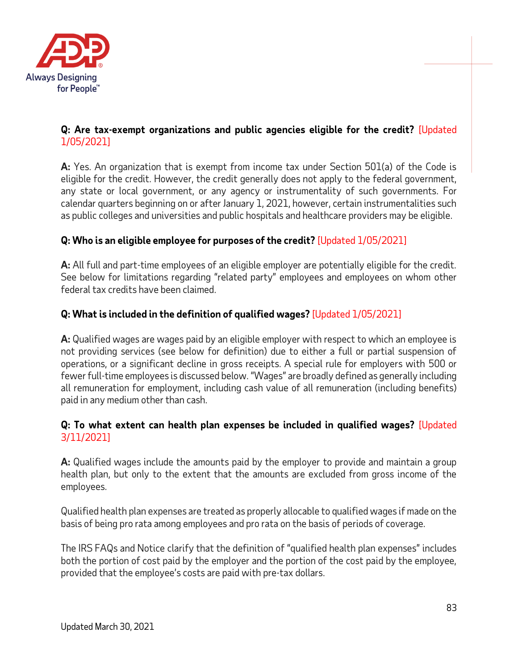

## **Q: Are tax-exempt organizations and public agencies eligible for the credit?** [Updated 1/05/2021]

**A:** Yes. An organization that is exempt from income tax under Section 501(a) of the Code is eligible for the credit. However, the credit generally does not apply to the federal government, any state or local government, or any agency or instrumentality of such governments. For calendar quarters beginning on or after January 1, 2021, however, certain instrumentalities such as public colleges and universities and public hospitals and healthcare providers may be eligible.

# **Q: Who is an eligible employee for purposes of the credit?** [Updated 1/05/2021]

**A:** All full and part-time employees of an eligible employer are potentially eligible for the credit. See below for limitations regarding "related party" employees and employees on whom other federal tax credits have been claimed.

## **Q: What is included in the definition of qualified wages?** [Updated 1/05/2021]

**A:** Qualified wages are wages paid by an eligible employer with respect to which an employee is not providing services (see below for definition) due to either a full or partial suspension of operations, or a significant decline in gross receipts. A special rule for employers with 500 or fewer full-time employees is discussed below. "Wages" are broadly defined as generally including all remuneration for employment, including cash value of all remuneration (including benefits) paid in any medium other than cash.

### **Q: To what extent can health plan expenses be included in qualified wages?** [Updated 3/11/2021]

**A:** Qualified wages include the amounts paid by the employer to provide and maintain a group health plan, but only to the extent that the amounts are excluded from gross income of the employees.

Qualified health plan expenses are treated as properly allocable to qualified wages if made on the basis of being pro rata among employees and pro rata on the basis of periods of coverage.

The IRS FAQs and Notice clarify that the definition of "qualified health plan expenses" includes both the portion of cost paid by the employer and the portion of the cost paid by the employee, provided that the employee's costs are paid with pre-tax dollars.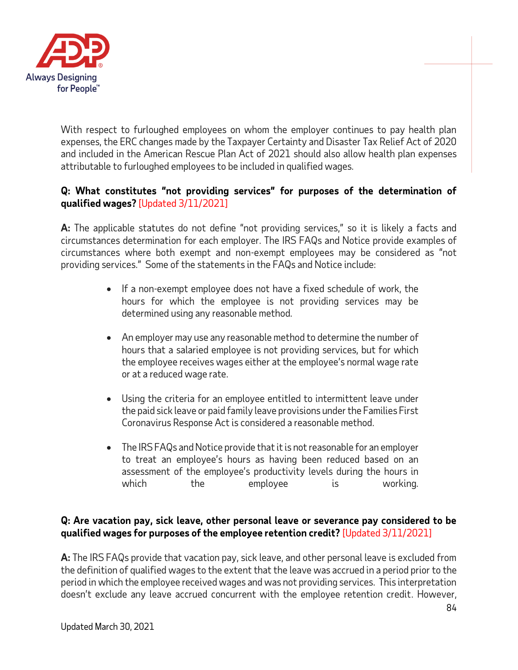

With respect to furloughed employees on whom the employer continues to pay health plan expenses, the ERC changes made by the Taxpayer Certainty and Disaster Tax Relief Act of 2020 and included in the American Rescue Plan Act of 2021 should also allow health plan expenses attributable to furloughed employees to be included in qualified wages.

### **Q: What constitutes "not providing services" for purposes of the determination of qualified wages?** [Updated 3/11/2021]

**A:** The applicable statutes do not define "not providing services," so it is likely a facts and circumstances determination for each employer. The IRS FAQs and Notice provide examples of circumstances where both exempt and non-exempt employees may be considered as "not providing services." Some of the statements in the FAQs and Notice include:

- If a non-exempt employee does not have a fixed schedule of work, the hours for which the employee is not providing services may be determined using any reasonable method.
- An employer may use any reasonable method to determine the number of hours that a salaried employee is not providing services, but for which the employee receives wages either at the employee's normal wage rate or at a reduced wage rate.
- Using the criteria for an employee entitled to intermittent leave under the paid sick leave or paid family leave provisions under the Families First Coronavirus Response Act is considered a reasonable method.
- The IRS FAQs and Notice provide that it is not reasonable for an employer to treat an employee's hours as having been reduced based on an assessment of the employee's productivity levels during the hours in which the employee is working.

### **Q: Are vacation pay, sick leave, other personal leave or severance pay considered to be qualified wages for purposes of the employee retention credit?** [Updated 3/11/2021]

**A:** The IRS FAQs provide that vacation pay, sick leave, and other personal leave is excluded from the definition of qualified wages to the extent that the leave was accrued in a period prior to the period in which the employee received wages and was not providing services. This interpretation doesn't exclude any leave accrued concurrent with the employee retention credit. However,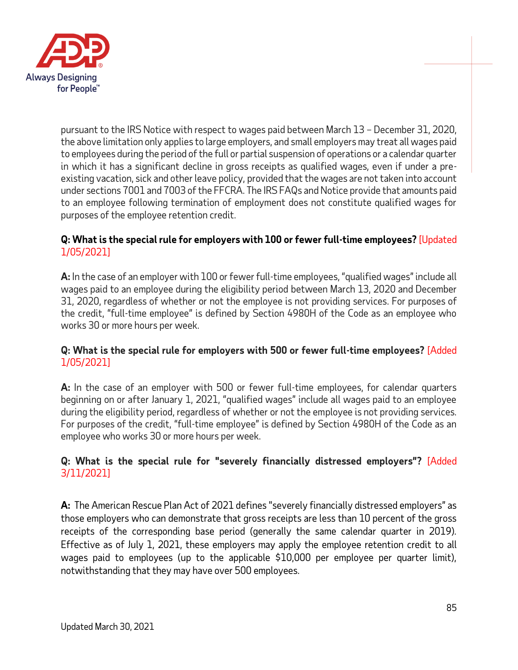

pursuant to the IRS Notice with respect to wages paid between March 13 – December 31, 2020, the above limitation only applies to large employers, and small employers may treat all wages paid to employees during the period of the full or partial suspension of operations or a calendar quarter in which it has a significant decline in gross receipts as qualified wages, even if under a preexisting vacation, sick and other leave policy, provided that the wages are not taken into account under sections 7001 and 7003 of the FFCRA. The IRS FAQs and Notice provide that amounts paid to an employee following termination of employment does not constitute qualified wages for purposes of the employee retention credit.

### **Q: What is the special rule for employers with 100 or fewer full-time employees?** [Updated 1/05/2021]

**A:** In the case of an employer with 100 or fewer full-time employees, "qualified wages" include all wages paid to an employee during the eligibility period between March 13, 2020 and December 31, 2020, regardless of whether or not the employee is not providing services. For purposes of the credit, "full-time employee" is defined by Section 4980H of the Code as an employee who works 30 or more hours per week.

### **Q: What is the special rule for employers with 500 or fewer full-time employees?** [Added 1/05/2021]

**A:** In the case of an employer with 500 or fewer full-time employees, for calendar quarters beginning on or after January 1, 2021, "qualified wages" include all wages paid to an employee during the eligibility period, regardless of whether or not the employee is not providing services. For purposes of the credit, "full-time employee" is defined by Section 4980H of the Code as an employee who works 30 or more hours per week.

# **Q: What is the special rule for "severely financially distressed employers"?** [Added 3/11/2021]

**A:** The American Rescue Plan Act of 2021 defines "severely financially distressed employers" as those employers who can demonstrate that gross receipts are less than 10 percent of the gross receipts of the corresponding base period (generally the same calendar quarter in 2019). Effective as of July 1, 2021, these employers may apply the employee retention credit to all wages paid to employees (up to the applicable \$10,000 per employee per quarter limit), notwithstanding that they may have over 500 employees.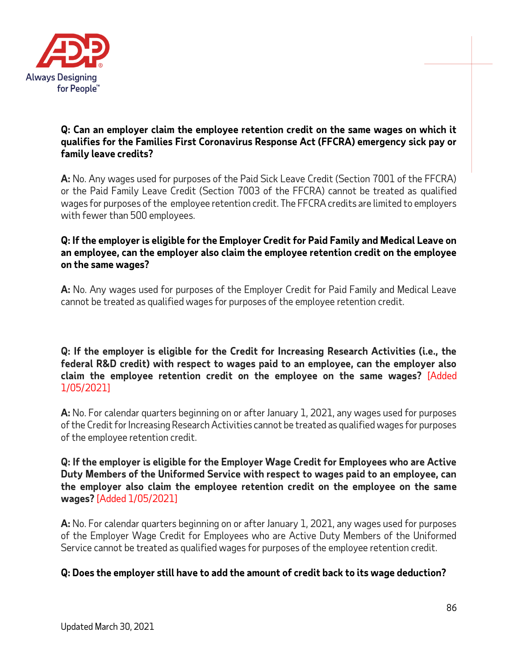

#### **Q: Can an employer claim the employee retention credit on the same wages on which it qualifies for the Families First Coronavirus Response Act (FFCRA) emergency sick pay or family leave credits?**

**A:** No. Any wages used for purposes of the Paid Sick Leave Credit (Section 7001 of the FFCRA) or the Paid Family Leave Credit (Section 7003 of the FFCRA) cannot be treated as qualified wages for purposes of the employee retention credit. The FFCRA credits are limited to employers with fewer than 500 employees.

### **Q: If the employer is eligible for the Employer Credit for Paid Family and Medical Leave on an employee, can the employer also claim the employee retention credit on the employee on the same wages?**

**A:** No. Any wages used for purposes of the Employer Credit for Paid Family and Medical Leave cannot be treated as qualified wages for purposes of the employee retention credit.

#### **Q: If the employer is eligible for the Credit for Increasing Research Activities (i.e., the federal R&D credit) with respect to wages paid to an employee, can the employer also claim the employee retention credit on the employee on the same wages?** [Added 1/05/2021]

**A:** No. For calendar quarters beginning on or after January 1, 2021, any wages used for purposes of the Credit for Increasing Research Activities cannot be treated as qualified wages for purposes of the employee retention credit.

#### **Q: If the employer is eligible for the Employer Wage Credit for Employees who are Active Duty Members of the Uniformed Service with respect to wages paid to an employee, can the employer also claim the employee retention credit on the employee on the same wages?** [Added 1/05/2021]

**A:** No. For calendar quarters beginning on or after January 1, 2021, any wages used for purposes of the Employer Wage Credit for Employees who are Active Duty Members of the Uniformed Service cannot be treated as qualified wages for purposes of the employee retention credit.

### **Q: Does the employer still have to add the amount of credit back to its wage deduction?**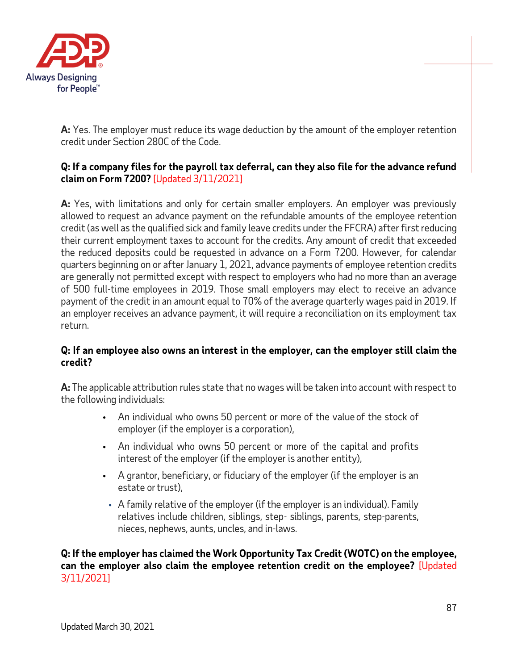

**A:** Yes. The employer must reduce its wage deduction by the amount of the employer retention credit under Section 280C of the Code.

## **Q: If a company files for the payroll tax deferral, can they also file for the advance refund claim on Form 7200?** [Updated 3/11/2021]

**A:** Yes, with limitations and only for certain smaller employers. An employer was previously allowed to request an advance payment on the refundable amounts of the employee retention credit (as well as the qualified sick and family leave credits under the FFCRA) after first reducing their current employment taxes to account for the credits. Any amount of credit that exceeded the reduced deposits could be requested in advance on a Form 7200. However, for calendar quarters beginning on or after January 1, 2021, advance payments of employee retention credits are generally not permitted except with respect to employers who had no more than an average of 500 full-time employees in 2019. Those small employers may elect to receive an advance payment of the credit in an amount equal to 70% of the average quarterly wages paid in 2019. If an employer receives an advance payment, it will require a reconciliation on its employment tax return.

#### **Q: If an employee also owns an interest in the employer, can the employer still claim the credit?**

**A:** The applicable attribution rules state that no wages will be taken into account with respect to the following individuals:

- **•** An individual who owns 50 percent or more of the value of the stock of employer (if the employer is a corporation),
- **•** An individual who owns 50 percent or more of the capital and profits interest of the employer (if the employer is another entity),
- **•** A grantor, beneficiary, or fiduciary of the employer (if the employer is an estate or trust),
- **•** A family relative of the employer (if the employer is an individual). Family relatives include children, siblings, step- siblings, parents, step-parents, nieces, nephews, aunts, uncles, and in-laws.

**Q: If the employer has claimed the Work Opportunity Tax Credit (WOTC) on the employee, can the employer also claim the employee retention credit on the employee?** [Updated 3/11/2021]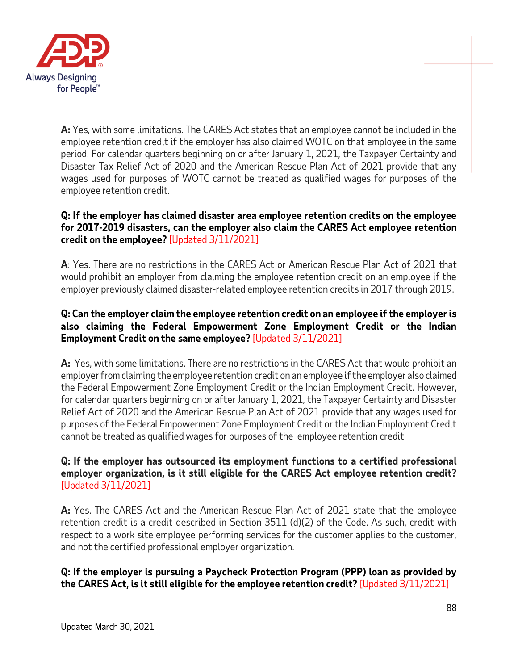

**A:** Yes, with some limitations. The CARES Act states that an employee cannot be included in the employee retention credit if the employer has also claimed WOTC on that employee in the same period. For calendar quarters beginning on or after January 1, 2021, the Taxpayer Certainty and Disaster Tax Relief Act of 2020 and the American Rescue Plan Act of 2021 provide that any wages used for purposes of WOTC cannot be treated as qualified wages for purposes of the employee retention credit.

### **Q: If the employer has claimed disaster area employee retention credits on the employee for 2017-2019 disasters, can the employer also claim the CARES Act employee retention credit on the employee?** [Updated 3/11/2021]

**A**: Yes. There are no restrictions in the CARES Act or American Rescue Plan Act of 2021 that would prohibit an employer from claiming the employee retention credit on an employee if the employer previously claimed disaster-related employee retention credits in 2017 through 2019.

### **Q: Can the employer claim the employee retention credit on an employee if the employer is also claiming the Federal Empowerment Zone Employment Credit or the Indian Employment Credit on the same employee?** [Updated 3/11/2021]

**A:** Yes, with some limitations. There are no restrictions in the CARES Act that would prohibit an employer from claiming the employee retention credit on an employee ifthe employer also claimed the Federal Empowerment Zone Employment Credit or the Indian Employment Credit. However, for calendar quarters beginning on or after January 1, 2021, the Taxpayer Certainty and Disaster Relief Act of 2020 and the American Rescue Plan Act of 2021 provide that any wages used for purposes of the Federal Empowerment Zone Employment Credit or the Indian Employment Credit cannot be treated as qualified wages for purposes of the employee retention credit.

## **Q: If the employer has outsourced its employment functions to a certified professional employer organization, is it still eligible for the CARES Act employee retention credit?** [Updated 3/11/2021]

**A:** Yes. The CARES Act and the American Rescue Plan Act of 2021 state that the employee retention credit is a credit described in Section 3511 (d)(2) of the Code. As such, credit with respect to a work site employee performing services for the customer applies to the customer, and not the certified professional employer organization.

**Q: If the employer is pursuing a Paycheck Protection Program (PPP) loan as provided by the CARES Act, is it still eligible for the employee retention credit?** [Updated 3/11/2021]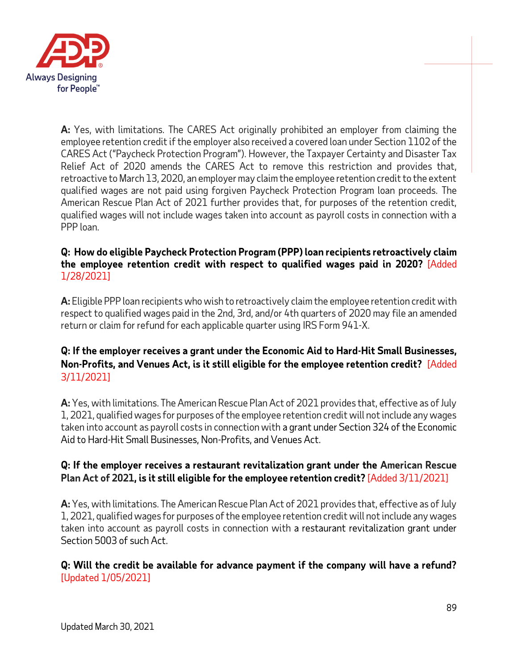

**A:** Yes, with limitations. The CARES Act originally prohibited an employer from claiming the employee retention credit if the employer also received a covered loan under Section 1102 of the CARES Act ("Paycheck Protection Program"). However, the Taxpayer Certainty and Disaster Tax Relief Act of 2020 amends the CARES Act to remove this restriction and provides that, retroactive to March 13, 2020, an employer may claim the employee retention credit to the extent qualified wages are not paid using forgiven Paycheck Protection Program loan proceeds. The American Rescue Plan Act of 2021 further provides that, for purposes of the retention credit, qualified wages will not include wages taken into account as payroll costs in connection with a PPP loan.

### **Q: How do eligible Paycheck Protection Program (PPP) loan recipients retroactively claim the employee retention credit with respect to qualified wages paid in 2020?** [Added 1/28/2021]

**A:** Eligible PPP loan recipients who wish to retroactively claim the employee retention credit with respect to qualified wages paid in the 2nd, 3rd, and/or 4th quarters of 2020 may file an amended return or claim for refund for each applicable quarter using IRS Form 941-X.

# **Q: If the employer receives a grant under the Economic Aid to Hard-Hit Small Businesses, Non-Profits, and Venues Act, is it still eligible for the employee retention credit?** [Added 3/11/2021]

**A:** Yes, with limitations. The American Rescue Plan Act of 2021 provides that, effective as of July 1, 2021, qualified wages for purposes of the employee retention credit will not include any wages taken into account as payroll costs in connection with a grant under Section 324 of the Economic Aid to Hard-Hit Small Businesses, Non-Profits, and Venues Act.

## **Q: If the employer receives a restaurant revitalization grant under the American Rescue Plan Act of 2021, is it still eligible for the employee retention credit?** [Added 3/11/2021]

**A:** Yes, with limitations. The American Rescue Plan Act of 2021 provides that, effective as of July 1, 2021, qualified wages for purposes of the employee retention credit will not include any wages taken into account as payroll costs in connection with a restaurant revitalization grant under Section 5003 of such Act.

**Q: Will the credit be available for advance payment if the company will have a refund?** [Updated 1/05/2021]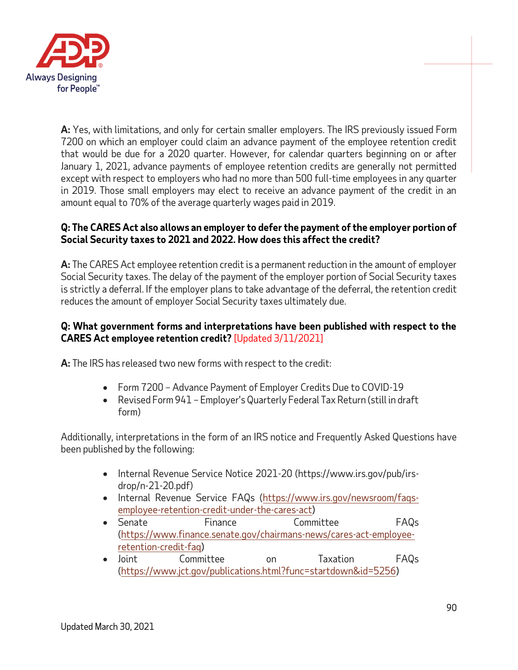

**A:** Yes, with limitations, and only for certain smaller employers. The IRS previously issued Form 7200 on which an employer could claim an advance payment of the employee retention credit that would be due for a 2020 quarter. However, for calendar quarters beginning on or after January 1, 2021, advance payments of employee retention credits are generally not permitted except with respect to employers who had no more than 500 full-time employees in any quarter in 2019. Those small employers may elect to receive an advance payment of the credit in an amount equal to 70% of the average quarterly wages paid in 2019.

## **Q: The CARES Act also allows an employer to defer the payment of the employer portion of Social Security taxes to 2021 and 2022. How does this affect the credit?**

**A:** The CARES Act employee retention credit is a permanent reduction in the amount of employer Social Security taxes. The delay of the payment of the employer portion of Social Security taxes is strictly a deferral. If the employer plans to take advantage of the deferral, the retention credit reduces the amount of employer Social Security taxes ultimately due.

#### **Q: What government forms and interpretations have been published with respect to the CARES Act employee retention credit?** [Updated 3/11/2021]

**A:** The IRS has released two new forms with respect to the credit:

- Form 7200 Advance Payment of Employer Credits Due to COVID-19
- Revised Form 941 Employer's Quarterly Federal Tax Return (still in draft form)

Additionally, interpretations in the form of an IRS notice and Frequently Asked Questions have been published by the following:

- Internal Revenue Service Notice 2021-20 (https://www.irs.gov/pub/irsdrop/n-21-20.pdf)
- Internal Revenue Service FAQs [\(https://www.irs.gov/newsroom/faqs](https://www.irs.gov/newsroom/faqs-employee-retention-credit-under-the-cares-act)[employee-retention-credit-under-the-cares-act\)](https://www.irs.gov/newsroom/faqs-employee-retention-credit-under-the-cares-act)
- Senate Finance Committee FAQs [\(https://www.finance.senate.gov/chairmans-news/cares-act-employee](https://www.finance.senate.gov/chairmans-news/cares-act-employee-retention-credit-faq)[retention-credit-faq\)](https://www.finance.senate.gov/chairmans-news/cares-act-employee-retention-credit-faq)
- Joint Committee on Taxation FAQs [\(https://www.jct.gov/publications.html?func=startdown&id=5256\)](https://www.jct.gov/publications.html?func=startdown&id=5256)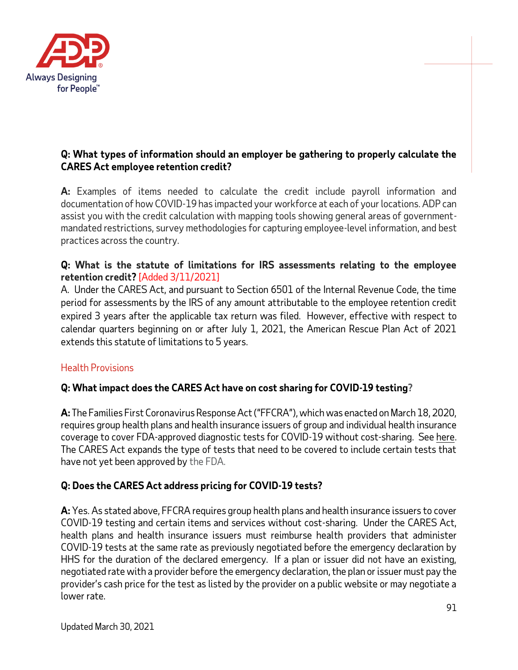

### **Q: What types of information should an employer be gathering to properly calculate the CARES Act employee retention credit?**

**A:** Examples of items needed to calculate the credit include payroll information and documentation of how COVID-19 has impacted your workforce at each of your locations. ADP can assist you with the credit calculation with mapping tools showing general areas of governmentmandated restrictions, survey methodologies for capturing employee-level information, and best practices across the country.

### **Q: What is the statute of limitations for IRS assessments relating to the employee retention credit?** [Added 3/11/2021]

A. Under the CARES Act, and pursuant to Section 6501 of the Internal Revenue Code, the time period for assessments by the IRS of any amount attributable to the employee retention credit expired 3 years after the applicable tax return was filed. However, effective with respect to calendar quarters beginning on or after July 1, 2021, the American Rescue Plan Act of 2021 extends this statute of limitations to 5 years.

# Health Provisions

# **Q: What impact does the CARES Act have on cost sharing for COVID-19 testing?**

**A:** The Families First Coronavirus Response Act ("FFCRA"), which was enacted on March 18, 2020, requires group health plans and health insurance issuers of group and individual health insurance coverage to cover FDA-approved diagnostic tests for COVID-19 without cost-sharing. See [here.](#page-64-0) The CARES Act expands the type of tests that need to be covered to include certain tests that have not yet been approved by the FDA.

# **Q: Does the CARES Act address pricing for COVID-19 tests?**

**A:** Yes. As stated above, FFCRA requires group health plans and health insurance issuers to cover COVID-19 testing and certain items and services without cost-sharing. Under the CARES Act, health plans and health insurance issuers must reimburse health providers that administer COVID-19 tests at the same rate as previously negotiated before the emergency declaration by HHS for the duration of the declared emergency. If a plan or issuer did not have an existing, negotiated rate with a provider before the emergency declaration, the plan or issuer must pay the provider's cash price for the test as listed by the provider on a public website or may negotiate a lower rate.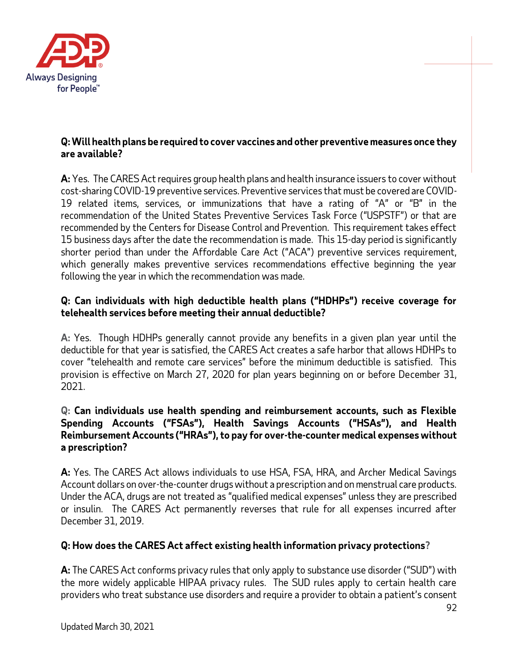

#### **Q: Will health plans be required to cover vaccines and other preventive measures once they are available?**

**A:** Yes. The CARES Act requires group health plans and health insurance issuers to cover without cost-sharing COVID-19 preventive services. Preventive services that must be covered are COVID-19 related items, services, or immunizations that have a rating of "A" or "B" in the recommendation of the United States Preventive Services Task Force ("USPSTF") or that are recommended by the Centers for Disease Control and Prevention. This requirement takes effect 15 business days after the date the recommendation is made. This 15-day period is significantly shorter period than under the Affordable Care Act ("ACA") preventive services requirement, which generally makes preventive services recommendations effective beginning the year following the year in which the recommendation was made.

### **Q: Can individuals with high deductible health plans ("HDHPs") receive coverage for telehealth services before meeting their annual deductible?**

**A:** Yes. Though HDHPs generally cannot provide any benefits in a given plan year until the deductible for that year is satisfied, the CARES Act creates a safe harbor that allows HDHPs to cover "telehealth and remote care services" before the minimum deductible is satisfied. This provision is effective on March 27, 2020 for plan years beginning on or before December 31, 2021.

### **Q: Can individuals use health spending and reimbursement accounts, such as Flexible Spending Accounts ("FSAs"), Health Savings Accounts ("HSAs"), and Health Reimbursement Accounts ("HRAs"), to pay for over-the-counter medical expenses without a prescription?**

**A:** Yes. The CARES Act allows individuals to use HSA, FSA, HRA, and Archer Medical Savings Account dollars on over-the-counter drugs without a prescription and on menstrual care products. Under the ACA, drugs are not treated as "qualified medical expenses" unless they are prescribed or insulin. The CARES Act permanently reverses that rule for all expenses incurred after December 31, 2019.

### **Q: How does the CARES Act affect existing health information privacy protections?**

**A:** The CARES Act conforms privacy rules that only apply to substance use disorder ("SUD") with the more widely applicable HIPAA privacy rules. The SUD rules apply to certain health care providers who treat substance use disorders and require a provider to obtain a patient's consent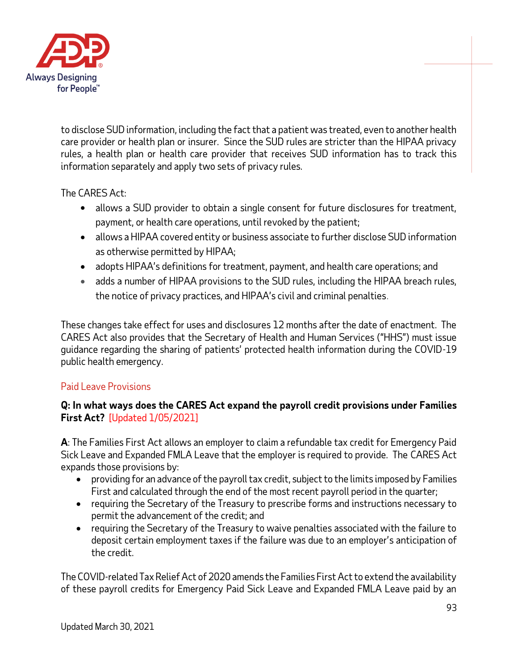

to disclose SUD information, including the fact that a patient was treated, even to another health care provider or health plan or insurer. Since the SUD rules are stricter than the HIPAA privacy rules, a health plan or health care provider that receives SUD information has to track this information separately and apply two sets of privacy rules.

The CARES Act:

- allows a SUD provider to obtain a single consent for future disclosures for treatment, payment, or health care operations, until revoked by the patient;
- allows a HIPAA covered entity or business associate to further disclose SUD information as otherwise permitted by HIPAA;
- adopts HIPAA's definitions for treatment, payment, and health care operations; and
- adds a number of HIPAA provisions to the SUD rules, including the HIPAA breach rules, the notice of privacy practices, and HIPAA's civil and criminal penalties.

These changes take effect for uses and disclosures 12 months after the date of enactment. The CARES Act also provides that the Secretary of Health and Human Services ("HHS") must issue guidance regarding the sharing of patients' protected health information during the COVID-19 public health emergency.

### Paid Leave Provisions

### **Q: In what ways does the CARES Act expand the payroll credit provisions under Families First Act?** [Updated 1/05/2021]

**A**: The Families First Act allows an employer to claim a refundable tax credit for Emergency Paid Sick Leave and Expanded FMLA Leave that the employer is required to provide. The CARES Act expands those provisions by:

- providing for an advance of the payroll tax credit, subject to the limits imposed by Families First and calculated through the end of the most recent payroll period in the quarter;
- requiring the Secretary of the Treasury to prescribe forms and instructions necessary to permit the advancement of the credit; and
- requiring the Secretary of the Treasury to waive penalties associated with the failure to deposit certain employment taxes if the failure was due to an employer's anticipation of the credit.

The COVID-related Tax Relief Act of 2020 amends the Families First Act to extend the availability of these payroll credits for Emergency Paid Sick Leave and Expanded FMLA Leave paid by an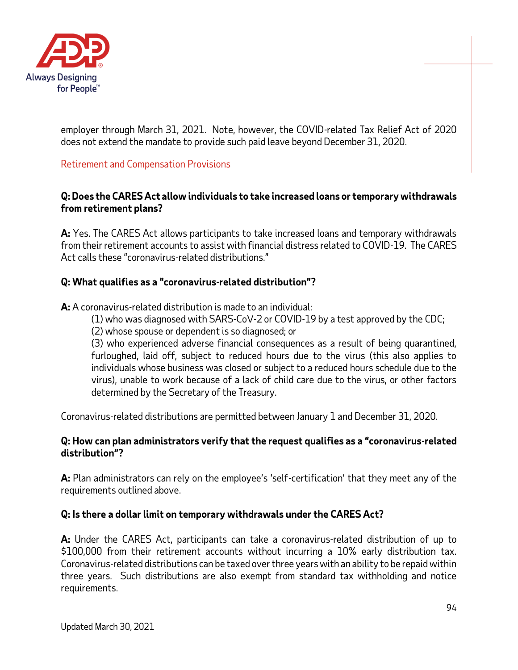

employer through March 31, 2021. Note, however, the COVID-related Tax Relief Act of 2020 does not extend the mandate to provide such paid leave beyond December 31, 2020.

## Retirement and Compensation Provisions

#### **Q: Does the CARES Act allow individuals to take increased loans or temporary withdrawals from retirement plans?**

**A:** Yes. The CARES Act allows participants to take increased loans and temporary withdrawals from their retirement accounts to assist with financial distress related to COVID-19. The CARES Act calls these "coronavirus-related distributions."

### **Q: What qualifies as a "coronavirus-related distribution"?**

**A:** A coronavirus-related distribution is made to an individual:

- (1) who was diagnosed with SARS-CoV-2 or COVID-19 by a test approved by the CDC;
- (2) whose spouse or dependent is so diagnosed; or

(3) who experienced adverse financial consequences as a result of being quarantined, furloughed, laid off, subject to reduced hours due to the virus (this also applies to individuals whose business was closed or subject to a reduced hours schedule due to the virus), unable to work because of a lack of child care due to the virus, or other factors determined by the Secretary of the Treasury.

Coronavirus-related distributions are permitted between January 1 and December 31, 2020.

#### **Q: How can plan administrators verify that the request qualifies as a "coronavirus-related distribution"?**

**A:** Plan administrators can rely on the employee's 'self-certification' that they meet any of the requirements outlined above.

### **Q: Is there a dollar limit on temporary withdrawals under the CARES Act?**

**A:** Under the CARES Act, participants can take a coronavirus-related distribution of up to \$100,000 from their retirement accounts without incurring a 10% early distribution tax. Coronavirus-related distributions can be taxed over three years with an ability to be repaid within three years. Such distributions are also exempt from standard tax withholding and notice requirements.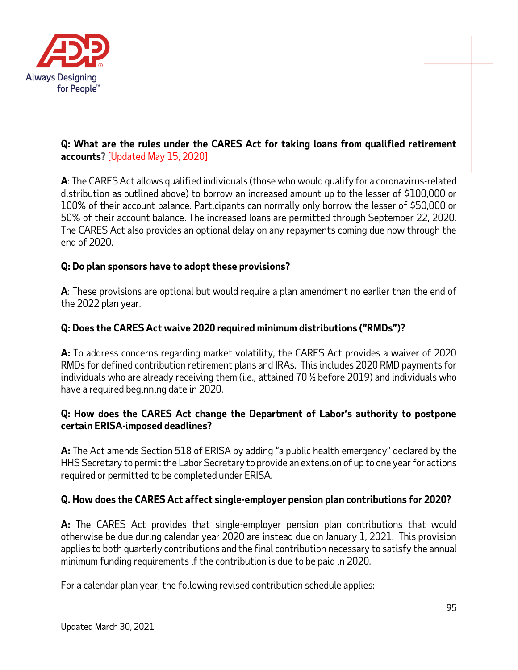

### **Q: What are the rules under the CARES Act for taking loans from qualified retirement accounts?** [Updated May 15, 2020]

**A**: The CARES Act allows qualified individuals (those who would qualify for a coronavirus-related distribution as outlined above) to borrow an increased amount up to the lesser of \$100,000 or 100% of their account balance. Participants can normally only borrow the lesser of \$50,000 or 50% of their account balance. The increased loans are permitted through September 22, 2020. The CARES Act also provides an optional delay on any repayments coming due now through the end of 2020.

## **Q: Do plan sponsors have to adopt these provisions?**

**A**: These provisions are optional but would require a plan amendment no earlier than the end of the 2022 plan year.

## **Q: Does the CARES Act waive 2020 required minimum distributions ("RMDs")?**

**A:** To address concerns regarding market volatility, the CARES Act provides a waiver of 2020 RMDs for defined contribution retirement plans and IRAs. This includes 2020 RMD payments for individuals who are already receiving them (*i.e.,* attained 70 ½ before 2019) and individuals who have a required beginning date in 2020.

### **Q: How does the CARES Act change the Department of Labor's authority to postpone certain ERISA-imposed deadlines?**

**A:** The Act amends Section 518 of ERISA by adding "a public health emergency" declared by the HHS Secretary to permit the Labor Secretary to provide an extension of up to one year for actions required or permitted to be completed under ERISA.

### **Q. How does the CARES Act affect single-employer pension plan contributions for 2020?**

**A:** The CARES Act provides that single-employer pension plan contributions that would otherwise be due during calendar year 2020 are instead due on January 1, 2021. This provision applies to both quarterly contributions and the final contribution necessary to satisfy the annual minimum funding requirements if the contribution is due to be paid in 2020.

For a calendar plan year, the following revised contribution schedule applies: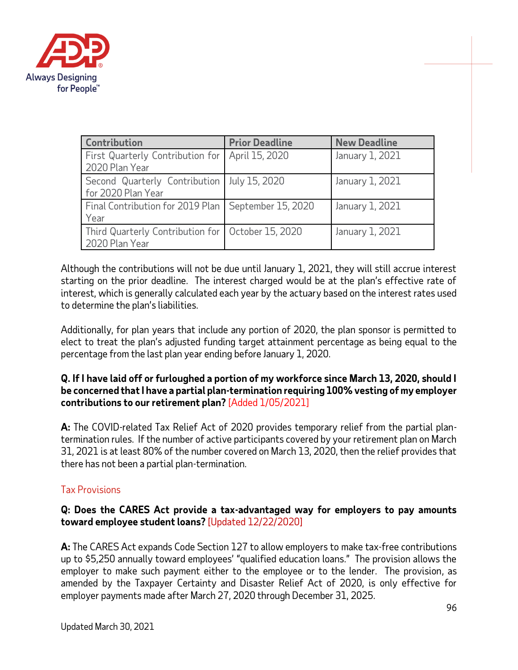

| Contribution                                                          | <b>Prior Deadline</b> | <b>New Deadline</b> |
|-----------------------------------------------------------------------|-----------------------|---------------------|
| First Quarterly Contribution for<br>2020 Plan Year                    | April 15, 2020        | January 1, 2021     |
| Second Quarterly Contribution<br>for 2020 Plan Year                   | July 15, 2020         | January 1, 2021     |
| Final Contribution for 2019 Plan   September 15, 2020<br>Year         |                       | January 1, 2021     |
| Third Quarterly Contribution for   October 15, 2020<br>2020 Plan Year |                       | January 1, 2021     |

Although the contributions will not be due until January 1, 2021, they will still accrue interest starting on the prior deadline. The interest charged would be at the plan's effective rate of interest, which is generally calculated each year by the actuary based on the interest rates used to determine the plan's liabilities.

Additionally, for plan years that include any portion of 2020, the plan sponsor is permitted to elect to treat the plan's adjusted funding target attainment percentage as being equal to the percentage from the last plan year ending before January 1, 2020.

#### **Q. If I have laid off or furloughed a portion of my workforce since March 13, 2020, should I be concerned that I have a partial plan-termination requiring 100% vesting of my employer contributions to our retirement plan?** [Added 1/05/2021]

**A:** The COVID-related Tax Relief Act of 2020 provides temporary relief from the partial plantermination rules. If the number of active participants covered by your retirement plan on March 31, 2021 is at least 80% of the number covered on March 13, 2020, then the relief provides that there has not been a partial plan-termination.

# Tax Provisions

### **Q: Does the CARES Act provide a tax-advantaged way for employers to pay amounts toward employee student loans?** [Updated 12/22/2020]

**A:** The CARES Act expands Code Section 127 to allow employers to make tax-free contributions up to \$5,250 annually toward employees' "qualified education loans." The provision allows the employer to make such payment either to the employee or to the lender. The provision, as amended by the Taxpayer Certainty and Disaster Relief Act of 2020, is only effective for employer payments made after March 27, 2020 through December 31, 2025.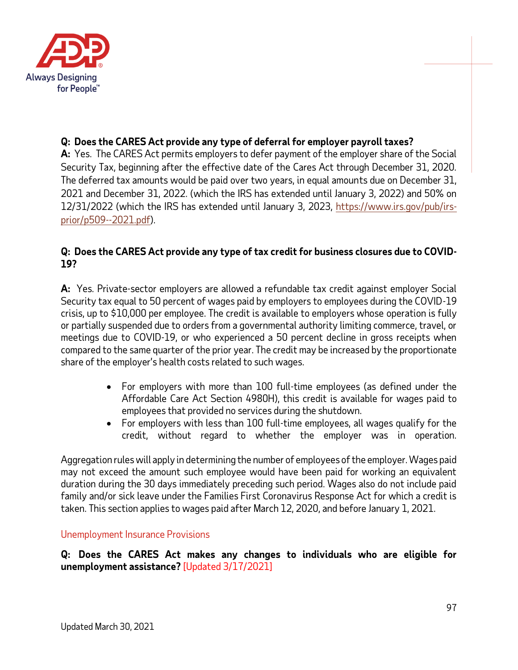

## **Q: Does the CARES Act provide any type of deferral for employer payroll taxes?**

**A:** Yes. The CARES Act permits employers to defer payment of the employer share of the Social Security Tax, beginning after the effective date of the Cares Act through December 31, 2020. The deferred tax amounts would be paid over two years, in equal amounts due on December 31, 2021 and December 31, 2022. (which the IRS has extended until January 3, 2022) and 50% on 12/31/2022 (which the IRS has extended until January 3, 2023, [https://www.irs.gov/pub/irs](https://www.irs.gov/pub/irs-prior/p509--2021.pdf)[prior/p509--2021.pdf\)](https://www.irs.gov/pub/irs-prior/p509--2021.pdf).

### **Q: Does the CARES Act provide any type of tax credit for business closures due to COVID-19?**

**A:** Yes. Private-sector employers are allowed a refundable tax credit against employer Social Security tax equal to 50 percent of wages paid by employers to employees during the COVID-19 crisis, up to \$10,000 per employee. The credit is available to employers whose operation is fully or partially suspended due to orders from a governmental authority limiting commerce, travel, or meetings due to COVID-19, or who experienced a 50 percent decline in gross receipts when compared to the same quarter of the prior year. The credit may be increased by the proportionate share of the employer's health costs related to such wages.

- For employers with more than 100 full-time employees (as defined under the Affordable Care Act Section 4980H), this credit is available for wages paid to employees that provided no services during the shutdown.
- For employers with less than 100 full-time employees, all wages qualify for the credit, without regard to whether the employer was in operation.

Aggregation rules will apply in determining the number of employees of the employer. Wages paid may not exceed the amount such employee would have been paid for working an equivalent duration during the 30 days immediately preceding such period. Wages also do not include paid family and/or sick leave under the Families First Coronavirus Response Act for which a credit is taken. This section applies to wages paid after March 12, 2020, and before January 1, 2021.

#### Unemployment Insurance Provisions

**Q: Does the CARES Act makes any changes to individuals who are eligible for unemployment assistance?** [Updated 3/17/2021]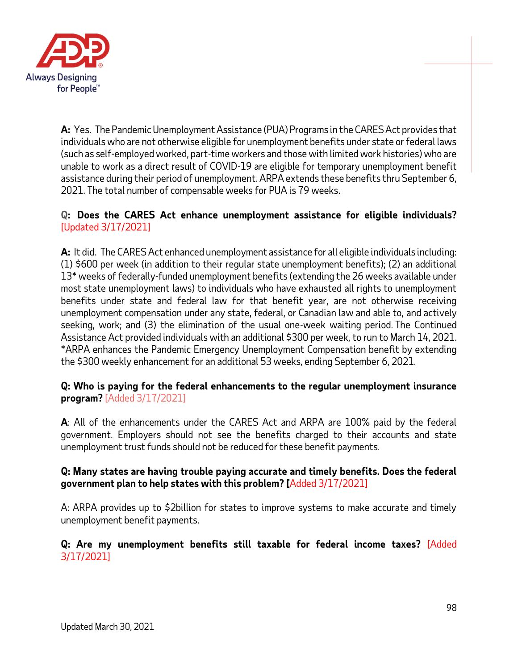

**A:** Yes. The Pandemic Unemployment Assistance (PUA) Programs in the CARES Act provides that individuals who are not otherwise eligible for unemployment benefits under state or federal laws (such as self-employed worked, part-time workers and those with limited work histories) who are unable to work as a direct result of COVID-19 are eligible for temporary unemployment benefit assistance during their period of unemployment. ARPA extends these benefits thru September 6, 2021. The total number of compensable weeks for PUA is 79 weeks.

## **Q: Does the CARES Act enhance unemployment assistance for eligible individuals?** [Updated 3/17/2021]

**A:** It did. The CARES Act enhanced unemployment assistance for all eligible individuals including: (1) \$600 per week (in addition to their regular state unemployment benefits); (2) an additional 13\* weeks of federally-funded unemployment benefits (extending the 26 weeks available under most state unemployment laws) to individuals who have exhausted all rights to unemployment benefits under state and federal law for that benefit year, are not otherwise receiving unemployment compensation under any state, federal, or Canadian law and able to, and actively seeking, work; and (3) the elimination of the usual one-week waiting period. The Continued Assistance Act provided individuals with an additional \$300 per week, to run to March 14, 2021. \*ARPA enhances the Pandemic Emergency Unemployment Compensation benefit by extending the \$300 weekly enhancement for an additional 53 weeks, ending September 6, 2021.

### **Q: Who is paying for the federal enhancements to the regular unemployment insurance program?** [Added 3/17/2021]

**A**: All of the enhancements under the CARES Act and ARPA are 100% paid by the federal government. Employers should not see the benefits charged to their accounts and state unemployment trust funds should not be reduced for these benefit payments.

## **Q: Many states are having trouble paying accurate and timely benefits. Does the federal government plan to help states with this problem? [**Added 3/17/2021]

A: ARPA provides up to \$2billion for states to improve systems to make accurate and timely unemployment benefit payments.

### **Q: Are my unemployment benefits still taxable for federal income taxes?** [Added 3/17/2021]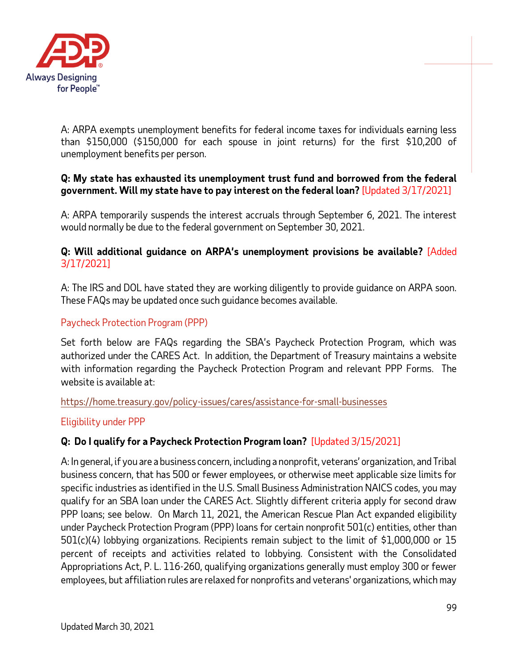

A: ARPA exempts unemployment benefits for federal income taxes for individuals earning less than \$150,000 (\$150,000 for each spouse in joint returns) for the first \$10,200 of unemployment benefits per person.

### **Q: My state has exhausted its unemployment trust fund and borrowed from the federal government. Will my state have to pay interest on the federal loan?** [Updated 3/17/2021]

A: ARPA temporarily suspends the interest accruals through September 6, 2021. The interest would normally be due to the federal government on September 30, 2021.

### **Q: Will additional guidance on ARPA's unemployment provisions be available?** [Added 3/17/2021]

A: The IRS and DOL have stated they are working diligently to provide guidance on ARPA soon. These FAQs may be updated once such guidance becomes available.

## Paycheck Protection Program (PPP)

Set forth below are FAQs regarding the SBA's Paycheck Protection Program, which was authorized under the CARES Act. In addition, the Department of Treasury maintains a website with information regarding the Paycheck Protection Program and relevant PPP Forms. The website is available at:

<https://home.treasury.gov/policy-issues/cares/assistance-for-small-businesses>

### Eligibility under PPP

# **Q: Do I qualify for a Paycheck Protection Program loan?** [Updated 3/15/2021]

A: In general, if you are a business concern, including a nonprofit, veterans' organization, and Tribal business concern, that has 500 or fewer employees, or otherwise meet applicable size limits for specific industries as identified in the U.S. Small Business Administration NAICS codes, you may qualify for an SBA loan under the CARES Act. Slightly different criteria apply for second draw PPP loans; see below. On March 11, 2021, the American Rescue Plan Act expanded eligibility under Paycheck Protection Program (PPP) loans for certain nonprofit 501(c) entities, other than 501(c)(4) lobbying organizations. Recipients remain subject to the limit of \$1,000,000 or 15 percent of receipts and activities related to lobbying. Consistent with the Consolidated Appropriations Act, P. L. 116-260, qualifying organizations generally must employ 300 or fewer employees, but affiliation rules are relaxed for nonprofits and veterans' organizations, which may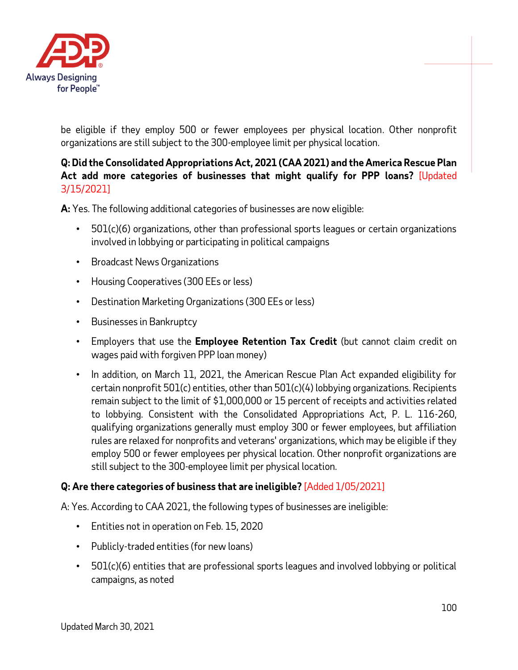

be eligible if they employ 500 or fewer employees per physical location. Other nonprofit organizations are still subject to the 300-employee limit per physical location.

# **Q: Did the Consolidated Appropriations Act, 2021 (CAA 2021) and the America Rescue Plan Act add more categories of businesses that might qualify for PPP loans?** [Updated 3/15/2021]

**A:** Yes. The following additional categories of businesses are now eligible:

- $501(c)(6)$  organizations, other than professional sports leagues or certain organizations involved in lobbying or participating in political campaigns
- Broadcast News Organizations
- Housing Cooperatives (300 EEs or less)
- Destination Marketing Organizations (300 EEs or less)
- Businesses in Bankruptcy
- Employers that use the **Employee Retention Tax Credit** (but cannot claim credit on wages paid with forgiven PPP loan money)
- In addition, on March 11, 2021, the American Rescue Plan Act expanded eligibility for certain nonprofit 501(c) entities, other than 501(c)(4) lobbying organizations. Recipients remain subject to the limit of \$1,000,000 or 15 percent of receipts and activities related to lobbying. Consistent with the Consolidated Appropriations Act, P. L. 116-260, qualifying organizations generally must employ 300 or fewer employees, but affiliation rules are relaxed for nonprofits and veterans' organizations, which may be eligible if they employ 500 or fewer employees per physical location. Other nonprofit organizations are still subject to the 300-employee limit per physical location.

# **Q: Are there categories of business that are ineligible?** [Added 1/05/2021]

A: Yes. According to CAA 2021, the following types of businesses are ineligible:

- Entities not in operation on Feb. 15, 2020
- Publicly-traded entities (for new loans)
- 501(c)(6) entities that are professional sports leagues and involved lobbying or political campaigns, as noted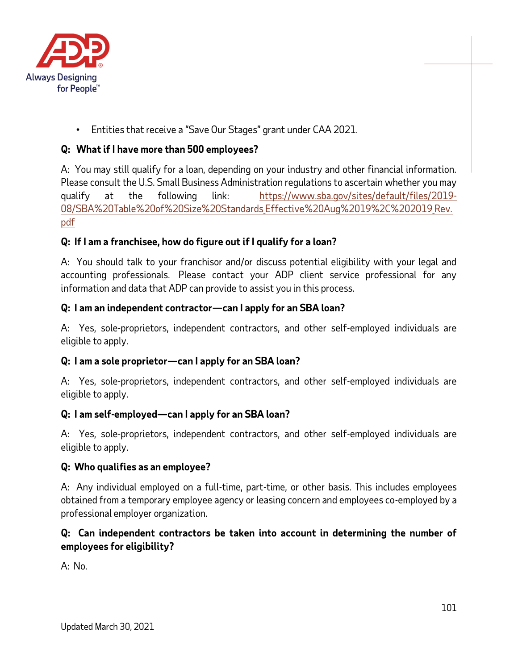

• Entities that receive a "Save Our Stages" grant under CAA 2021.

# **Q: What if I have more than 500 employees?**

A: You may still qualify for a loan, depending on your industry and other financial information. Please consult the U.S. Small Business Administration regulations to ascertain whether you may qualify at the following link: [https://www.sba.gov/sites/default/files/2019-](https://urldefense.proofpoint.com/v2/url?u=https-3A__www.sba.gov_sites_default_files_2019-2D08_SBA-2520Table-2520of-2520Size-2520Standards-5FEffective-2520Aug-252019-252C-25202019-5FRev.pdf&d=DwMF-g&c=xu_5lAfKHjInGFR3ndoZrw&r=aWp1wxdaqR1sNkBmK2UC67JqwlxD4VW5Lk_w_Iiwnz4&m=N_rpJ6EK14ew4gGJIA4i-x2rxjTVbPx6DazhcnSgd4M&s=0LhgLMdSIit85xqkrVm6D5m1gh2oBcwHK_uwz-pR4JA&e=) 08/SBA%20Table%20of%20Size%20Standards Effective%20Aug%2019%2C%202019 Rev. [pdf](https://urldefense.proofpoint.com/v2/url?u=https-3A__www.sba.gov_sites_default_files_2019-2D08_SBA-2520Table-2520of-2520Size-2520Standards-5FEffective-2520Aug-252019-252C-25202019-5FRev.pdf&d=DwMF-g&c=xu_5lAfKHjInGFR3ndoZrw&r=aWp1wxdaqR1sNkBmK2UC67JqwlxD4VW5Lk_w_Iiwnz4&m=N_rpJ6EK14ew4gGJIA4i-x2rxjTVbPx6DazhcnSgd4M&s=0LhgLMdSIit85xqkrVm6D5m1gh2oBcwHK_uwz-pR4JA&e=)

# **Q: If I am a franchisee, how do figure out if I qualify for a loan?**

A: You should talk to your franchisor and/or discuss potential eligibility with your legal and accounting professionals. Please contact your ADP client service professional for any information and data that ADP can provide to assist you in this process.

### **Q: I am an independent contractor—can I apply for an SBA loan?**

A: Yes, sole-proprietors, independent contractors, and other self-employed individuals are eligible to apply.

### **Q: I am a sole proprietor—can I apply for an SBA loan?**

A: Yes, sole-proprietors, independent contractors, and other self-employed individuals are eligible to apply.

### **Q: I am self-employed—can I apply for an SBA loan?**

A: Yes, sole-proprietors, independent contractors, and other self-employed individuals are eligible to apply.

#### **Q: Who qualifies as an employee?**

A: Any individual employed on a full-time, part-time, or other basis. This includes employees obtained from a temporary employee agency or leasing concern and employees co-employed by a professional employer organization.

## **Q: Can independent contractors be taken into account in determining the number of employees for eligibility?**

A: No.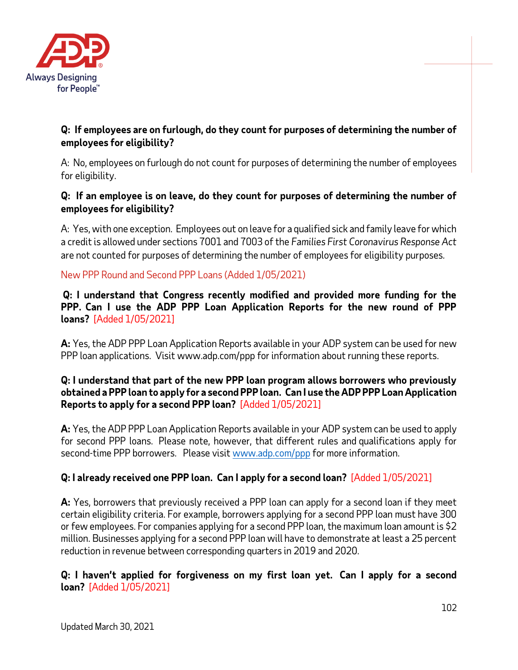

## **Q: If employees are on furlough, do they count for purposes of determining the number of employees for eligibility?**

A: No, employees on furlough do not count for purposes of determining the number of employees for eligibility.

# **Q: If an employee is on leave, do they count for purposes of determining the number of employees for eligibility?**

A: Yes, with one exception. Employees out on leave for a qualified sick and family leave for which a credit is allowed under sections 7001 and 7003 of the *Families First Coronavirus Response Act* are not counted for purposes of determining the number of employees for eligibility purposes*.*

# New PPP Round and Second PPP Loans (Added 1/05/2021)

**Q: I understand that Congress recently modified and provided more funding for the PPP. Can I use the ADP PPP Loan Application Reports for the new round of PPP loans?** [Added 1/05/2021]

**A:** Yes, the ADP PPP Loan Application Reports available in your ADP system can be used for new PPP loan applications. Visit www.adp.com/ppp for information about running these reports.

## **Q: I understand that part of the new PPP loan program allows borrowers who previously obtained a PPP loan to apply for a second PPP loan. Can I use the ADP PPP Loan Application Reports to apply for a second PPP loan?** [Added 1/05/2021]

**A:** Yes, the ADP PPP Loan Application Reports available in your ADP system can be used to apply for second PPP loans. Please note, however, that different rules and qualifications apply for second-time PPP borrowers. Please visit [www.adp.com/ppp](http://www.adp.com/ppp) for more information.

# **Q: I already received one PPP loan. Can I apply for a second loan?** [Added 1/05/2021]

**A:** Yes, borrowers that previously received a PPP loan can apply for a second loan if they meet certain eligibility criteria. For example, borrowers applying for a second PPP loan must have 300 or few employees. For companies applying for a second PPP loan, the maximum loan amount is \$2 million. Businesses applying for a second PPP loan will have to demonstrate at least a 25 percent reduction in revenue between corresponding quarters in 2019 and 2020.

**Q: I haven't applied for forgiveness on my first loan yet. Can I apply for a second loan?** [Added 1/05/2021]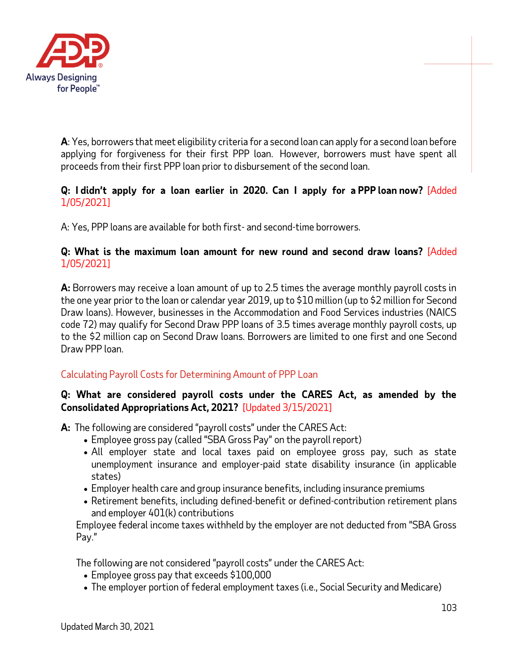

**A**: Yes, borrowers that meet eligibility criteria for a second loan can apply for a second loan before applying for forgiveness for their first PPP loan. However, borrowers must have spent all proceeds from their first PPP loan prior to disbursement of the second loan.

### **Q: I didn't apply for a loan earlier in 2020. Can I apply for a PPP loan now?** [Added 1/05/2021]

A: Yes, PPP loans are available for both first- and second-time borrowers.

### **Q: What is the maximum loan amount for new round and second draw loans?** [Added 1/05/2021]

**A:** Borrowers may receive a loan amount of up to 2.5 times the average monthly payroll costs in the one year prior to the loan or calendar year 2019, up to \$10 million (up to \$2 million for Second Draw loans). However, businesses in the Accommodation and Food Services industries (NAICS code 72) may qualify for Second Draw PPP loans of 3.5 times average monthly payroll costs, up to the \$2 million cap on Second Draw loans. Borrowers are limited to one first and one Second Draw PPP loan.

# Calculating Payroll Costs for Determining Amount of PPP Loan

### **Q: What are considered payroll costs under the CARES Act, as amended by the Consolidated Appropriations Act, 2021?** [Updated 3/15/2021]

**A:** The following are considered "payroll costs" under the CARES Act:

- Employee gross pay (called "SBA Gross Pay" on the payroll report)
- All employer state and local taxes paid on employee gross pay, such as state unemployment insurance and employer-paid state disability insurance (in applicable states)
- Employer health care and group insurance benefits, including insurance premiums
- Retirement benefits, including defined-benefit or defined-contribution retirement plans and employer 401(k) contributions

Employee federal income taxes withheld by the employer are not deducted from "SBA Gross Pay."

The following are not considered "payroll costs" under the CARES Act:

- Employee gross pay that exceeds \$100,000
- The employer portion of federal employment taxes (i.e., Social Security and Medicare)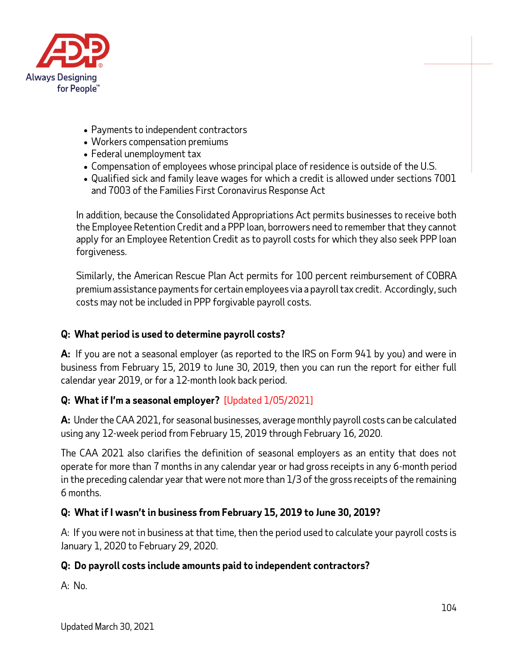

- Payments to independent contractors
- Workers compensation premiums
- Federal unemployment tax
- Compensation of employees whose principal place of residence is outside of the U.S.
- Qualified sick and family leave wages for which a credit is allowed under sections 7001 and 7003 of the Families First Coronavirus Response Act

In addition, because the Consolidated Appropriations Act permits businesses to receive both the Employee Retention Credit and a PPP loan, borrowers need to remember that they cannot apply for an Employee Retention Credit as to payroll costs for which they also seek PPP loan forgiveness.

Similarly, the American Rescue Plan Act permits for 100 percent reimbursement of COBRA premium assistance payments for certain employees via a payroll tax credit. Accordingly, such costs may not be included in PPP forgivable payroll costs.

## **Q: What period is used to determine payroll costs?**

**A:** If you are not a seasonal employer (as reported to the IRS on Form 941 by you) and were in business from February 15, 2019 to June 30, 2019, then you can run the report for either full calendar year 2019, or for a 12-month look back period.

# **Q: What if I'm a seasonal employer?** [Updated 1/05/2021]

**A:** Under the CAA 2021, for seasonal businesses, average monthly payroll costs can be calculated using any 12-week period from February 15, 2019 through February 16, 2020.

The CAA 2021 also clarifies the definition of seasonal employers as an entity that does not operate for more than 7 months in any calendar year or had gross receipts in any 6-month period in the preceding calendar year that were not more than 1/3 of the gross receipts of the remaining 6 months.

# **Q: What if I wasn't in business from February 15, 2019 to June 30, 2019?**

A: If you were not in business at that time, then the period used to calculate your payroll costs is January 1, 2020 to February 29, 2020.

### **Q: Do payroll costs include amounts paid to independent contractors?**

A: No.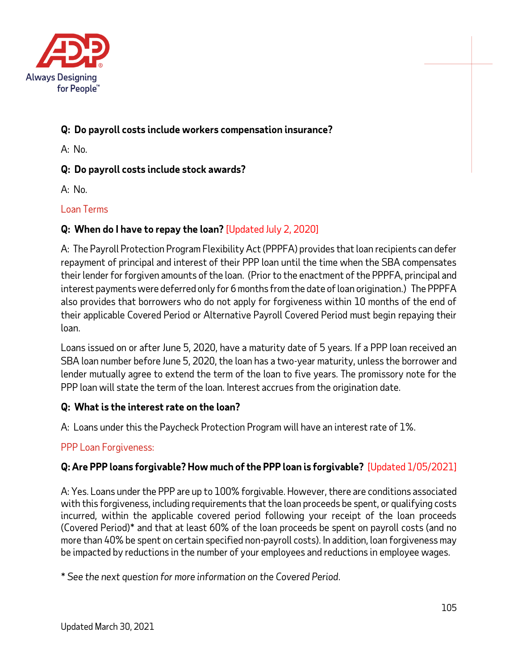

# **Q: Do payroll costs include workers compensation insurance?**

A: No.

## **Q: Do payroll costs include stock awards?**

A: No.

## Loan Terms

# **Q: When do I have to repay the loan?** [Updated July 2, 2020]

A: The Payroll Protection Program Flexibility Act (PPPFA) provides that loan recipients can defer repayment of principal and interest of their PPP loan until the time when the SBA compensates their lender for forgiven amounts of the loan. (Prior to the enactment of the PPPFA, principal and interest payments were deferred only for 6 months from the date of loan origination.) The PPPFA also provides that borrowers who do not apply for forgiveness within 10 months of the end of their applicable Covered Period or Alternative Payroll Covered Period must begin repaying their loan.

Loans issued on or after June 5, 2020, have a maturity date of 5 years. If a PPP loan received an SBA loan number before June 5, 2020, the loan has a two-year maturity, unless the borrower and lender mutually agree to extend the term of the loan to five years. The promissory note for the PPP loan will state the term of the loan. Interest accrues from the origination date.

### **Q: What is the interest rate on the loan?**

A: Loans under this the Paycheck Protection Program will have an interest rate of 1%.

### PPP Loan Forgiveness:

# **Q: Are PPP loans forgivable? How much of the PPP loan is forgivable?** [Updated 1/05/2021]

A: Yes. Loans under the PPP are up to 100% forgivable. However, there are conditions associated with this forgiveness, including requirements that the loan proceeds be spent, or qualifying costs incurred, within the applicable covered period following your receipt of the loan proceeds (Covered Period)\* and that at least 60% of the loan proceeds be spent on payroll costs (and no more than 40% be spent on certain specified non-payroll costs). In addition, loan forgiveness may be impacted by reductions in the number of your employees and reductions in employee wages.

\* *See the next question for more information on the Covered Period.*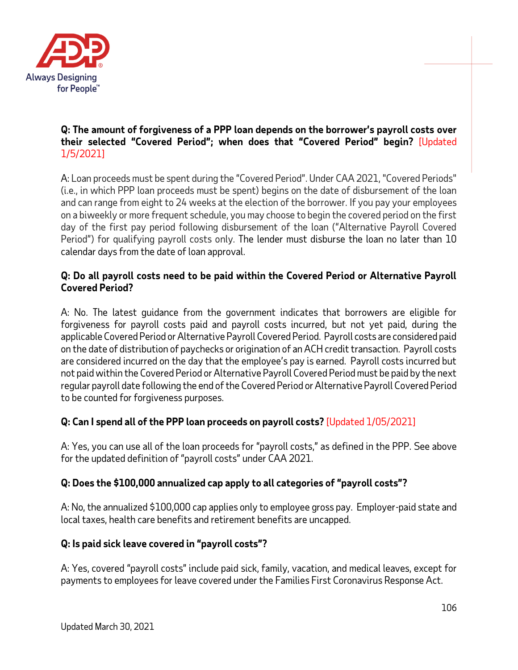

### **Q: The amount of forgiveness of a PPP loan depends on the borrower's payroll costs over their selected "Covered Period"; when does that "Covered Period" begin?** [Updated 1/5/2021]

A: Loan proceeds must be spent during the "Covered Period". Under CAA 2021, "Covered Periods" (i.e., in which PPP loan proceeds must be spent) begins on the date of disbursement of the loan and can range from eight to 24 weeks at the election of the borrower. If you pay your employees on a biweekly or more frequent schedule, you may choose to begin the covered period on the first day of the first pay period following disbursement of the loan ("Alternative Payroll Covered Period") for qualifying payroll costs only. The lender must disburse the loan no later than 10 calendar days from the date of loan approval.

# **Q: Do all payroll costs need to be paid within the Covered Period or Alternative Payroll Covered Period?**

A: No. The latest guidance from the government indicates that borrowers are eligible for forgiveness for payroll costs paid and payroll costs incurred, but not yet paid, during the applicable Covered Period or Alternative Payroll Covered Period. Payroll costs are considered paid on the date of distribution of paychecks or origination of an ACH credit transaction. Payroll costs are considered incurred on the day that the employee's pay is earned. Payroll costs incurred but not paid within the Covered Period or Alternative Payroll Covered Period must be paid by the next regular payroll date following the end of the Covered Period or Alternative Payroll Covered Period to be counted for forgiveness purposes.

# **Q: Can I spend all of the PPP loan proceeds on payroll costs?** [Updated 1/05/2021]

A: Yes, you can use all of the loan proceeds for "payroll costs," as defined in the PPP. See above for the updated definition of "payroll costs" under CAA 2021.

### **Q: Does the \$100,000 annualized cap apply to all categories of "payroll costs"?**

A: No, the annualized \$100,000 cap applies only to employee gross pay. Employer-paid state and local taxes, health care benefits and retirement benefits are uncapped.

### **Q: Is paid sick leave covered in "payroll costs"?**

A: Yes, covered "payroll costs" include paid sick, family, vacation, and medical leaves, except for payments to employees for leave covered under the Families First Coronavirus Response Act.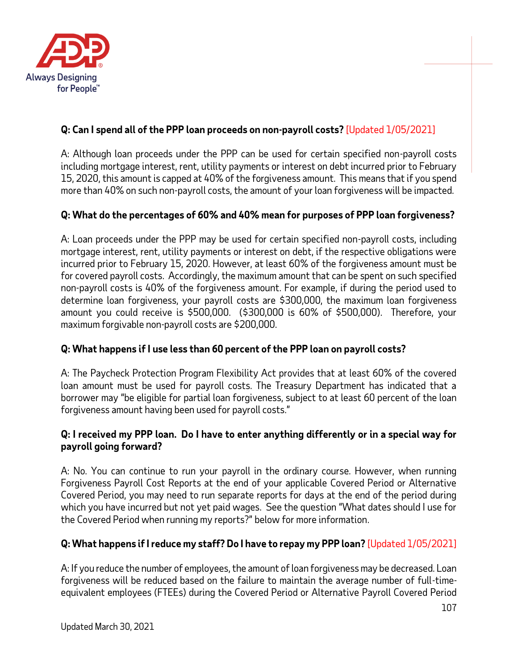

# **Q: Can I spend all of the PPP loan proceeds on non-payroll costs?** [Updated 1/05/2021]

A: Although loan proceeds under the PPP can be used for certain specified non-payroll costs including mortgage interest, rent, utility payments or interest on debt incurred prior to February 15, 2020, this amount is capped at 40% of the forgiveness amount. This means that if you spend more than 40% on such non-payroll costs, the amount of your loan forgiveness will be impacted.

## **Q: What do the percentages of 60% and 40% mean for purposes of PPP loan forgiveness?**

A: Loan proceeds under the PPP may be used for certain specified non-payroll costs, including mortgage interest, rent, utility payments or interest on debt, if the respective obligations were incurred prior to February 15, 2020. However, at least 60% of the forgiveness amount must be for covered payroll costs. Accordingly, the maximum amount that can be spent on such specified non-payroll costs is 40% of the forgiveness amount. For example, if during the period used to determine loan forgiveness, your payroll costs are \$300,000, the maximum loan forgiveness amount you could receive is \$500,000. (\$300,000 is 60% of \$500,000). Therefore, your maximum forgivable non-payroll costs are \$200,000.

# **Q: What happens if I use less than 60 percent of the PPP loan on payroll costs?**

A: The Paycheck Protection Program Flexibility Act provides that at least 60% of the covered loan amount must be used for payroll costs. The Treasury Department has indicated that a borrower may "be eligible for partial loan forgiveness, subject to at least 60 percent of the loan forgiveness amount having been used for payroll costs."

### **Q: I received my PPP loan. Do I have to enter anything differently or in a special way for payroll going forward?**

A: No. You can continue to run your payroll in the ordinary course. However, when running Forgiveness Payroll Cost Reports at the end of your applicable Covered Period or Alternative Covered Period, you may need to run separate reports for days at the end of the period during which you have incurred but not yet paid wages. See the question "What dates should I use for the Covered Period when running my reports?" below for more information.

# **Q: What happens if I reduce my staff? Do I have to repay my PPP loan?** [Updated 1/05/2021]

A: If you reduce the number of employees, the amount of loan forgiveness may be decreased. Loan forgiveness will be reduced based on the failure to maintain the average number of full-timeequivalent employees (FTEEs) during the Covered Period or Alternative Payroll Covered Period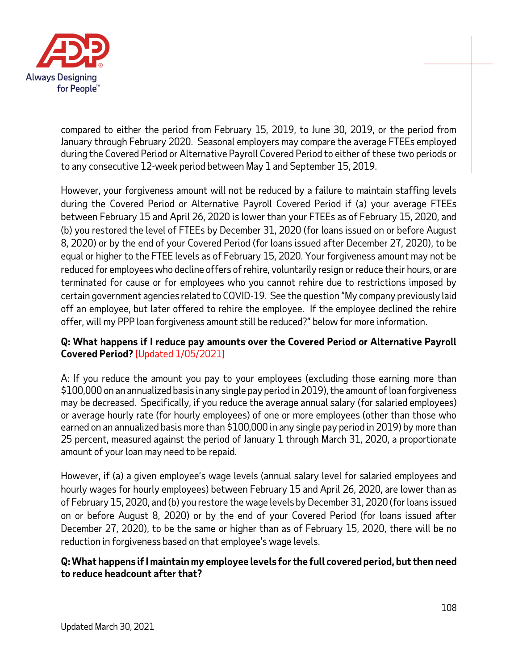

compared to either the period from February 15, 2019, to June 30, 2019, or the period from January through February 2020. Seasonal employers may compare the average FTEEs employed during the Covered Period or Alternative Payroll Covered Period to either of these two periods or to any consecutive 12-week period between May 1 and September 15, 2019.

However, your forgiveness amount will not be reduced by a failure to maintain staffing levels during the Covered Period or Alternative Payroll Covered Period if (a) your average FTEEs between February 15 and April 26, 2020 is lower than your FTEEs as of February 15, 2020, and (b) you restored the level of FTEEs by December 31, 2020 (for loans issued on or before August 8, 2020) or by the end of your Covered Period (for loans issued after December 27, 2020), to be equal or higher to the FTEE levels as of February 15, 2020. Your forgiveness amount may not be reduced for employees who decline offers of rehire, voluntarily resign or reduce their hours, or are terminated for cause or for employees who you cannot rehire due to restrictions imposed by certain government agencies related to COVID-19. See the question "My company previously laid off an employee, but later offered to rehire the employee. If the employee declined the rehire offer, will my PPP loan forgiveness amount still be reduced?" below for more information.

### **Q: What happens if I reduce pay amounts over the Covered Period or Alternative Payroll Covered Period?** [Updated 1/05/2021]

A: If you reduce the amount you pay to your employees (excluding those earning more than \$100,000 on an annualized basis in any single pay period in 2019), the amount of loan forgiveness may be decreased. Specifically, if you reduce the average annual salary (for salaried employees) or average hourly rate (for hourly employees) of one or more employees (other than those who earned on an annualized basis more than \$100,000 in any single pay period in 2019) by more than 25 percent, measured against the period of January 1 through March 31, 2020, a proportionate amount of your loan may need to be repaid.

However, if (a) a given employee's wage levels (annual salary level for salaried employees and hourly wages for hourly employees) between February 15 and April 26, 2020, are lower than as of February 15, 2020, and (b) you restore the wage levels by December 31, 2020 (for loans issued on or before August 8, 2020) or by the end of your Covered Period (for loans issued after December 27, 2020), to be the same or higher than as of February 15, 2020, there will be no reduction in forgiveness based on that employee's wage levels.

### **Q: What happens if I maintain my employee levels for the full covered period, but then need to reduce headcount after that?**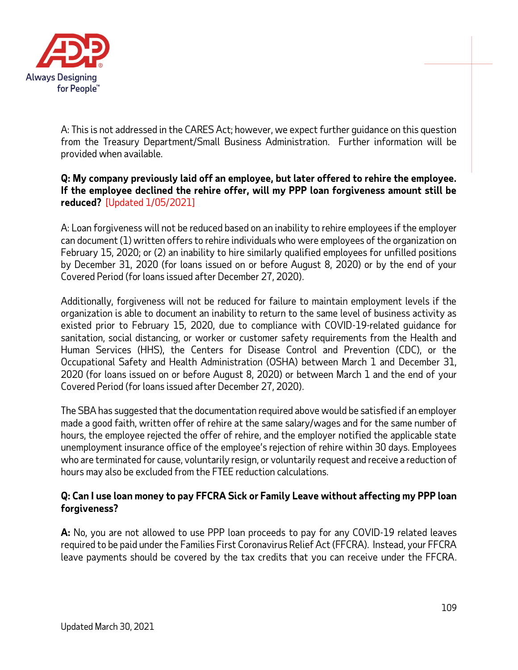

A: This is not addressed in the CARES Act; however, we expect further guidance on this question from the Treasury Department/Small Business Administration. Further information will be provided when available.

### **Q: My company previously laid off an employee, but later offered to rehire the employee. If the employee declined the rehire offer, will my PPP loan forgiveness amount still be reduced?** [Updated 1/05/2021]

A: Loan forgiveness will not be reduced based on an inability to rehire employees if the employer can document (1) written offers to rehire individuals who were employees of the organization on February 15, 2020; or (2) an inability to hire similarly qualified employees for unfilled positions by December 31, 2020 (for loans issued on or before August 8, 2020) or by the end of your Covered Period (for loans issued after December 27, 2020).

Additionally, forgiveness will not be reduced for failure to maintain employment levels if the organization is able to document an inability to return to the same level of business activity as existed prior to February 15, 2020, due to compliance with COVID-19-related guidance for sanitation, social distancing, or worker or customer safety requirements from the Health and Human Services (HHS), the Centers for Disease Control and Prevention (CDC), or the Occupational Safety and Health Administration (OSHA) between March 1 and December 31, 2020 (for loans issued on or before August 8, 2020) or between March 1 and the end of your Covered Period (for loans issued after December 27, 2020).

The SBA has suggested that the documentation required above would be satisfied if an employer made a good faith, written offer of rehire at the same salary/wages and for the same number of hours, the employee rejected the offer of rehire, and the employer notified the applicable state unemployment insurance office of the employee's rejection of rehire within 30 days. Employees who are terminated for cause, voluntarily resign, or voluntarily request and receive a reduction of hours may also be excluded from the FTEE reduction calculations.

### **Q: Can I use loan money to pay FFCRA Sick or Family Leave without affecting my PPP loan forgiveness?**

**A:** No, you are not allowed to use PPP loan proceeds to pay for any COVID-19 related leaves required to be paid under the Families First Coronavirus Relief Act (FFCRA). Instead, your FFCRA leave payments should be covered by the tax credits that you can receive under the FFCRA.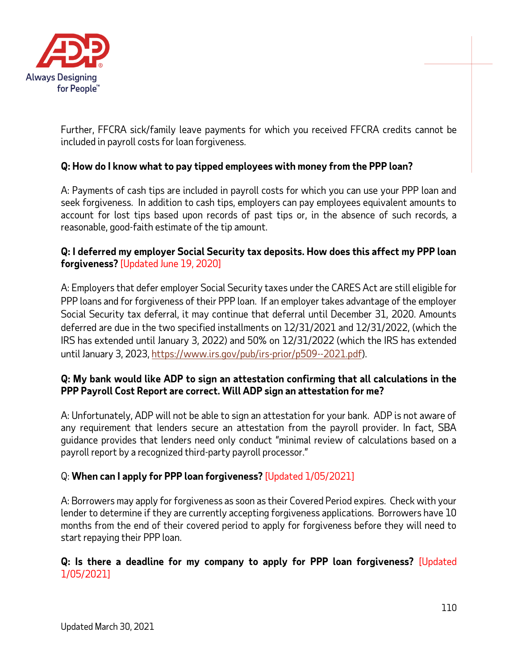

Further, FFCRA sick/family leave payments for which you received FFCRA credits cannot be included in payroll costs for loan forgiveness.

## **Q: How do I know what to pay tipped employees with money from the PPP loan?**

A: Payments of cash tips are included in payroll costs for which you can use your PPP loan and seek forgiveness. In addition to cash tips, employers can pay employees equivalent amounts to account for lost tips based upon records of past tips or, in the absence of such records, a reasonable, good-faith estimate of the tip amount.

### **Q: I deferred my employer Social Security tax deposits. How does this affect my PPP loan forgiveness?** [Updated June 19, 2020]

A: Employers that defer employer Social Security taxes under the CARES Act are still eligible for PPP loans and for forgiveness of their PPP loan. If an employer takes advantage of the employer Social Security tax deferral, it may continue that deferral until December 31, 2020. Amounts deferred are due in the two specified installments on 12/31/2021 and 12/31/2022, (which the IRS has extended until January 3, 2022) and 50% on 12/31/2022 (which the IRS has extended until January 3, 2023, [https://www.irs.gov/pub/irs-prior/p509--2021.pdf\)](https://www.irs.gov/pub/irs-prior/p509--2021.pdf).

### **Q: My bank would like ADP to sign an attestation confirming that all calculations in the PPP Payroll Cost Report are correct. Will ADP sign an attestation for me?**

A: Unfortunately, ADP will not be able to sign an attestation for your bank. ADP is not aware of any requirement that lenders secure an attestation from the payroll provider. In fact, SBA guidance provides that lenders need only conduct "minimal review of calculations based on a payroll report by a recognized third-party payroll processor."

### Q: **When can I apply for PPP loan forgiveness?** [Updated 1/05/2021]

A: Borrowers may apply for forgiveness as soon as their Covered Period expires. Check with your lender to determine if they are currently accepting forgiveness applications. Borrowers have 10 months from the end of their covered period to apply for forgiveness before they will need to start repaying their PPP loan.

### **Q: Is there a deadline for my company to apply for PPP loan forgiveness?** [Updated 1/05/2021]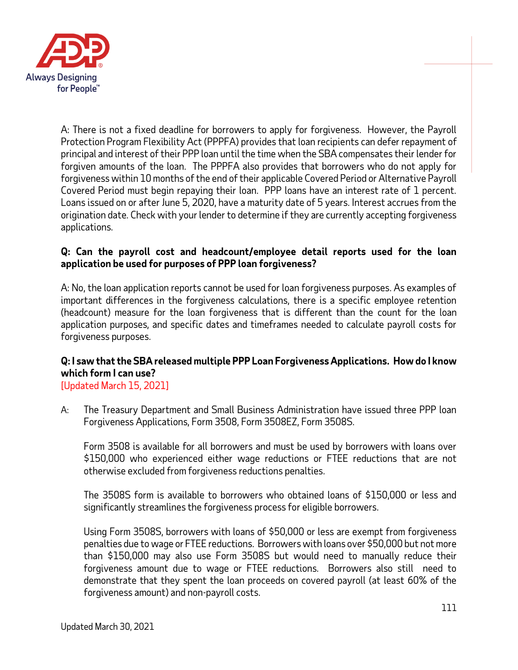

A: There is not a fixed deadline for borrowers to apply for forgiveness. However, the Payroll Protection Program Flexibility Act (PPPFA) provides that loan recipients can defer repayment of principal and interest of their PPP loan until the time when the SBA compensates their lender for forgiven amounts of the loan. The PPPFA also provides that borrowers who do not apply for forgiveness within 10 months of the end of their applicable Covered Period or Alternative Payroll Covered Period must begin repaying their loan. PPP loans have an interest rate of 1 percent. Loans issued on or after June 5, 2020, have a maturity date of 5 years. Interest accrues from the origination date. Check with your lender to determine if they are currently accepting forgiveness applications.

### **Q: Can the payroll cost and headcount/employee detail reports used for the loan application be used for purposes of PPP loan forgiveness?**

A: No, the loan application reports cannot be used for loan forgiveness purposes. As examples of important differences in the forgiveness calculations, there is a specific employee retention (headcount) measure for the loan forgiveness that is different than the count for the loan application purposes, and specific dates and timeframes needed to calculate payroll costs for forgiveness purposes.

# **Q: I saw that the SBA released multiple PPP Loan Forgiveness Applications. How do I know which form I can use?**

[Updated March 15, 2021]

A: The Treasury Department and Small Business Administration have issued three PPP loan Forgiveness Applications, Form 3508, Form 3508EZ, Form 3508S.

Form 3508 is available for all borrowers and must be used by borrowers with loans over \$150,000 who experienced either wage reductions or FTEE reductions that are not otherwise excluded from forgiveness reductions penalties.

The 3508S form is available to borrowers who obtained loans of \$150,000 or less and significantly streamlines the forgiveness process for eligible borrowers.

Using Form 3508S, borrowers with loans of \$50,000 or less are exempt from forgiveness penalties due to wage or FTEE reductions. Borrowers with loans over \$50,000 but not more than \$150,000 may also use Form 3508S but would need to manually reduce their forgiveness amount due to wage or FTEE reductions. Borrowers also still need to demonstrate that they spent the loan proceeds on covered payroll (at least 60% of the forgiveness amount) and non-payroll costs.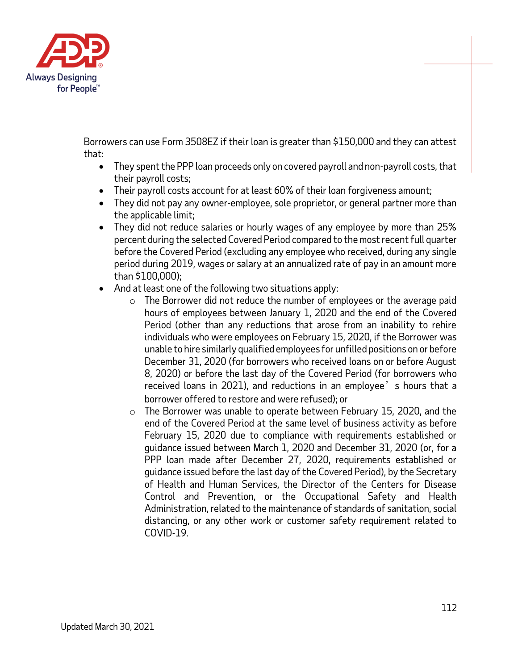

Borrowers can use Form 3508EZ if their loan is greater than \$150,000 and they can attest that:

- They spent the PPP loan proceeds only on covered payroll and non-payroll costs, that their payroll costs;
- Their payroll costs account for at least 60% of their loan forgiveness amount;
- They did not pay any owner-employee, sole proprietor, or general partner more than the applicable limit;
- They did not reduce salaries or hourly wages of any employee by more than 25% percent during the selected Covered Period compared to the most recent full quarter before the Covered Period (excluding any employee who received, during any single period during 2019, wages or salary at an annualized rate of pay in an amount more than \$100,000);
- And at least one of the following two situations apply:
	- $\circ$  The Borrower did not reduce the number of employees or the average paid hours of employees between January 1, 2020 and the end of the Covered Period (other than any reductions that arose from an inability to rehire individuals who were employees on February 15, 2020, if the Borrower was unable to hire similarly qualified employees for unfilled positions on or before December 31, 2020 (for borrowers who received loans on or before August 8, 2020) or before the last day of the Covered Period (for borrowers who received loans in 2021), and reductions in an employee's hours that a borrower offered to restore and were refused); or
	- o The Borrower was unable to operate between February 15, 2020, and the end of the Covered Period at the same level of business activity as before February 15, 2020 due to compliance with requirements established or guidance issued between March 1, 2020 and December 31, 2020 (or, for a PPP loan made after December 27, 2020, requirements established or guidance issued before the last day of the Covered Period), by the Secretary of Health and Human Services, the Director of the Centers for Disease Control and Prevention, or the Occupational Safety and Health Administration, related to the maintenance of standards of sanitation, social distancing, or any other work or customer safety requirement related to COVID-19.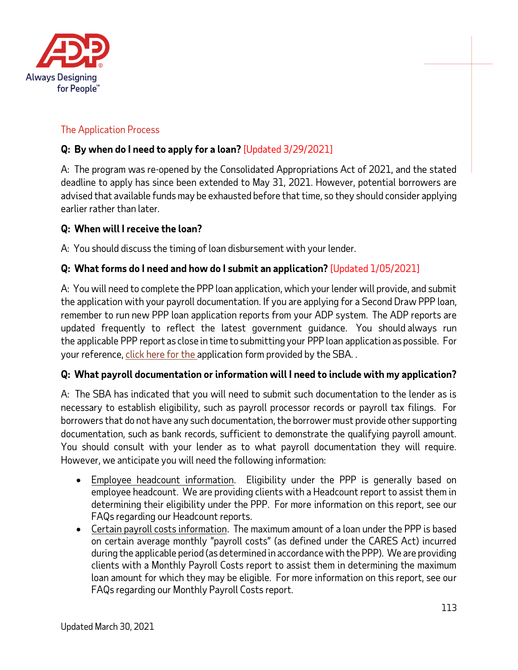

# The Application Process

## **Q: By when do I need to apply for a loan?** [Updated 3/29/2021]

A: The program was re-opened by the Consolidated Appropriations Act of 2021, and the stated deadline to apply has since been extended to May 31, 2021. However, potential borrowers are advised that available funds may be exhausted before that time, so they should consider applying earlier rather than later.

### **Q: When will I receive the loan?**

A: You should discuss the timing of loan disbursement with your lender.

## **Q: What forms do I need and how do I submit an application?** [Updated 1/05/2021]

A: You will need to complete the PPP loan application, which your lender will provide, and submit the application with your payroll documentation. If you are applying for a Second Draw PPP loan, remember to run new PPP loan application reports from your ADP system. The ADP reports are updated frequently to reflect the latest government guidance. You should always run the applicable PPP report as close in time to submitting your PPP loan application as possible. For your reference, [click here for the](https://home.treasury.gov/system/files/136/Paycheck-Protection-Program-Application-3-30-2020-v3.pdf) application form provided by the SBA. .

### **Q: What payroll documentation or information will I need to include with my application?**

A: The SBA has indicated that you will need to submit such documentation to the lender as is necessary to establish eligibility, such as payroll processor records or payroll tax filings. For borrowers that do not have any such documentation, the borrower must provide other supporting documentation, such as bank records, sufficient to demonstrate the qualifying payroll amount. You should consult with your lender as to what payroll documentation they will require. However, we anticipate you will need the following information:

- Employee headcount information. Eligibility under the PPP is generally based on employee headcount. We are providing clients with a Headcount report to assist them in determining their eligibility under the PPP. For more information on this report, see our FAQs regarding our Headcount reports.
- Certain payroll costs information. The maximum amount of a loan under the PPP is based on certain average monthly "payroll costs" (as defined under the CARES Act) incurred during the applicable period (as determined in accordance with the PPP). We are providing clients with a Monthly Payroll Costs report to assist them in determining the maximum loan amount for which they may be eligible. For more information on this report, see our FAQs regarding our Monthly Payroll Costs report.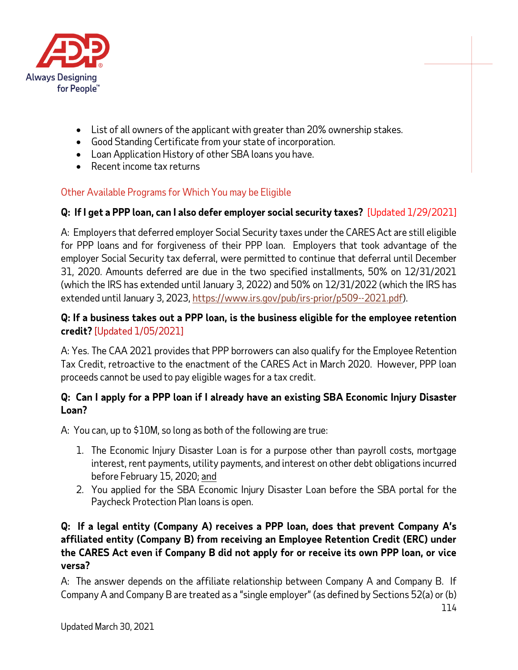

- List of all owners of the applicant with greater than 20% ownership stakes.
- Good Standing Certificate from your state of incorporation.
- Loan Application History of other SBA loans you have.
- Recent income tax returns

## Other Available Programs for Which You may be Eligible

## **Q: If I get a PPP loan, can I also defer employer social security taxes?** [Updated 1/29/2021]

A: Employers that deferred employer Social Security taxes under the CARES Act are still eligible for PPP loans and for forgiveness of their PPP loan. Employers that took advantage of the employer Social Security tax deferral, were permitted to continue that deferral until December 31, 2020. Amounts deferred are due in the two specified installments, 50% on 12/31/2021 (which the IRS has extended until January 3, 2022) and 50% on 12/31/2022 (which the IRS has extended until January 3, 2023[, https://www.irs.gov/pub/irs-prior/p509--2021.pdf\)](https://www.irs.gov/pub/irs-prior/p509--2021.pdf).

### **Q: If a business takes out a PPP loan, is the business eligible for the employee retention credit?** [Updated 1/05/2021]

A: Yes. The CAA 2021 provides that PPP borrowers can also qualify for the Employee Retention Tax Credit, retroactive to the enactment of the CARES Act in March 2020. However, PPP loan proceeds cannot be used to pay eligible wages for a tax credit.

## **Q: Can I apply for a PPP loan if I already have an existing SBA Economic Injury Disaster Loan?**

A: You can, up to \$10M, so long as both of the following are true:

- 1. The Economic Injury Disaster Loan is for a purpose other than payroll costs, mortgage interest, rent payments, utility payments, and interest on other debt obligations incurred before February 15, 2020; and
- 2. You applied for the SBA Economic Injury Disaster Loan before the SBA portal for the Paycheck Protection Plan loans is open.

## **Q: If a legal entity (Company A) receives a PPP loan, does that prevent Company A's affiliated entity (Company B) from receiving an Employee Retention Credit (ERC) under the CARES Act even if Company B did not apply for or receive its own PPP loan, or vice versa?**

A: The answer depends on the affiliate relationship between Company A and Company B. If Company A and Company B are treated as a "single employer" (as defined by Sections 52(a) or (b)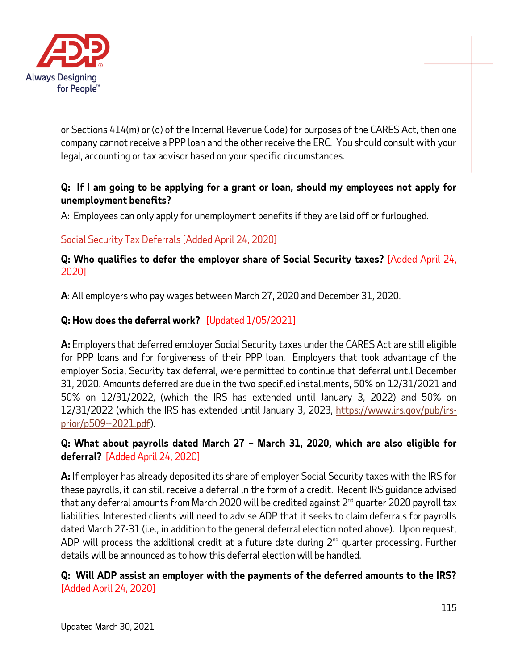

or Sections 414(m) or (o) of the Internal Revenue Code) for purposes of the CARES Act, then one company cannot receive a PPP loan and the other receive the ERC. You should consult with your legal, accounting or tax advisor based on your specific circumstances.

## **Q: If I am going to be applying for a grant or loan, should my employees not apply for unemployment benefits?**

A: Employees can only apply for unemployment benefits if they are laid off or furloughed.

# Social Security Tax Deferrals [Added April 24, 2020]

**Q: Who qualifies to defer the employer share of Social Security taxes?** [Added April 24, 2020]

**A**: All employers who pay wages between March 27, 2020 and December 31, 2020.

## **Q: How does the deferral work?** [Updated 1/05/2021]

**A:** Employers that deferred employer Social Security taxes under the CARES Act are still eligible for PPP loans and for forgiveness of their PPP loan. Employers that took advantage of the employer Social Security tax deferral, were permitted to continue that deferral until December 31, 2020. Amounts deferred are due in the two specified installments, 50% on 12/31/2021 and 50% on 12/31/2022, (which the IRS has extended until January 3, 2022) and 50% on 12/31/2022 (which the IRS has extended until January 3, 2023, [https://www.irs.gov/pub/irs](https://www.irs.gov/pub/irs-prior/p509--2021.pdf)[prior/p509--2021.pdf\)](https://www.irs.gov/pub/irs-prior/p509--2021.pdf).

## **Q: What about payrolls dated March 27 – March 31, 2020, which are also eligible for deferral?** [Added April 24, 2020]

**A:** If employer has already deposited its share of employer Social Security taxes with the IRS for these payrolls, it can still receive a deferral in the form of a credit. Recent IRS guidance advised that any deferral amounts from March 2020 will be credited against  $2^{nd}$  quarter 2020 payroll tax liabilities. Interested clients will need to advise ADP that it seeks to claim deferrals for payrolls dated March 27-31 (i.e., in addition to the general deferral election noted above). Upon request, ADP will process the additional credit at a future date during  $2<sup>nd</sup>$  quarter processing. Further details will be announced as to how this deferral election will be handled.

**Q: Will ADP assist an employer with the payments of the deferred amounts to the IRS?** [Added April 24, 2020]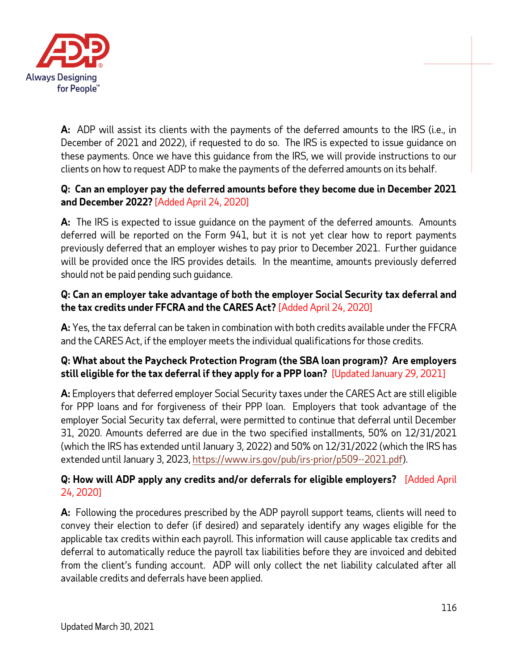

**A:** ADP will assist its clients with the payments of the deferred amounts to the IRS (i.e., in December of 2021 and 2022), if requested to do so. The IRS is expected to issue guidance on these payments. Once we have this guidance from the IRS, we will provide instructions to our clients on how to request ADP to make the payments of the deferred amounts on its behalf.

## **Q: Can an employer pay the deferred amounts before they become due in December 2021 and December 2022?** [Added April 24, 2020]

**A:** The IRS is expected to issue guidance on the payment of the deferred amounts. Amounts deferred will be reported on the Form 941, but it is not yet clear how to report payments previously deferred that an employer wishes to pay prior to December 2021. Further guidance will be provided once the IRS provides details. In the meantime, amounts previously deferred should not be paid pending such guidance.

## **Q: Can an employer take advantage of both the employer Social Security tax deferral and the tax credits under FFCRA and the CARES Act?** [Added April 24, 2020]

**A:** Yes, the tax deferral can be taken in combination with both credits available under the FFCRA and the CARES Act, if the employer meets the individual qualifications for those credits.

## **Q: What about the Paycheck Protection Program (the SBA loan program)? Are employers still eligible for the tax deferral if they apply for a PPP loan?** [Updated January 29, 2021]

**A:** Employers that deferred employer Social Security taxes under the CARES Act are still eligible for PPP loans and for forgiveness of their PPP loan. Employers that took advantage of the employer Social Security tax deferral, were permitted to continue that deferral until December 31, 2020. Amounts deferred are due in the two specified installments, 50% on 12/31/2021 (which the IRS has extended until January 3, 2022) and 50% on 12/31/2022 (which the IRS has extended until January 3, 2023[, https://www.irs.gov/pub/irs-prior/p509--2021.pdf\)](https://www.irs.gov/pub/irs-prior/p509--2021.pdf).

## **Q: How will ADP apply any credits and/or deferrals for eligible employers?** [Added April 24, 2020]

**A:** Following the procedures prescribed by the ADP payroll support teams, clients will need to convey their election to defer (if desired) and separately identify any wages eligible for the applicable tax credits within each payroll. This information will cause applicable tax credits and deferral to automatically reduce the payroll tax liabilities before they are invoiced and debited from the client's funding account. ADP will only collect the net liability calculated after all available credits and deferrals have been applied.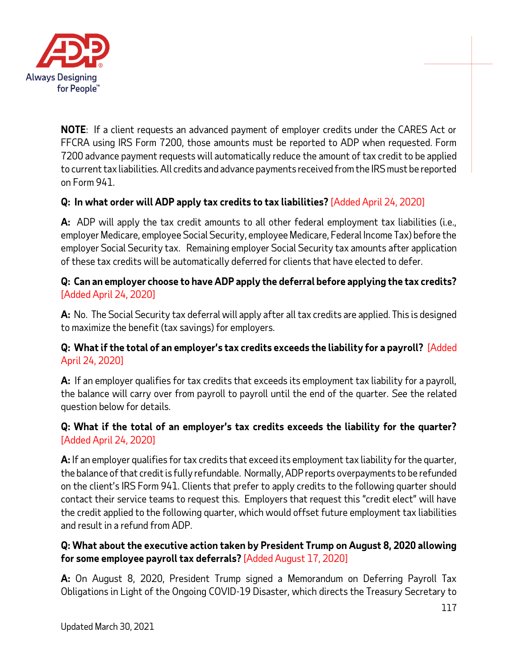

**NOTE**: If a client requests an advanced payment of employer credits under the CARES Act or FFCRA using IRS Form 7200, those amounts must be reported to ADP when requested. Form 7200 advance payment requests will automatically reduce the amount of tax credit to be applied to current tax liabilities. All credits and advance payments received from the IRS must be reported on Form 941.

## **Q: In what order will ADP apply tax credits to tax liabilities?** [Added April 24, 2020]

**A:** ADP will apply the tax credit amounts to all other federal employment tax liabilities (i.e., employer Medicare, employee Social Security, employee Medicare, Federal Income Tax) before the employer Social Security tax. Remaining employer Social Security tax amounts after application of these tax credits will be automatically deferred for clients that have elected to defer.

## **Q: Can an employer choose to have ADP apply the deferral before applying the tax credits?**  [Added April 24, 2020]

**A:** No. The Social Security tax deferral will apply after all tax credits are applied. This is designed to maximize the benefit (tax savings) for employers.

## **Q: What if the total of an employer's tax credits exceeds the liability for a payroll?** [Added April 24, 2020]

**A:** If an employer qualifies for tax credits that exceeds its employment tax liability for a payroll, the balance will carry over from payroll to payroll until the end of the quarter. *See* the related question below for details.

## **Q: What if the total of an employer's tax credits exceeds the liability for the quarter?**  [Added April 24, 2020]

**A:** If an employer qualifies for tax credits that exceed its employment tax liability for the quarter, the balance of that credit is fully refundable. Normally, ADP reports overpayments to be refunded on the client's IRS Form 941. Clients that prefer to apply credits to the following quarter should contact their service teams to request this. Employers that request this "credit elect" will have the credit applied to the following quarter, which would offset future employment tax liabilities and result in a refund from ADP.

## **Q: What about the executive action taken by President Trump on August 8, 2020 allowing for some employee payroll tax deferrals?** [Added August 17, 2020]

**A:** On August 8, 2020, President Trump signed a Memorandum on Deferring Payroll Tax Obligations in Light of the Ongoing COVID-19 Disaster, which directs the Treasury Secretary to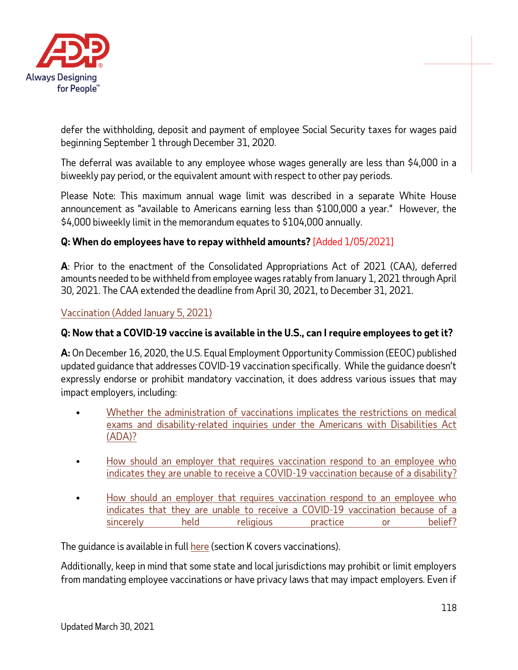

defer the withholding, deposit and payment of employee Social Security taxes for wages paid beginning September 1 through December 31, 2020.

The deferral was available to any employee whose wages generally are less than \$4,000 in a biweekly pay period, or the equivalent amount with respect to other pay periods.

Please Note: This maximum annual wage limit was described in a separate White House announcement as "available to Americans earning less than \$100,000 a year." However, the \$4,000 biweekly limit in the memorandum equates to \$104,000 annually.

## **Q: When do employees have to repay withheld amounts?** [Added 1/05/2021]

**A**: Prior to the enactment of the Consolidated Appropriations Act of 2021 (CAA), deferred amounts needed to be withheld from employee wages ratably from January 1, 2021 through April 30, 2021. The CAA extended the deadline from April 30, 2021, to December 31, 2021.

<span id="page-117-0"></span>Vaccination [\(Added January 5, 2021\)](#page-117-0)

### **Q: Now that a COVID-19 vaccine is available in the U.S., can I require employees to get it?**

**A:** On December 16, 2020, the U.S. Equal Employment Opportunity Commission (EEOC) published updated guidance that addresses COVID-19 vaccination specifically. While the guidance doesn't expressly endorse or prohibit mandatory vaccination, it does address various issues that may impact employers, including:

- [Whether the administration of vaccinations implicates the restrictions on medical](https://www.eeoc.gov/wysk/what-you-should-know-about-covid-19-and-ada-rehabilitation-act-and-other-eeo-laws#K.1)  [exams and disability-related inquiries under the Americans with Disabilities Act](https://www.eeoc.gov/wysk/what-you-should-know-about-covid-19-and-ada-rehabilitation-act-and-other-eeo-laws#K.1) [\(ADA\)?](https://www.eeoc.gov/wysk/what-you-should-know-about-covid-19-and-ada-rehabilitation-act-and-other-eeo-laws#K.1)
- How should an employer that requires vaccination respond to an employee who [indicates they are unable to receive a COVID-19 vaccination because of a](https://www.eeoc.gov/wysk/what-you-should-know-about-covid-19-and-ada-rehabilitation-act-and-other-eeo-laws#K.5) disability?
- [How should an employer that requires vaccination respond to an employee who](https://www.eeoc.gov/wysk/what-you-should-know-about-covid-19-and-ada-rehabilitation-act-and-other-eeo-laws#K.6)  indicates that they are unable to [receive a COVID-19 vaccination because of a](https://www.eeoc.gov/wysk/what-you-should-know-about-covid-19-and-ada-rehabilitation-act-and-other-eeo-laws#K.6)  [sincerely held religious practice or belief?](https://www.eeoc.gov/wysk/what-you-should-know-about-covid-19-and-ada-rehabilitation-act-and-other-eeo-laws#K.6)

The quidance is available in full [here](https://www.eeoc.gov/wysk/what-you-should-know-about-covid-19-and-ada-rehabilitation-act-and-other-eeo-laws) (section K covers vaccinations).

Additionally, keep in mind that some state and local jurisdictions may prohibit or limit employers from mandating employee vaccinations or have privacy laws that may impact employers. Even if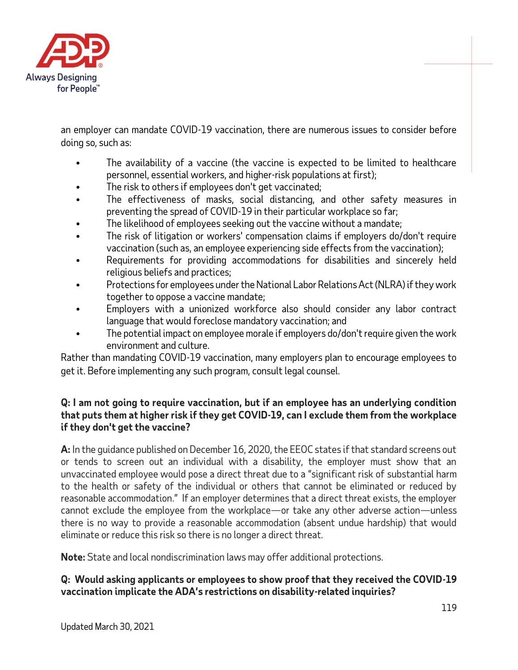

an employer can mandate COVID-19 vaccination, there are numerous issues to consider before doing so, such as:

- The availability of a vaccine (the vaccine is expected to be limited to healthcare personnel, essential workers, and higher-risk populations at first);
- The risk to others if employees don't get vaccinated;
- The effectiveness of masks, social distancing, and other safety measures in preventing the spread of COVID-19 in their particular workplace so far;
- The likelihood of employees seeking out the vaccine without a mandate;
- The risk of litigation or workers' compensation claims if employers do/don't require vaccination (such as, an employee experiencing side effects from the vaccination);
- Requirements for providing accommodations for disabilities and sincerely held religious beliefs and practices;
- Protections for employees under the National Labor Relations Act (NLRA) if they work together to oppose a vaccine mandate;
- Employers with a unionized workforce also should consider any labor contract language that would foreclose mandatory vaccination; and
- The potential impact on employee morale if employers do/don't require given the work environment and culture.

Rather than mandating COVID-19 vaccination, many employers plan to encourage employees to get it. Before implementing any such program, consult legal counsel.

### **Q: I am not going to require vaccination, but if an employee has an underlying condition that puts them at higher risk if they get COVID-19, can I exclude them from the workplace if they don't get the vaccine?**

**A:** In the guidance published on December 16, 2020, the EEOC states if that standard screens out or tends to screen out an individual with a disability, the employer must show that an unvaccinated employee would pose a direct threat due to a "significant risk of substantial harm to the health or safety of the individual or others that cannot be eliminated or reduced by reasonable accommodation." If an employer determines that a direct threat exists, the employer cannot exclude the employee from the workplace—or take any other adverse action—unless there is no way to provide a reasonable accommodation (absent undue hardship) that would eliminate or reduce this risk so there is no longer a direct threat.

**Note:** State and local nondiscrimination laws may offer additional protections.

## **Q: Would asking applicants or employees to show proof that they received the COVID-19 vaccination implicate the ADA's restrictions on disability-related inquiries?**